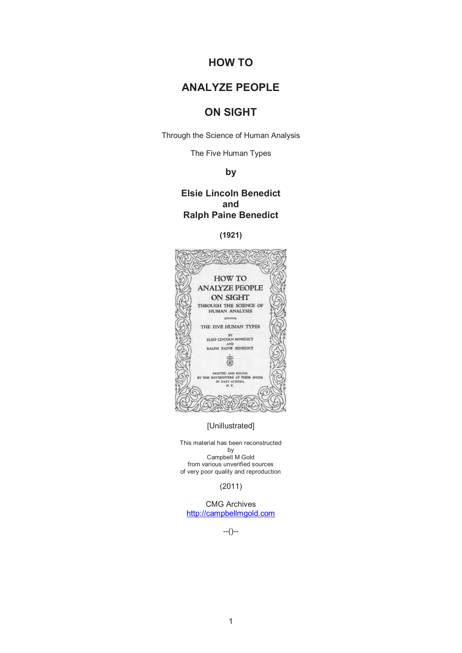# **HOW TO**

# **ANALYZE PEOPLE**

# **ON SIGHT**

Through the Science of Human Analysis

The Five Human Types

# **by**

# **Elsie Lincoln Benedict and Ralph Paine Benedict**

# **(1921)**



[Unillustrated]

This material has been reconstructed by Campbell M Gold from various unverified sources of very poor quality and reproduction

(2011)

CMG Archives http://campbellmgold.com

--()--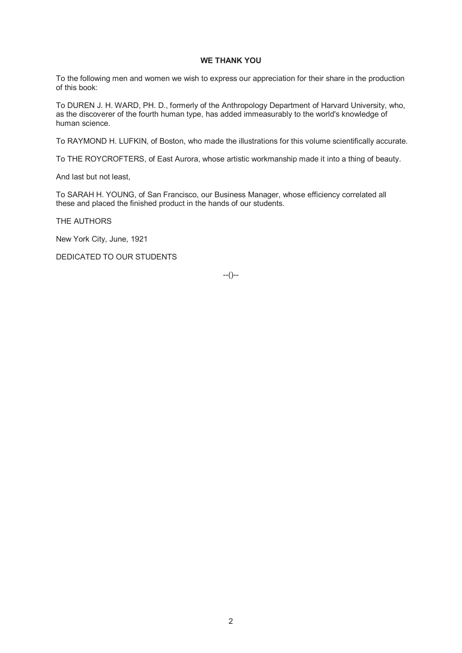# **WE THANK YOU**

To the following men and women we wish to express our appreciation for their share in the production of this book:

To DUREN J. H. WARD, PH. D., formerly of the Anthropology Department of Harvard University, who, as the discoverer of the fourth human type, has added immeasurably to the world's knowledge of human science.

To RAYMOND H. LUFKIN, of Boston, who made the illustrations for this volume scientifically accurate.

To THE ROYCROFTERS, of East Aurora, whose artistic workmanship made it into a thing of beauty.

And last but not least,

To SARAH H. YOUNG, of San Francisco, our Business Manager, whose efficiency correlated all these and placed the finished product in the hands of our students.

THE AUTHORS

New York City, June, 1921

DEDICATED TO OUR STUDENTS

--()--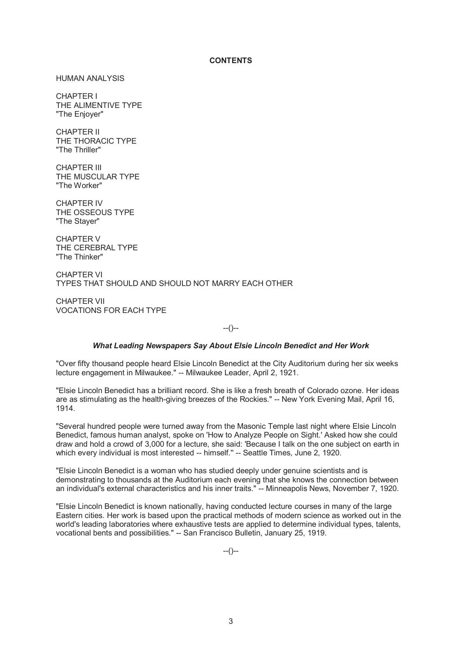# **CONTENTS**

HUMAN ANALYSIS

CHAPTER I THE ALIMENTIVE TYPE "The Enjoyer"

CHAPTER II THE THORACIC TYPE "The Thriller"

CHAPTER III THE MUSCULAR TYPE "The Worker"

CHAPTER IV THE OSSEOUS TYPE "The Stayer"

CHAPTER V THE CEREBRAL TYPE "The Thinker"

CHAPTER VI TYPES THAT SHOULD AND SHOULD NOT MARRY EACH OTHER

CHAPTER VII VOCATIONS FOR EACH TYPE

 $-(-)$ 

# *What Leading Newspapers Say About Elsie Lincoln Benedict and Her Work*

"Over fifty thousand people heard Elsie Lincoln Benedict at the City Auditorium during her six weeks lecture engagement in Milwaukee." -- Milwaukee Leader, April 2, 1921.

"Elsie Lincoln Benedict has a brilliant record. She is like a fresh breath of Colorado ozone. Her ideas are as stimulating as the health-giving breezes of the Rockies." -- New York Evening Mail, April 16, 1914.

"Several hundred people were turned away from the Masonic Temple last night where Elsie Lincoln Benedict, famous human analyst, spoke on 'How to Analyze People on Sight.' Asked how she could draw and hold a crowd of 3,000 for a lecture, she said: 'Because I talk on the one subject on earth in which every individual is most interested -- himself." -- Seattle Times, June 2, 1920.

"Elsie Lincoln Benedict is a woman who has studied deeply under genuine scientists and is demonstrating to thousands at the Auditorium each evening that she knows the connection between an individual's external characteristics and his inner traits." -- Minneapolis News, November 7, 1920.

"Elsie Lincoln Benedict is known nationally, having conducted lecture courses in many of the large Eastern cities. Her work is based upon the practical methods of modern science as worked out in the world's leading laboratories where exhaustive tests are applied to determine individual types, talents, vocational bents and possibilities." -- San Francisco Bulletin, January 25, 1919.

 $-(-)$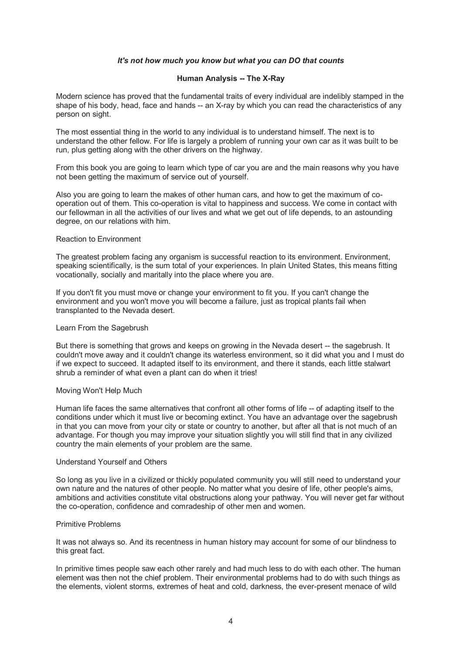# *It's not how much you know but what you can DO that counts*

# **Human Analysis -- The X-Ray**

Modern science has proved that the fundamental traits of every individual are indelibly stamped in the shape of his body, head, face and hands -- an X-ray by which you can read the characteristics of any person on sight.

The most essential thing in the world to any individual is to understand himself. The next is to understand the other fellow. For life is largely a problem of running your own car as it was built to be run, plus getting along with the other drivers on the highway.

From this book you are going to learn which type of car you are and the main reasons why you have not been getting the maximum of service out of yourself.

Also you are going to learn the makes of other human cars, and how to get the maximum of cooperation out of them. This co-operation is vital to happiness and success. We come in contact with our fellowman in all the activities of our lives and what we get out of life depends, to an astounding degree, on our relations with him.

#### Reaction to Environment

The greatest problem facing any organism is successful reaction to its environment. Environment, speaking scientifically, is the sum total of your experiences. In plain United States, this means fitting vocationally, socially and maritally into the place where you are.

If you don't fit you must move or change your environment to fit you. If you can't change the environment and you won't move you will become a failure, just as tropical plants fail when transplanted to the Nevada desert.

#### Learn From the Sagebrush

But there is something that grows and keeps on growing in the Nevada desert -- the sagebrush. It couldn't move away and it couldn't change its waterless environment, so it did what you and I must do if we expect to succeed. It adapted itself to its environment, and there it stands, each little stalwart shrub a reminder of what even a plant can do when it tries!

# Moving Won't Help Much

Human life faces the same alternatives that confront all other forms of life -- of adapting itself to the conditions under which it must live or becoming extinct. You have an advantage over the sagebrush in that you can move from your city or state or country to another, but after all that is not much of an advantage. For though you may improve your situation slightly you will still find that in any civilized country the main elements of your problem are the same.

## Understand Yourself and Others

So long as you live in a civilized or thickly populated community you will still need to understand your own nature and the natures of other people. No matter what you desire of life, other people's aims, ambitions and activities constitute vital obstructions along your pathway. You will never get far without the co-operation, confidence and comradeship of other men and women.

## Primitive Problems

It was not always so. And its recentness in human history may account for some of our blindness to this great fact.

In primitive times people saw each other rarely and had much less to do with each other. The human element was then not the chief problem. Their environmental problems had to do with such things as the elements, violent storms, extremes of heat and cold, darkness, the ever-present menace of wild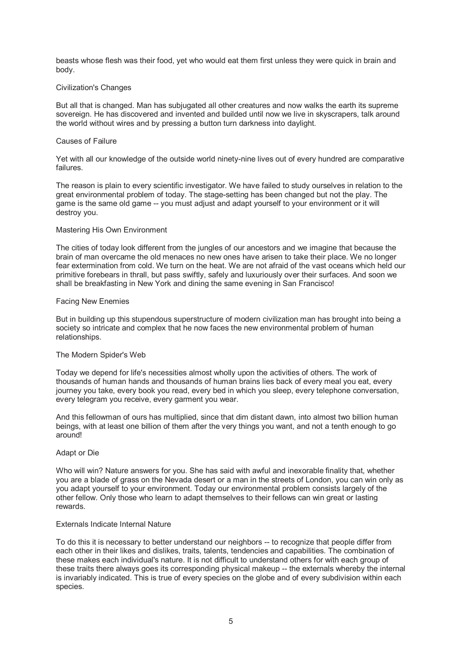beasts whose flesh was their food, yet who would eat them first unless they were quick in brain and body.

# Civilization's Changes

But all that is changed. Man has subjugated all other creatures and now walks the earth its supreme sovereign. He has discovered and invented and builded until now we live in skyscrapers, talk around the world without wires and by pressing a button turn darkness into daylight.

# Causes of Failure

Yet with all our knowledge of the outside world ninety-nine lives out of every hundred are comparative failures.

The reason is plain to every scientific investigator. We have failed to study ourselves in relation to the great environmental problem of today. The stage-setting has been changed but not the play. The game is the same old game -- you must adjust and adapt yourself to your environment or it will destroy you.

# Mastering His Own Environment

The cities of today look different from the jungles of our ancestors and we imagine that because the brain of man overcame the old menaces no new ones have arisen to take their place. We no longer fear extermination from cold. We turn on the heat. We are not afraid of the vast oceans which held our primitive forebears in thrall, but pass swiftly, safely and luxuriously over their surfaces. And soon we shall be breakfasting in New York and dining the same evening in San Francisco!

# Facing New Enemies

But in building up this stupendous superstructure of modern civilization man has brought into being a society so intricate and complex that he now faces the new environmental problem of human relationships.

# The Modern Spider's Web

Today we depend for life's necessities almost wholly upon the activities of others. The work of thousands of human hands and thousands of human brains lies back of every meal you eat, every journey you take, every book you read, every bed in which you sleep, every telephone conversation, every telegram you receive, every garment you wear.

And this fellowman of ours has multiplied, since that dim distant dawn, into almost two billion human beings, with at least one billion of them after the very things you want, and not a tenth enough to go around!

# Adapt or Die

Who will win? Nature answers for you. She has said with awful and inexorable finality that, whether you are a blade of grass on the Nevada desert or a man in the streets of London, you can win only as you adapt yourself to your environment. Today our environmental problem consists largely of the other fellow. Only those who learn to adapt themselves to their fellows can win great or lasting rewards.

# Externals Indicate Internal Nature

To do this it is necessary to better understand our neighbors -- to recognize that people differ from each other in their likes and dislikes, traits, talents, tendencies and capabilities. The combination of these makes each individual's nature. It is not difficult to understand others for with each group of these traits there always goes its corresponding physical makeup -- the externals whereby the internal is invariably indicated. This is true of every species on the globe and of every subdivision within each species.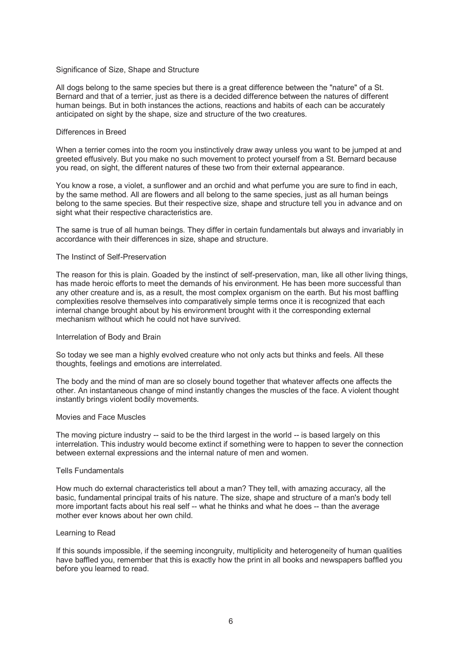## Significance of Size, Shape and Structure

All dogs belong to the same species but there is a great difference between the "nature" of a St. Bernard and that of a terrier, just as there is a decided difference between the natures of different human beings. But in both instances the actions, reactions and habits of each can be accurately anticipated on sight by the shape, size and structure of the two creatures.

#### Differences in Breed

When a terrier comes into the room you instinctively draw away unless you want to be jumped at and greeted effusively. But you make no such movement to protect yourself from a St. Bernard because you read, on sight, the different natures of these two from their external appearance.

You know a rose, a violet, a sunflower and an orchid and what perfume you are sure to find in each, by the same method. All are flowers and all belong to the same species, just as all human beings belong to the same species. But their respective size, shape and structure tell you in advance and on sight what their respective characteristics are.

The same is true of all human beings. They differ in certain fundamentals but always and invariably in accordance with their differences in size, shape and structure.

#### The Instinct of Self-Preservation

The reason for this is plain. Goaded by the instinct of self-preservation, man, like all other living things, has made heroic efforts to meet the demands of his environment. He has been more successful than any other creature and is, as a result, the most complex organism on the earth. But his most baffling complexities resolve themselves into comparatively simple terms once it is recognized that each internal change brought about by his environment brought with it the corresponding external mechanism without which he could not have survived.

#### Interrelation of Body and Brain

So today we see man a highly evolved creature who not only acts but thinks and feels. All these thoughts, feelings and emotions are interrelated.

The body and the mind of man are so closely bound together that whatever affects one affects the other. An instantaneous change of mind instantly changes the muscles of the face. A violent thought instantly brings violent bodily movements.

#### Movies and Face Muscles

The moving picture industry -- said to be the third largest in the world -- is based largely on this interrelation. This industry would become extinct if something were to happen to sever the connection between external expressions and the internal nature of men and women.

# Tells Fundamentals

How much do external characteristics tell about a man? They tell, with amazing accuracy, all the basic, fundamental principal traits of his nature. The size, shape and structure of a man's body tell more important facts about his real self -- what he thinks and what he does -- than the average mother ever knows about her own child.

# Learning to Read

If this sounds impossible, if the seeming incongruity, multiplicity and heterogeneity of human qualities have baffled you, remember that this is exactly how the print in all books and newspapers baffled you before you learned to read.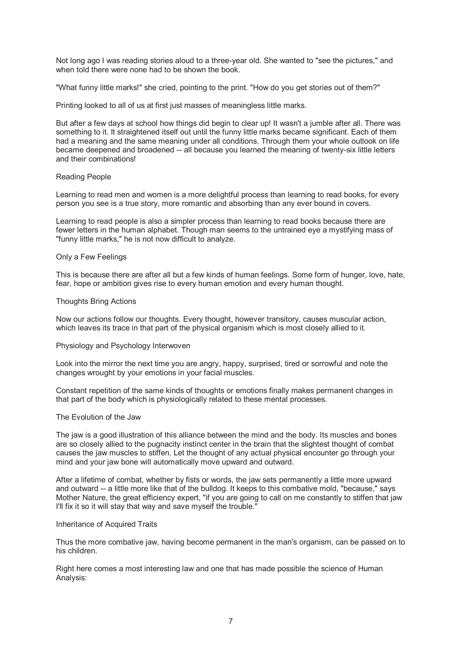Not long ago I was reading stories aloud to a three-year old. She wanted to "see the pictures," and when told there were none had to be shown the book.

"What funny little marks!" she cried, pointing to the print. "How do you get stories out of them?"

Printing looked to all of us at first just masses of meaningless little marks.

But after a few days at school how things did begin to clear up! It wasn't a jumble after all. There was something to it. It straightened itself out until the funny little marks became significant. Each of them had a meaning and the same meaning under all conditions. Through them your whole outlook on life became deepened and broadened -- all because you learned the meaning of twenty-six little letters and their combinations!

# Reading People

Learning to read men and women is a more delightful process than learning to read books, for every person you see is a true story, more romantic and absorbing than any ever bound in covers.

Learning to read people is also a simpler process than learning to read books because there are fewer letters in the human alphabet. Though man seems to the untrained eye a mystifying mass of "funny little marks," he is not now difficult to analyze.

# Only a Few Feelings

This is because there are after all but a few kinds of human feelings. Some form of hunger, love, hate, fear, hope or ambition gives rise to every human emotion and every human thought.

# Thoughts Bring Actions

Now our actions follow our thoughts. Every thought, however transitory, causes muscular action, which leaves its trace in that part of the physical organism which is most closely allied to it.

# Physiology and Psychology Interwoven

Look into the mirror the next time you are angry, happy, surprised, tired or sorrowful and note the changes wrought by your emotions in your facial muscles.

Constant repetition of the same kinds of thoughts or emotions finally makes permanent changes in that part of the body which is physiologically related to these mental processes.

# The Evolution of the Jaw

The jaw is a good illustration of this alliance between the mind and the body. Its muscles and bones are so closely allied to the pugnacity instinct center in the brain that the slightest thought of combat causes the jaw muscles to stiffen. Let the thought of any actual physical encounter go through your mind and your jaw bone will automatically move upward and outward.

After a lifetime of combat, whether by fists or words, the jaw sets permanently a little more upward and outward -- a little more like that of the bulldog. It keeps to this combative mold, "because," says Mother Nature, the great efficiency expert, "if you are going to call on me constantly to stiffen that jaw I'll fix it so it will stay that way and save myself the trouble."

# Inheritance of Acquired Traits

Thus the more combative jaw, having become permanent in the man's organism, can be passed on to his children.

Right here comes a most interesting law and one that has made possible the science of Human Analysis: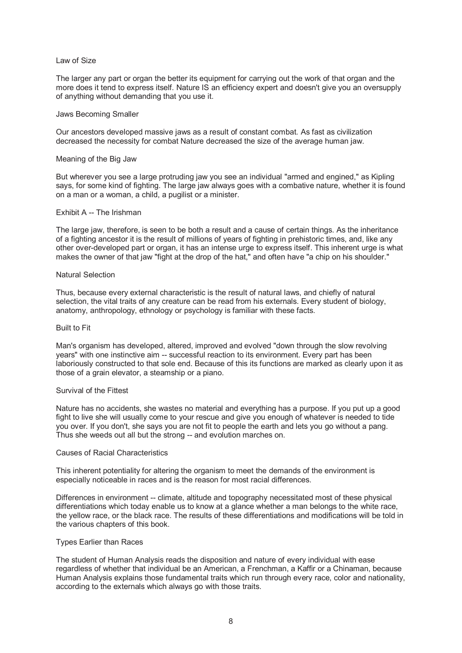## Law of Size

The larger any part or organ the better its equipment for carrying out the work of that organ and the more does it tend to express itself. Nature IS an efficiency expert and doesn't give you an oversupply of anything without demanding that you use it.

# Jaws Becoming Smaller

Our ancestors developed massive jaws as a result of constant combat. As fast as civilization decreased the necessity for combat Nature decreased the size of the average human jaw.

#### Meaning of the Big Jaw

But wherever you see a large protruding jaw you see an individual "armed and engined," as Kipling says, for some kind of fighting. The large jaw always goes with a combative nature, whether it is found on a man or a woman, a child, a pugilist or a minister.

#### Exhibit A -- The Irishman

The large jaw, therefore, is seen to be both a result and a cause of certain things. As the inheritance of a fighting ancestor it is the result of millions of years of fighting in prehistoric times, and, like any other over-developed part or organ, it has an intense urge to express itself. This inherent urge is what makes the owner of that jaw "fight at the drop of the hat," and often have "a chip on his shoulder."

#### Natural Selection

Thus, because every external characteristic is the result of natural laws, and chiefly of natural selection, the vital traits of any creature can be read from his externals. Every student of biology, anatomy, anthropology, ethnology or psychology is familiar with these facts.

# Built to Fit

Man's organism has developed, altered, improved and evolved "down through the slow revolving years" with one instinctive aim -- successful reaction to its environment. Every part has been laboriously constructed to that sole end. Because of this its functions are marked as clearly upon it as those of a grain elevator, a steamship or a piano.

# Survival of the Fittest

Nature has no accidents, she wastes no material and everything has a purpose. If you put up a good fight to live she will usually come to your rescue and give you enough of whatever is needed to tide you over. If you don't, she says you are not fit to people the earth and lets you go without a pang. Thus she weeds out all but the strong -- and evolution marches on.

# Causes of Racial Characteristics

This inherent potentiality for altering the organism to meet the demands of the environment is especially noticeable in races and is the reason for most racial differences.

Differences in environment -- climate, altitude and topography necessitated most of these physical differentiations which today enable us to know at a glance whether a man belongs to the white race, the yellow race, or the black race. The results of these differentiations and modifications will be told in the various chapters of this book.

# Types Earlier than Races

The student of Human Analysis reads the disposition and nature of every individual with ease regardless of whether that individual be an American, a Frenchman, a Kaffir or a Chinaman, because Human Analysis explains those fundamental traits which run through every race, color and nationality, according to the externals which always go with those traits.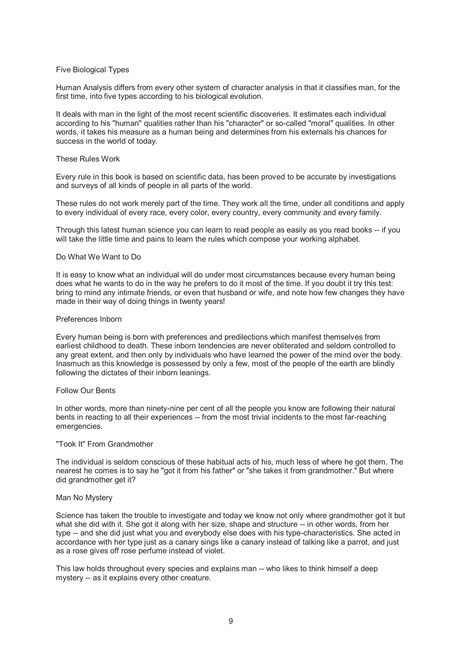# Five Biological Types

Human Analysis differs from every other system of character analysis in that it classifies man, for the first time, into five types according to his biological evolution.

It deals with man in the light of the most recent scientific discoveries. It estimates each individual according to his "human" qualities rather than his "character" or so-called "moral" qualities. In other words, it takes his measure as a human being and determines from his externals his chances for success in the world of today.

# These Rules Work

Every rule in this book is based on scientific data, has been proved to be accurate by investigations and surveys of all kinds of people in all parts of the world.

These rules do not work merely part of the time. They work all the time, under all conditions and apply to every individual of every race, every color, every country, every community and every family.

Through this latest human science you can learn to read people as easily as you read books -- if you will take the little time and pains to learn the rules which compose your working alphabet.

#### Do What We Want to Do

It is easy to know what an individual will do under most circumstances because every human being does what he wants to do in the way he prefers to do it most of the time. If you doubt it try this test: bring to mind any intimate friends, or even that husband or wife, and note how few changes they have made in their way of doing things in twenty years!

#### Preferences Inborn

Every human being is born with preferences and predilections which manifest themselves from earliest childhood to death. These inborn tendencies are never obliterated and seldom controlled to any great extent, and then only by individuals who have learned the power of the mind over the body. Inasmuch as this knowledge is possessed by only a few, most of the people of the earth are blindly following the dictates of their inborn leanings.

#### Follow Our Bents

In other words, more than ninety-nine per cent of all the people you know are following their natural bents in reacting to all their experiences -- from the most trivial incidents to the most far-reaching emergencies.

#### "Took It" From Grandmother

The individual is seldom conscious of these habitual acts of his, much less of where he got them. The nearest he comes is to say he "got it from his father" or "she takes it from grandmother." But where did grandmother get it?

#### Man No Mystery

Science has taken the trouble to investigate and today we know not only where grandmother got it but what she did with it. She got it along with her size, shape and structure -- in other words, from her type -- and she did just what you and everybody else does with his type-characteristics. She acted in accordance with her type just as a canary sings like a canary instead of talking like a parrot, and just as a rose gives off rose perfume instead of violet.

This law holds throughout every species and explains man -- who likes to think himself a deep mystery -- as it explains every other creature.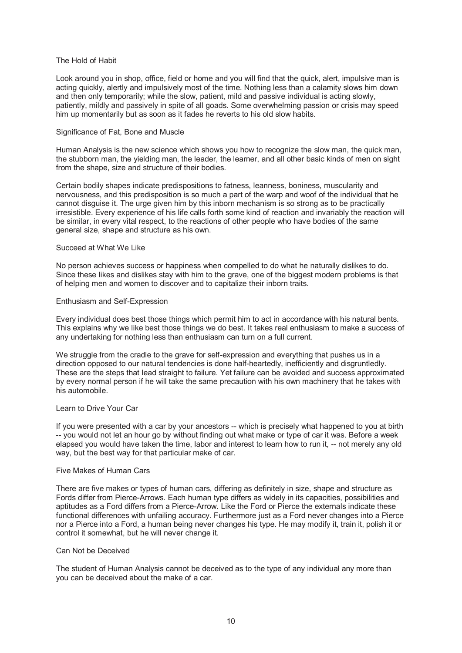## The Hold of Habit

Look around you in shop, office, field or home and you will find that the quick, alert, impulsive man is acting quickly, alertly and impulsively most of the time. Nothing less than a calamity slows him down and then only temporarily; while the slow, patient, mild and passive individual is acting slowly, patiently, mildly and passively in spite of all goads. Some overwhelming passion or crisis may speed him up momentarily but as soon as it fades he reverts to his old slow habits.

#### Significance of Fat, Bone and Muscle

Human Analysis is the new science which shows you how to recognize the slow man, the quick man, the stubborn man, the yielding man, the leader, the learner, and all other basic kinds of men on sight from the shape, size and structure of their bodies.

Certain bodily shapes indicate predispositions to fatness, leanness, boniness, muscularity and nervousness, and this predisposition is so much a part of the warp and woof of the individual that he cannot disguise it. The urge given him by this inborn mechanism is so strong as to be practically irresistible. Every experience of his life calls forth some kind of reaction and invariably the reaction will be similar, in every vital respect, to the reactions of other people who have bodies of the same general size, shape and structure as his own.

#### Succeed at What We Like

No person achieves success or happiness when compelled to do what he naturally dislikes to do. Since these likes and dislikes stay with him to the grave, one of the biggest modern problems is that of helping men and women to discover and to capitalize their inborn traits.

# Enthusiasm and Self-Expression

Every individual does best those things which permit him to act in accordance with his natural bents. This explains why we like best those things we do best. It takes real enthusiasm to make a success of any undertaking for nothing less than enthusiasm can turn on a full current.

We struggle from the cradle to the grave for self-expression and everything that pushes us in a direction opposed to our natural tendencies is done half-heartedly, inefficiently and disgruntledly. These are the steps that lead straight to failure. Yet failure can be avoided and success approximated by every normal person if he will take the same precaution with his own machinery that he takes with his automobile.

# Learn to Drive Your Car

If you were presented with a car by your ancestors -- which is precisely what happened to you at birth -- you would not let an hour go by without finding out what make or type of car it was. Before a week elapsed you would have taken the time, labor and interest to learn how to run it, -- not merely any old way, but the best way for that particular make of car.

# Five Makes of Human Cars

There are five makes or types of human cars, differing as definitely in size, shape and structure as Fords differ from Pierce-Arrows. Each human type differs as widely in its capacities, possibilities and aptitudes as a Ford differs from a Pierce-Arrow. Like the Ford or Pierce the externals indicate these functional differences with unfailing accuracy. Furthermore just as a Ford never changes into a Pierce nor a Pierce into a Ford, a human being never changes his type. He may modify it, train it, polish it or control it somewhat, but he will never change it.

#### Can Not be Deceived

The student of Human Analysis cannot be deceived as to the type of any individual any more than you can be deceived about the make of a car.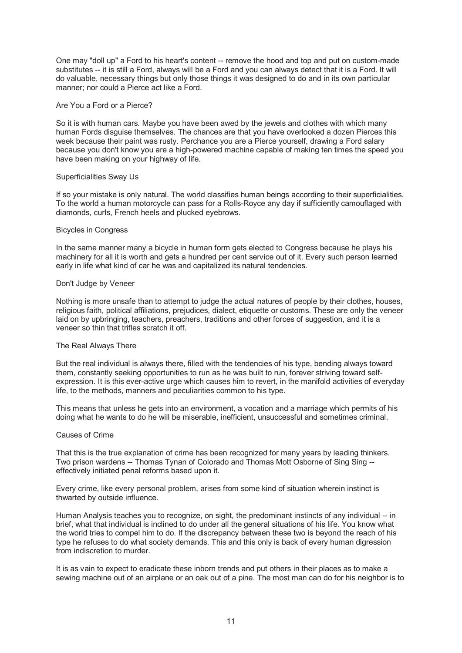One may "doll up" a Ford to his heart's content -- remove the hood and top and put on custom-made substitutes -- it is still a Ford, always will be a Ford and you can always detect that it is a Ford. It will do valuable, necessary things but only those things it was designed to do and in its own particular manner; nor could a Pierce act like a Ford.

## Are You a Ford or a Pierce?

So it is with human cars. Maybe you have been awed by the jewels and clothes with which many human Fords disguise themselves. The chances are that you have overlooked a dozen Pierces this week because their paint was rusty. Perchance you are a Pierce yourself, drawing a Ford salary because you don't know you are a high-powered machine capable of making ten times the speed you have been making on your highway of life.

#### Superficialities Sway Us

If so your mistake is only natural. The world classifies human beings according to their superficialities. To the world a human motorcycle can pass for a Rolls-Royce any day if sufficiently camouflaged with diamonds, curls, French heels and plucked eyebrows.

#### Bicycles in Congress

In the same manner many a bicycle in human form gets elected to Congress because he plays his machinery for all it is worth and gets a hundred per cent service out of it. Every such person learned early in life what kind of car he was and capitalized its natural tendencies.

#### Don't Judge by Veneer

Nothing is more unsafe than to attempt to judge the actual natures of people by their clothes, houses, religious faith, political affiliations, prejudices, dialect, etiquette or customs. These are only the veneer laid on by upbringing, teachers, preachers, traditions and other forces of suggestion, and it is a veneer so thin that trifles scratch it off.

# The Real Always There

But the real individual is always there, filled with the tendencies of his type, bending always toward them, constantly seeking opportunities to run as he was built to run, forever striving toward selfexpression. It is this ever-active urge which causes him to revert, in the manifold activities of everyday life, to the methods, manners and peculiarities common to his type.

This means that unless he gets into an environment, a vocation and a marriage which permits of his doing what he wants to do he will be miserable, inefficient, unsuccessful and sometimes criminal.

#### Causes of Crime

That this is the true explanation of crime has been recognized for many years by leading thinkers. Two prison wardens -- Thomas Tynan of Colorado and Thomas Mott Osborne of Sing Sing -effectively initiated penal reforms based upon it.

Every crime, like every personal problem, arises from some kind of situation wherein instinct is thwarted by outside influence.

Human Analysis teaches you to recognize, on sight, the predominant instincts of any individual -- in brief, what that individual is inclined to do under all the general situations of his life. You know what the world tries to compel him to do. If the discrepancy between these two is beyond the reach of his type he refuses to do what society demands. This and this only is back of every human digression from indiscretion to murder.

It is as vain to expect to eradicate these inborn trends and put others in their places as to make a sewing machine out of an airplane or an oak out of a pine. The most man can do for his neighbor is to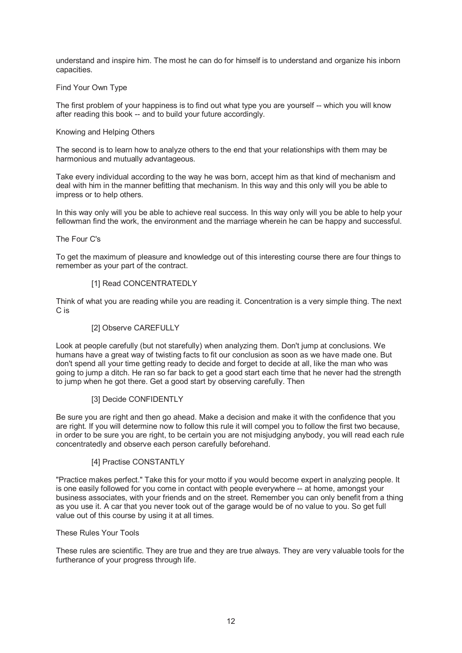understand and inspire him. The most he can do for himself is to understand and organize his inborn capacities.

# Find Your Own Type

The first problem of your happiness is to find out what type you are yourself -- which you will know after reading this book -- and to build your future accordingly.

# Knowing and Helping Others

The second is to learn how to analyze others to the end that your relationships with them may be harmonious and mutually advantageous.

Take every individual according to the way he was born, accept him as that kind of mechanism and deal with him in the manner befitting that mechanism. In this way and this only will you be able to impress or to help others.

In this way only will you be able to achieve real success. In this way only will you be able to help your fellowman find the work, the environment and the marriage wherein he can be happy and successful.

# The Four C's

To get the maximum of pleasure and knowledge out of this interesting course there are four things to remember as your part of the contract.

# [1] Read CONCENTRATEDLY

Think of what you are reading while you are reading it. Concentration is a very simple thing. The next C is

# [2] Observe CAREFULLY

Look at people carefully (but not starefully) when analyzing them. Don't jump at conclusions. We humans have a great way of twisting facts to fit our conclusion as soon as we have made one. But don't spend all your time getting ready to decide and forget to decide at all, like the man who was going to jump a ditch. He ran so far back to get a good start each time that he never had the strength to jump when he got there. Get a good start by observing carefully. Then

# [3] Decide CONFIDENTLY

Be sure you are right and then go ahead. Make a decision and make it with the confidence that you are right. If you will determine now to follow this rule it will compel you to follow the first two because, in order to be sure you are right, to be certain you are not misjudging anybody, you will read each rule concentratedly and observe each person carefully beforehand.

# [4] Practise CONSTANTLY

"Practice makes perfect." Take this for your motto if you would become expert in analyzing people. It is one easily followed for you come in contact with people everywhere -- at home, amongst your business associates, with your friends and on the street. Remember you can only benefit from a thing as you use it. A car that you never took out of the garage would be of no value to you. So get full value out of this course by using it at all times.

# These Rules Your Tools

These rules are scientific. They are true and they are true always. They are very valuable tools for the furtherance of your progress through life.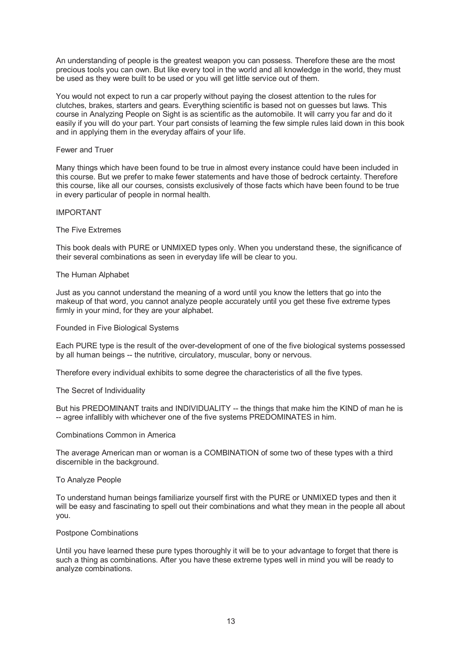An understanding of people is the greatest weapon you can possess. Therefore these are the most precious tools you can own. But like every tool in the world and all knowledge in the world, they must be used as they were built to be used or you will get little service out of them.

You would not expect to run a car properly without paying the closest attention to the rules for clutches, brakes, starters and gears. Everything scientific is based not on guesses but laws. This course in Analyzing People on Sight is as scientific as the automobile. It will carry you far and do it easily if you will do your part. Your part consists of learning the few simple rules laid down in this book and in applying them in the everyday affairs of your life.

# Fewer and Truer

Many things which have been found to be true in almost every instance could have been included in this course. But we prefer to make fewer statements and have those of bedrock certainty. Therefore this course, like all our courses, consists exclusively of those facts which have been found to be true in every particular of people in normal health.

# IMPORTANT

# The Five Extremes

This book deals with PURE or UNMIXED types only. When you understand these, the significance of their several combinations as seen in everyday life will be clear to you.

# The Human Alphabet

Just as you cannot understand the meaning of a word until you know the letters that go into the makeup of that word, you cannot analyze people accurately until you get these five extreme types firmly in your mind, for they are your alphabet.

# Founded in Five Biological Systems

Each PURE type is the result of the over-development of one of the five biological systems possessed by all human beings -- the nutritive, circulatory, muscular, bony or nervous.

Therefore every individual exhibits to some degree the characteristics of all the five types.

# The Secret of Individuality

But his PREDOMINANT traits and INDIVIDUALITY -- the things that make him the KIND of man he is -- agree infallibly with whichever one of the five systems PREDOMINATES in him.

# Combinations Common in America

The average American man or woman is a COMBINATION of some two of these types with a third discernible in the background.

# To Analyze People

To understand human beings familiarize yourself first with the PURE or UNMIXED types and then it will be easy and fascinating to spell out their combinations and what they mean in the people all about you.

# Postpone Combinations

Until you have learned these pure types thoroughly it will be to your advantage to forget that there is such a thing as combinations. After you have these extreme types well in mind you will be ready to analyze combinations.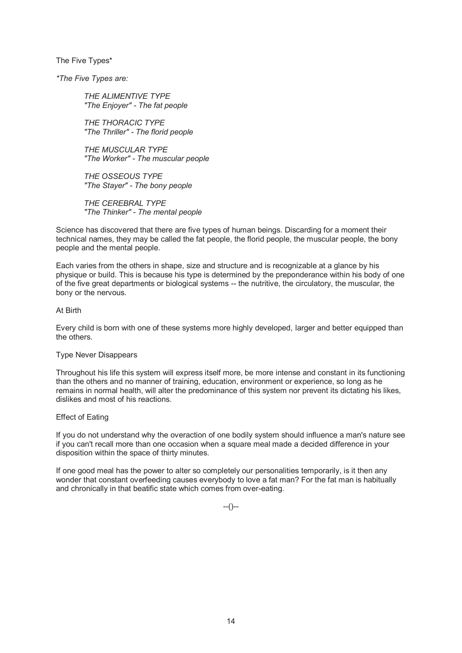The Five Types\*

*\*The Five Types are:* 

*THE ALIMENTIVE TYPE "The Enjoyer" - The fat people* 

*THE THORACIC TYPE "The Thriller" - The florid people* 

*THE MUSCULAR TYPE "The Worker" - The muscular people* 

*THE OSSEOUS TYPE "The Stayer" - The bony people* 

*THE CEREBRAL TYPE "The Thinker" - The mental people* 

Science has discovered that there are five types of human beings. Discarding for a moment their technical names, they may be called the fat people, the florid people, the muscular people, the bony people and the mental people.

Each varies from the others in shape, size and structure and is recognizable at a glance by his physique or build. This is because his type is determined by the preponderance within his body of one of the five great departments or biological systems -- the nutritive, the circulatory, the muscular, the bony or the nervous.

# At Birth

Every child is born with one of these systems more highly developed, larger and better equipped than the others.

# Type Never Disappears

Throughout his life this system will express itself more, be more intense and constant in its functioning than the others and no manner of training, education, environment or experience, so long as he remains in normal health, will alter the predominance of this system nor prevent its dictating his likes, dislikes and most of his reactions.

# Effect of Eating

If you do not understand why the overaction of one bodily system should influence a man's nature see if you can't recall more than one occasion when a square meal made a decided difference in your disposition within the space of thirty minutes.

If one good meal has the power to alter so completely our personalities temporarily, is it then any wonder that constant overfeeding causes everybody to love a fat man? For the fat man is habitually and chronically in that beatific state which comes from over-eating.

 $-(-)$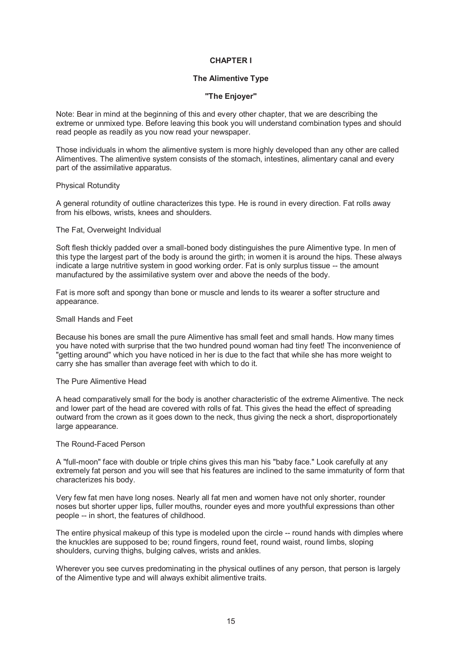# **CHAPTER I**

# **The Alimentive Type**

# **"The Enjoyer"**

Note: Bear in mind at the beginning of this and every other chapter, that we are describing the extreme or unmixed type. Before leaving this book you will understand combination types and should read people as readily as you now read your newspaper.

Those individuals in whom the alimentive system is more highly developed than any other are called Alimentives. The alimentive system consists of the stomach, intestines, alimentary canal and every part of the assimilative apparatus.

# Physical Rotundity

A general rotundity of outline characterizes this type. He is round in every direction. Fat rolls away from his elbows, wrists, knees and shoulders.

## The Fat, Overweight Individual

Soft flesh thickly padded over a small-boned body distinguishes the pure Alimentive type. In men of this type the largest part of the body is around the girth; in women it is around the hips. These always indicate a large nutritive system in good working order. Fat is only surplus tissue -- the amount manufactured by the assimilative system over and above the needs of the body.

Fat is more soft and spongy than bone or muscle and lends to its wearer a softer structure and appearance.

# Small Hands and Feet

Because his bones are small the pure Alimentive has small feet and small hands. How many times you have noted with surprise that the two hundred pound woman had tiny feet! The inconvenience of "getting around" which you have noticed in her is due to the fact that while she has more weight to carry she has smaller than average feet with which to do it.

# The Pure Alimentive Head

A head comparatively small for the body is another characteristic of the extreme Alimentive. The neck and lower part of the head are covered with rolls of fat. This gives the head the effect of spreading outward from the crown as it goes down to the neck, thus giving the neck a short, disproportionately large appearance.

#### The Round-Faced Person

A "full-moon" face with double or triple chins gives this man his "baby face." Look carefully at any extremely fat person and you will see that his features are inclined to the same immaturity of form that characterizes his body.

Very few fat men have long noses. Nearly all fat men and women have not only shorter, rounder noses but shorter upper lips, fuller mouths, rounder eyes and more youthful expressions than other people -- in short, the features of childhood.

The entire physical makeup of this type is modeled upon the circle -- round hands with dimples where the knuckles are supposed to be; round fingers, round feet, round waist, round limbs, sloping shoulders, curving thighs, bulging calves, wrists and ankles.

Wherever you see curves predominating in the physical outlines of any person, that person is largely of the Alimentive type and will always exhibit alimentive traits.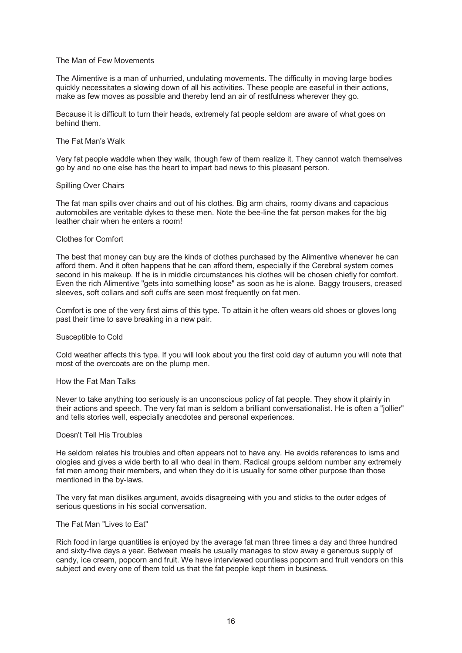# The Man of Few Movements

The Alimentive is a man of unhurried, undulating movements. The difficulty in moving large bodies quickly necessitates a slowing down of all his activities. These people are easeful in their actions, make as few moves as possible and thereby lend an air of restfulness wherever they go.

Because it is difficult to turn their heads, extremely fat people seldom are aware of what goes on behind them.

## The Fat Man's Walk

Very fat people waddle when they walk, though few of them realize it. They cannot watch themselves go by and no one else has the heart to impart bad news to this pleasant person.

#### Spilling Over Chairs

The fat man spills over chairs and out of his clothes. Big arm chairs, roomy divans and capacious automobiles are veritable dykes to these men. Note the bee-line the fat person makes for the big leather chair when he enters a room!

#### Clothes for Comfort

The best that money can buy are the kinds of clothes purchased by the Alimentive whenever he can afford them. And it often happens that he can afford them, especially if the Cerebral system comes second in his makeup. If he is in middle circumstances his clothes will be chosen chiefly for comfort. Even the rich Alimentive "gets into something loose" as soon as he is alone. Baggy trousers, creased sleeves, soft collars and soft cuffs are seen most frequently on fat men.

Comfort is one of the very first aims of this type. To attain it he often wears old shoes or gloves long past their time to save breaking in a new pair.

#### Susceptible to Cold

Cold weather affects this type. If you will look about you the first cold day of autumn you will note that most of the overcoats are on the plump men.

#### How the Fat Man Talks

Never to take anything too seriously is an unconscious policy of fat people. They show it plainly in their actions and speech. The very fat man is seldom a brilliant conversationalist. He is often a "jollier" and tells stories well, especially anecdotes and personal experiences.

#### Doesn't Tell His Troubles

He seldom relates his troubles and often appears not to have any. He avoids references to isms and ologies and gives a wide berth to all who deal in them. Radical groups seldom number any extremely fat men among their members, and when they do it is usually for some other purpose than those mentioned in the by-laws.

The very fat man dislikes argument, avoids disagreeing with you and sticks to the outer edges of serious questions in his social conversation.

# The Fat Man "Lives to Eat"

Rich food in large quantities is enjoyed by the average fat man three times a day and three hundred and sixty-five days a year. Between meals he usually manages to stow away a generous supply of candy, ice cream, popcorn and fruit. We have interviewed countless popcorn and fruit vendors on this subject and every one of them told us that the fat people kept them in business.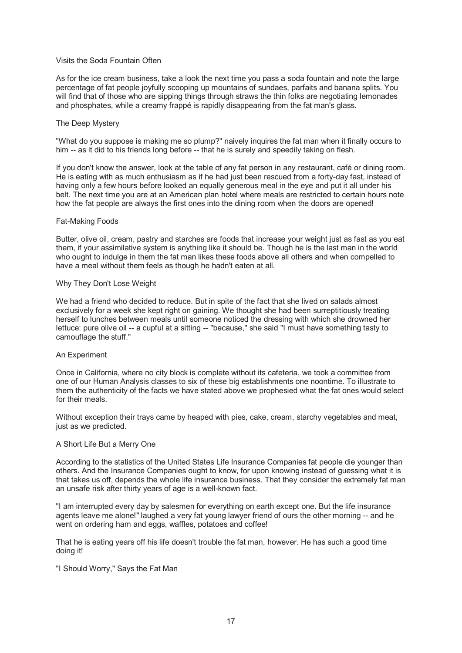# Visits the Soda Fountain Often

As for the ice cream business, take a look the next time you pass a soda fountain and note the large percentage of fat people joyfully scooping up mountains of sundaes, parfaits and banana splits. You will find that of those who are sipping things through straws the thin folks are negotiating lemonades and phosphates, while a creamy frappé is rapidly disappearing from the fat man's glass.

#### The Deep Mystery

"What do you suppose is making me so plump?" naively inquires the fat man when it finally occurs to him -- as it did to his friends long before -- that he is surely and speedily taking on flesh.

If you don't know the answer, look at the table of any fat person in any restaurant, café or dining room. He is eating with as much enthusiasm as if he had just been rescued from a forty-day fast, instead of having only a few hours before looked an equally generous meal in the eye and put it all under his belt. The next time you are at an American plan hotel where meals are restricted to certain hours note how the fat people are always the first ones into the dining room when the doors are opened!

#### Fat-Making Foods

Butter, olive oil, cream, pastry and starches are foods that increase your weight just as fast as you eat them, if your assimilative system is anything like it should be. Though he is the last man in the world who ought to indulge in them the fat man likes these foods above all others and when compelled to have a meal without them feels as though he hadn't eaten at all.

#### Why They Don't Lose Weight

We had a friend who decided to reduce. But in spite of the fact that she lived on salads almost exclusively for a week she kept right on gaining. We thought she had been surreptitiously treating herself to lunches between meals until someone noticed the dressing with which she drowned her lettuce: pure olive oil -- a cupful at a sitting -- "because," she said "I must have something tasty to camouflage the stuff."

# An Experiment

Once in California, where no city block is complete without its cafeteria, we took a committee from one of our Human Analysis classes to six of these big establishments one noontime. To illustrate to them the authenticity of the facts we have stated above we prophesied what the fat ones would select for their meals.

Without exception their trays came by heaped with pies, cake, cream, starchy vegetables and meat, just as we predicted.

#### A Short Life But a Merry One

According to the statistics of the United States Life Insurance Companies fat people die younger than others. And the Insurance Companies ought to know, for upon knowing instead of guessing what it is that takes us off, depends the whole life insurance business. That they consider the extremely fat man an unsafe risk after thirty years of age is a well-known fact.

"I am interrupted every day by salesmen for everything on earth except one. But the life insurance agents leave me alone!" laughed a very fat young lawyer friend of ours the other morning -- and he went on ordering ham and eggs, waffles, potatoes and coffee!

That he is eating years off his life doesn't trouble the fat man, however. He has such a good time doing it!

"I Should Worry," Says the Fat Man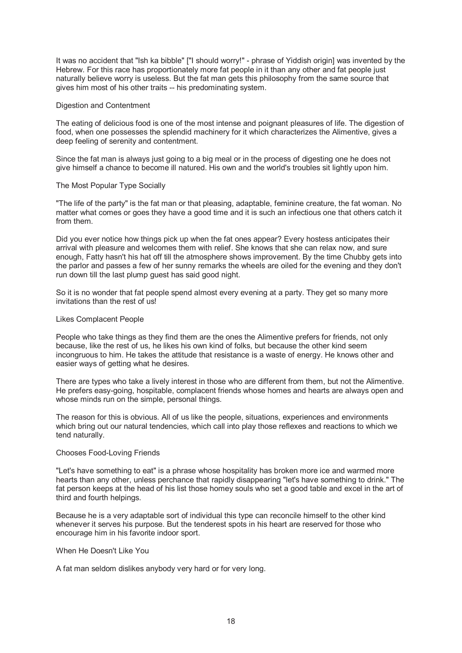It was no accident that "Ish ka bibble" ["I should worry!" - phrase of Yiddish origin] was invented by the Hebrew. For this race has proportionately more fat people in it than any other and fat people just naturally believe worry is useless. But the fat man gets this philosophy from the same source that gives him most of his other traits -- his predominating system.

# Digestion and Contentment

The eating of delicious food is one of the most intense and poignant pleasures of life. The digestion of food, when one possesses the splendid machinery for it which characterizes the Alimentive, gives a deep feeling of serenity and contentment.

Since the fat man is always just going to a big meal or in the process of digesting one he does not give himself a chance to become ill natured. His own and the world's troubles sit lightly upon him.

#### The Most Popular Type Socially

"The life of the party" is the fat man or that pleasing, adaptable, feminine creature, the fat woman. No matter what comes or goes they have a good time and it is such an infectious one that others catch it from them.

Did you ever notice how things pick up when the fat ones appear? Every hostess anticipates their arrival with pleasure and welcomes them with relief. She knows that she can relax now, and sure enough, Fatty hasn't his hat off till the atmosphere shows improvement. By the time Chubby gets into the parlor and passes a few of her sunny remarks the wheels are oiled for the evening and they don't run down till the last plump guest has said good night.

So it is no wonder that fat people spend almost every evening at a party. They get so many more invitations than the rest of us!

#### Likes Complacent People

People who take things as they find them are the ones the Alimentive prefers for friends, not only because, like the rest of us, he likes his own kind of folks, but because the other kind seem incongruous to him. He takes the attitude that resistance is a waste of energy. He knows other and easier ways of getting what he desires.

There are types who take a lively interest in those who are different from them, but not the Alimentive. He prefers easy-going, hospitable, complacent friends whose homes and hearts are always open and whose minds run on the simple, personal things.

The reason for this is obvious. All of us like the people, situations, experiences and environments which bring out our natural tendencies, which call into play those reflexes and reactions to which we tend naturally.

# Chooses Food-Loving Friends

"Let's have something to eat" is a phrase whose hospitality has broken more ice and warmed more hearts than any other, unless perchance that rapidly disappearing "let's have something to drink." The fat person keeps at the head of his list those homey souls who set a good table and excel in the art of third and fourth helpings.

Because he is a very adaptable sort of individual this type can reconcile himself to the other kind whenever it serves his purpose. But the tenderest spots in his heart are reserved for those who encourage him in his favorite indoor sport.

# When He Doesn't Like You

A fat man seldom dislikes anybody very hard or for very long.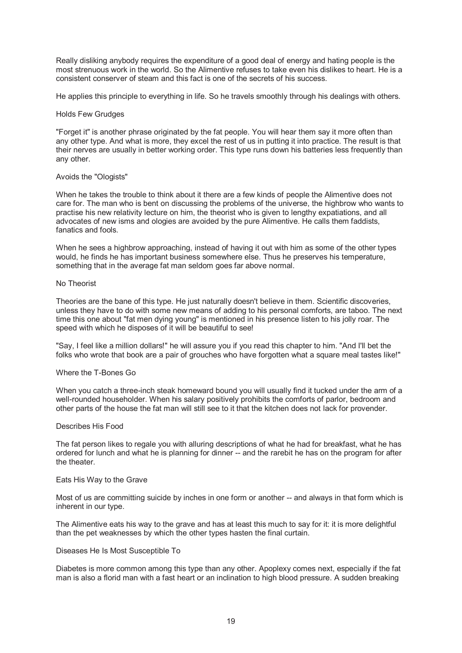Really disliking anybody requires the expenditure of a good deal of energy and hating people is the most strenuous work in the world. So the Alimentive refuses to take even his dislikes to heart. He is a consistent conserver of steam and this fact is one of the secrets of his success.

He applies this principle to everything in life. So he travels smoothly through his dealings with others.

## Holds Few Grudges

"Forget it" is another phrase originated by the fat people. You will hear them say it more often than any other type. And what is more, they excel the rest of us in putting it into practice. The result is that their nerves are usually in better working order. This type runs down his batteries less frequently than any other.

## Avoids the "Ologists"

When he takes the trouble to think about it there are a few kinds of people the Alimentive does not care for. The man who is bent on discussing the problems of the universe, the highbrow who wants to practise his new relativity lecture on him, the theorist who is given to lengthy expatiations, and all advocates of new isms and ologies are avoided by the pure Alimentive. He calls them faddists, fanatics and fools.

When he sees a highbrow approaching, instead of having it out with him as some of the other types would, he finds he has important business somewhere else. Thus he preserves his temperature, something that in the average fat man seldom goes far above normal.

#### No Theorist

Theories are the bane of this type. He just naturally doesn't believe in them. Scientific discoveries, unless they have to do with some new means of adding to his personal comforts, are taboo. The next time this one about "fat men dying young" is mentioned in his presence listen to his jolly roar. The speed with which he disposes of it will be beautiful to see!

"Say, I feel like a million dollars!" he will assure you if you read this chapter to him. "And I'll bet the folks who wrote that book are a pair of grouches who have forgotten what a square meal tastes like!"

## Where the T-Bones Go

When you catch a three-inch steak homeward bound you will usually find it tucked under the arm of a well-rounded householder. When his salary positively prohibits the comforts of parlor, bedroom and other parts of the house the fat man will still see to it that the kitchen does not lack for provender.

#### Describes His Food

The fat person likes to regale you with alluring descriptions of what he had for breakfast, what he has ordered for lunch and what he is planning for dinner -- and the rarebit he has on the program for after the theater.

# Eats His Way to the Grave

Most of us are committing suicide by inches in one form or another -- and always in that form which is inherent in our type.

The Alimentive eats his way to the grave and has at least this much to say for it: it is more delightful than the pet weaknesses by which the other types hasten the final curtain.

#### Diseases He Is Most Susceptible To

Diabetes is more common among this type than any other. Apoplexy comes next, especially if the fat man is also a florid man with a fast heart or an inclination to high blood pressure. A sudden breaking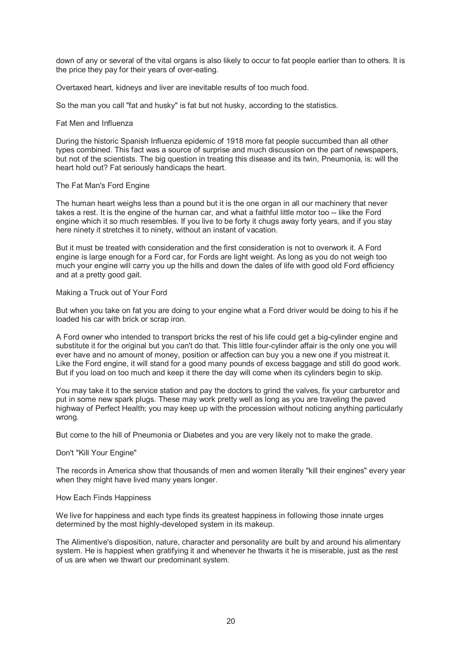down of any or several of the vital organs is also likely to occur to fat people earlier than to others. It is the price they pay for their years of over-eating.

Overtaxed heart, kidneys and liver are inevitable results of too much food.

So the man you call "fat and husky" is fat but not husky, according to the statistics.

# Fat Men and Influenza

During the historic Spanish Influenza epidemic of 1918 more fat people succumbed than all other types combined. This fact was a source of surprise and much discussion on the part of newspapers, but not of the scientists. The big question in treating this disease and its twin, Pneumonia, is: will the heart hold out? Fat seriously handicaps the heart.

#### The Fat Man's Ford Engine

The human heart weighs less than a pound but it is the one organ in all our machinery that never takes a rest. It is the engine of the human car, and what a faithful little motor too -- like the Ford engine which it so much resembles. If you live to be forty it chugs away forty years, and if you stay here ninety it stretches it to ninety, without an instant of vacation.

But it must be treated with consideration and the first consideration is not to overwork it. A Ford engine is large enough for a Ford car, for Fords are light weight. As long as you do not weigh too much your engine will carry you up the hills and down the dales of life with good old Ford efficiency and at a pretty good gait.

# Making a Truck out of Your Ford

But when you take on fat you are doing to your engine what a Ford driver would be doing to his if he loaded his car with brick or scrap iron.

A Ford owner who intended to transport bricks the rest of his life could get a big-cylinder engine and substitute it for the original but you can't do that. This little four-cylinder affair is the only one you will ever have and no amount of money, position or affection can buy you a new one if you mistreat it. Like the Ford engine, it will stand for a good many pounds of excess baggage and still do good work. But if you load on too much and keep it there the day will come when its cylinders begin to skip.

You may take it to the service station and pay the doctors to grind the valves, fix your carburetor and put in some new spark plugs. These may work pretty well as long as you are traveling the paved highway of Perfect Health; you may keep up with the procession without noticing anything particularly wrong.

But come to the hill of Pneumonia or Diabetes and you are very likely not to make the grade.

#### Don't "Kill Your Engine"

The records in America show that thousands of men and women literally "kill their engines" every year when they might have lived many years longer.

#### How Each Finds Happiness

We live for happiness and each type finds its greatest happiness in following those innate urges determined by the most highly-developed system in its makeup.

The Alimentive's disposition, nature, character and personality are built by and around his alimentary system. He is happiest when gratifying it and whenever he thwarts it he is miserable, just as the rest of us are when we thwart our predominant system.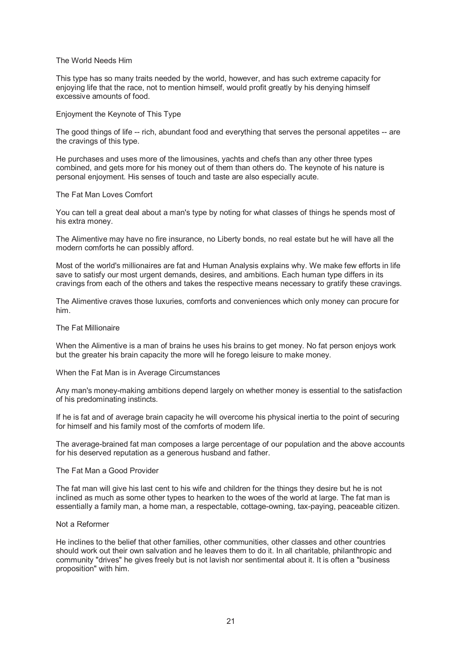## The World Needs Him

This type has so many traits needed by the world, however, and has such extreme capacity for enjoying life that the race, not to mention himself, would profit greatly by his denying himself excessive amounts of food.

#### Enjoyment the Keynote of This Type

The good things of life -- rich, abundant food and everything that serves the personal appetites -- are the cravings of this type.

He purchases and uses more of the limousines, yachts and chefs than any other three types combined, and gets more for his money out of them than others do. The keynote of his nature is personal enjoyment. His senses of touch and taste are also especially acute.

### The Fat Man Loves Comfort

You can tell a great deal about a man's type by noting for what classes of things he spends most of his extra money.

The Alimentive may have no fire insurance, no Liberty bonds, no real estate but he will have all the modern comforts he can possibly afford.

Most of the world's millionaires are fat and Human Analysis explains why. We make few efforts in life save to satisfy our most urgent demands, desires, and ambitions. Each human type differs in its cravings from each of the others and takes the respective means necessary to gratify these cravings.

The Alimentive craves those luxuries, comforts and conveniences which only money can procure for him.

# The Fat Millionaire

When the Alimentive is a man of brains he uses his brains to get money. No fat person enjoys work but the greater his brain capacity the more will he forego leisure to make money.

#### When the Fat Man is in Average Circumstances

Any man's money-making ambitions depend largely on whether money is essential to the satisfaction of his predominating instincts.

If he is fat and of average brain capacity he will overcome his physical inertia to the point of securing for himself and his family most of the comforts of modern life.

The average-brained fat man composes a large percentage of our population and the above accounts for his deserved reputation as a generous husband and father.

# The Fat Man a Good Provider

The fat man will give his last cent to his wife and children for the things they desire but he is not inclined as much as some other types to hearken to the woes of the world at large. The fat man is essentially a family man, a home man, a respectable, cottage-owning, tax-paying, peaceable citizen.

#### Not a Reformer

He inclines to the belief that other families, other communities, other classes and other countries should work out their own salvation and he leaves them to do it. In all charitable, philanthropic and community "drives" he gives freely but is not lavish nor sentimental about it. It is often a "business proposition" with him.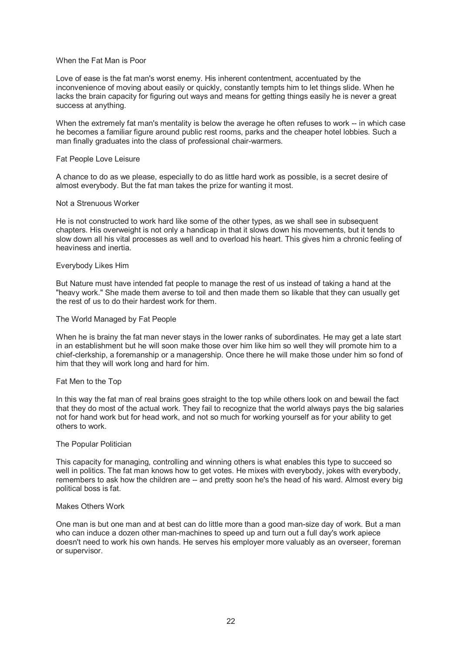# When the Fat Man is Poor

Love of ease is the fat man's worst enemy. His inherent contentment, accentuated by the inconvenience of moving about easily or quickly, constantly tempts him to let things slide. When he lacks the brain capacity for figuring out ways and means for getting things easily he is never a great success at anything.

When the extremely fat man's mentality is below the average he often refuses to work -- in which case he becomes a familiar figure around public rest rooms, parks and the cheaper hotel lobbies. Such a man finally graduates into the class of professional chair-warmers.

# Fat People Love Leisure

A chance to do as we please, especially to do as little hard work as possible, is a secret desire of almost everybody. But the fat man takes the prize for wanting it most.

# Not a Strenuous Worker

He is not constructed to work hard like some of the other types, as we shall see in subsequent chapters. His overweight is not only a handicap in that it slows down his movements, but it tends to slow down all his vital processes as well and to overload his heart. This gives him a chronic feeling of heaviness and inertia.

# Everybody Likes Him

But Nature must have intended fat people to manage the rest of us instead of taking a hand at the "heavy work." She made them averse to toil and then made them so likable that they can usually get the rest of us to do their hardest work for them.

# The World Managed by Fat People

When he is brainy the fat man never stays in the lower ranks of subordinates. He may get a late start in an establishment but he will soon make those over him like him so well they will promote him to a chief-clerkship, a foremanship or a managership. Once there he will make those under him so fond of him that they will work long and hard for him.

# Fat Men to the Top

In this way the fat man of real brains goes straight to the top while others look on and bewail the fact that they do most of the actual work. They fail to recognize that the world always pays the big salaries not for hand work but for head work, and not so much for working yourself as for your ability to get others to work.

# The Popular Politician

This capacity for managing, controlling and winning others is what enables this type to succeed so well in politics. The fat man knows how to get votes. He mixes with everybody, jokes with everybody, remembers to ask how the children are -- and pretty soon he's the head of his ward. Almost every big political boss is fat.

# Makes Others Work

One man is but one man and at best can do little more than a good man-size day of work. But a man who can induce a dozen other man-machines to speed up and turn out a full day's work apiece doesn't need to work his own hands. He serves his employer more valuably as an overseer, foreman or supervisor.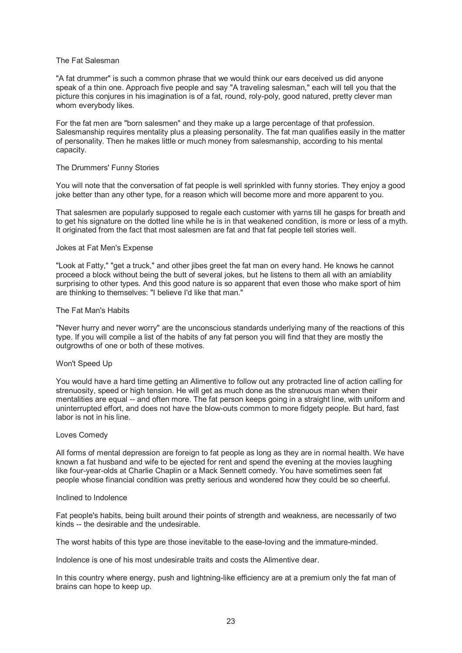## The Fat Salesman

"A fat drummer" is such a common phrase that we would think our ears deceived us did anyone speak of a thin one. Approach five people and say "A traveling salesman," each will tell you that the picture this conjures in his imagination is of a fat, round, roly-poly, good natured, pretty clever man whom everybody likes.

For the fat men are "born salesmen" and they make up a large percentage of that profession. Salesmanship requires mentality plus a pleasing personality. The fat man qualifies easily in the matter of personality. Then he makes little or much money from salesmanship, according to his mental capacity.

#### The Drummers' Funny Stories

You will note that the conversation of fat people is well sprinkled with funny stories. They enjoy a good joke better than any other type, for a reason which will become more and more apparent to you.

That salesmen are popularly supposed to regale each customer with yarns till he gasps for breath and to get his signature on the dotted line while he is in that weakened condition, is more or less of a myth. It originated from the fact that most salesmen are fat and that fat people tell stories well.

#### Jokes at Fat Men's Expense

"Look at Fatty," "get a truck," and other jibes greet the fat man on every hand. He knows he cannot proceed a block without being the butt of several jokes, but he listens to them all with an amiability surprising to other types. And this good nature is so apparent that even those who make sport of him are thinking to themselves: "I believe I'd like that man."

# The Fat Man's Habits

"Never hurry and never worry" are the unconscious standards underlying many of the reactions of this type. If you will compile a list of the habits of any fat person you will find that they are mostly the outgrowths of one or both of these motives.

# Won't Speed Up

You would have a hard time getting an Alimentive to follow out any protracted line of action calling for strenuosity, speed or high tension. He will get as much done as the strenuous man when their mentalities are equal -- and often more. The fat person keeps going in a straight line, with uniform and uninterrupted effort, and does not have the blow-outs common to more fidgety people. But hard, fast labor is not in his line.

#### Loves Comedy

All forms of mental depression are foreign to fat people as long as they are in normal health. We have known a fat husband and wife to be ejected for rent and spend the evening at the movies laughing like four-year-olds at Charlie Chaplin or a Mack Sennett comedy. You have sometimes seen fat people whose financial condition was pretty serious and wondered how they could be so cheerful.

## Inclined to Indolence

Fat people's habits, being built around their points of strength and weakness, are necessarily of two kinds -- the desirable and the undesirable.

The worst habits of this type are those inevitable to the ease-loving and the immature-minded.

Indolence is one of his most undesirable traits and costs the Alimentive dear.

In this country where energy, push and lightning-like efficiency are at a premium only the fat man of brains can hope to keep up.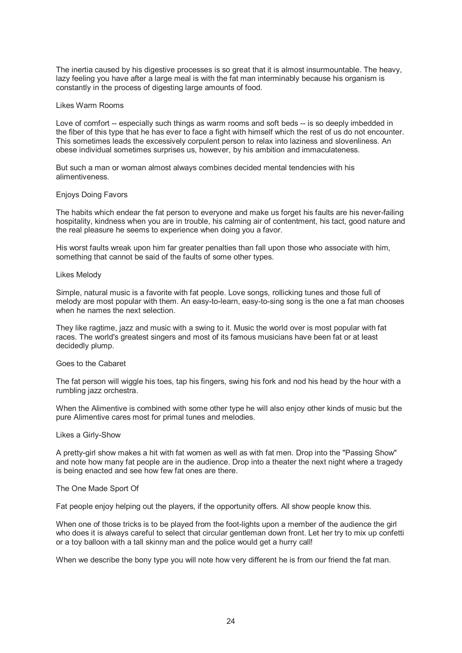The inertia caused by his digestive processes is so great that it is almost insurmountable. The heavy, lazy feeling you have after a large meal is with the fat man interminably because his organism is constantly in the process of digesting large amounts of food.

#### Likes Warm Rooms

Love of comfort -- especially such things as warm rooms and soft beds -- is so deeply imbedded in the fiber of this type that he has ever to face a fight with himself which the rest of us do not encounter. This sometimes leads the excessively corpulent person to relax into laziness and slovenliness. An obese individual sometimes surprises us, however, by his ambition and immaculateness.

But such a man or woman almost always combines decided mental tendencies with his alimentiveness.

#### Enjoys Doing Favors

The habits which endear the fat person to everyone and make us forget his faults are his never-failing hospitality, kindness when you are in trouble, his calming air of contentment, his tact, good nature and the real pleasure he seems to experience when doing you a favor.

His worst faults wreak upon him far greater penalties than fall upon those who associate with him, something that cannot be said of the faults of some other types.

#### Likes Melody

Simple, natural music is a favorite with fat people. Love songs, rollicking tunes and those full of melody are most popular with them. An easy-to-learn, easy-to-sing song is the one a fat man chooses when he names the next selection.

They like ragtime, jazz and music with a swing to it. Music the world over is most popular with fat races. The world's greatest singers and most of its famous musicians have been fat or at least decidedly plump.

#### Goes to the Cabaret

The fat person will wiggle his toes, tap his fingers, swing his fork and nod his head by the hour with a rumbling jazz orchestra.

When the Alimentive is combined with some other type he will also enjoy other kinds of music but the pure Alimentive cares most for primal tunes and melodies.

#### Likes a Girly-Show

A pretty-girl show makes a hit with fat women as well as with fat men. Drop into the "Passing Show" and note how many fat people are in the audience. Drop into a theater the next night where a tragedy is being enacted and see how few fat ones are there.

# The One Made Sport Of

Fat people enjoy helping out the players, if the opportunity offers. All show people know this.

When one of those tricks is to be played from the foot-lights upon a member of the audience the girl who does it is always careful to select that circular gentleman down front. Let her try to mix up confetti or a toy balloon with a tall skinny man and the police would get a hurry call!

When we describe the bony type you will note how very different he is from our friend the fat man.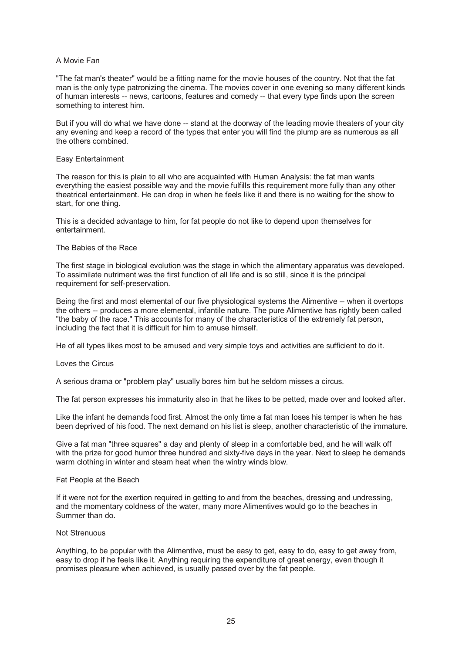# A Movie Fan

"The fat man's theater" would be a fitting name for the movie houses of the country. Not that the fat man is the only type patronizing the cinema. The movies cover in one evening so many different kinds of human interests -- news, cartoons, features and comedy -- that every type finds upon the screen something to interest him.

But if you will do what we have done -- stand at the doorway of the leading movie theaters of your city any evening and keep a record of the types that enter you will find the plump are as numerous as all the others combined.

# Easy Entertainment

The reason for this is plain to all who are acquainted with Human Analysis: the fat man wants everything the easiest possible way and the movie fulfills this requirement more fully than any other theatrical entertainment. He can drop in when he feels like it and there is no waiting for the show to start, for one thing.

This is a decided advantage to him, for fat people do not like to depend upon themselves for entertainment.

# The Babies of the Race

The first stage in biological evolution was the stage in which the alimentary apparatus was developed. To assimilate nutriment was the first function of all life and is so still, since it is the principal requirement for self-preservation.

Being the first and most elemental of our five physiological systems the Alimentive -- when it overtops the others -- produces a more elemental, infantile nature. The pure Alimentive has rightly been called "the baby of the race." This accounts for many of the characteristics of the extremely fat person, including the fact that it is difficult for him to amuse himself.

He of all types likes most to be amused and very simple toys and activities are sufficient to do it.

# Loves the Circus

A serious drama or "problem play" usually bores him but he seldom misses a circus.

The fat person expresses his immaturity also in that he likes to be petted, made over and looked after.

Like the infant he demands food first. Almost the only time a fat man loses his temper is when he has been deprived of his food. The next demand on his list is sleep, another characteristic of the immature.

Give a fat man "three squares" a day and plenty of sleep in a comfortable bed, and he will walk off with the prize for good humor three hundred and sixty-five days in the year. Next to sleep he demands warm clothing in winter and steam heat when the wintry winds blow.

# Fat People at the Beach

If it were not for the exertion required in getting to and from the beaches, dressing and undressing, and the momentary coldness of the water, many more Alimentives would go to the beaches in Summer than do.

# Not Strenuous

Anything, to be popular with the Alimentive, must be easy to get, easy to do, easy to get away from, easy to drop if he feels like it. Anything requiring the expenditure of great energy, even though it promises pleasure when achieved, is usually passed over by the fat people.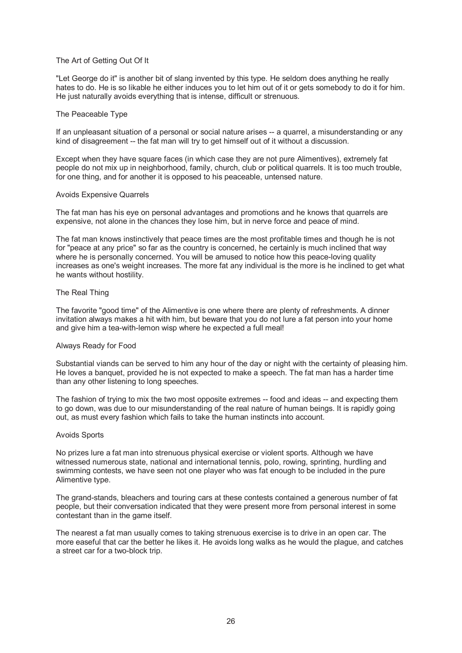# The Art of Getting Out Of It

"Let George do it" is another bit of slang invented by this type. He seldom does anything he really hates to do. He is so likable he either induces you to let him out of it or gets somebody to do it for him. He just naturally avoids everything that is intense, difficult or strenuous.

# The Peaceable Type

If an unpleasant situation of a personal or social nature arises -- a quarrel, a misunderstanding or any kind of disagreement -- the fat man will try to get himself out of it without a discussion.

Except when they have square faces (in which case they are not pure Alimentives), extremely fat people do not mix up in neighborhood, family, church, club or political quarrels. It is too much trouble, for one thing, and for another it is opposed to his peaceable, untensed nature.

#### Avoids Expensive Quarrels

The fat man has his eye on personal advantages and promotions and he knows that quarrels are expensive, not alone in the chances they lose him, but in nerve force and peace of mind.

The fat man knows instinctively that peace times are the most profitable times and though he is not for "peace at any price" so far as the country is concerned, he certainly is much inclined that way where he is personally concerned. You will be amused to notice how this peace-loving quality increases as one's weight increases. The more fat any individual is the more is he inclined to get what he wants without hostility.

# The Real Thing

The favorite "good time" of the Alimentive is one where there are plenty of refreshments. A dinner invitation always makes a hit with him, but beware that you do not lure a fat person into your home and give him a tea-with-lemon wisp where he expected a full meal!

# Always Ready for Food

Substantial viands can be served to him any hour of the day or night with the certainty of pleasing him. He loves a banquet, provided he is not expected to make a speech. The fat man has a harder time than any other listening to long speeches.

The fashion of trying to mix the two most opposite extremes -- food and ideas -- and expecting them to go down, was due to our misunderstanding of the real nature of human beings. It is rapidly going out, as must every fashion which fails to take the human instincts into account.

# Avoids Sports

No prizes lure a fat man into strenuous physical exercise or violent sports. Although we have witnessed numerous state, national and international tennis, polo, rowing, sprinting, hurdling and swimming contests, we have seen not one player who was fat enough to be included in the pure Alimentive type.

The grand-stands, bleachers and touring cars at these contests contained a generous number of fat people, but their conversation indicated that they were present more from personal interest in some contestant than in the game itself.

The nearest a fat man usually comes to taking strenuous exercise is to drive in an open car. The more easeful that car the better he likes it. He avoids long walks as he would the plague, and catches a street car for a two-block trip.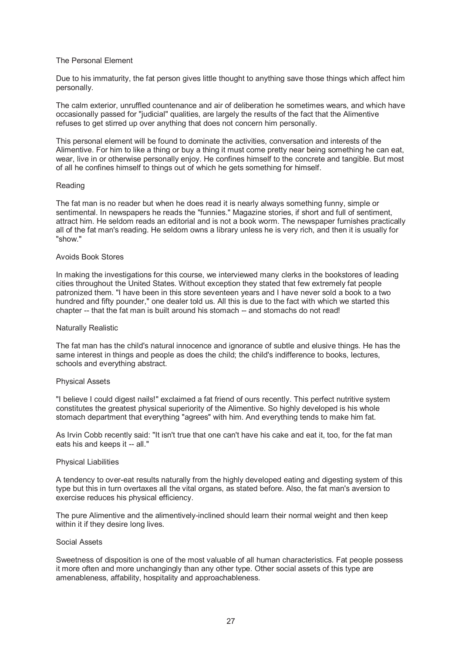# The Personal Element

Due to his immaturity, the fat person gives little thought to anything save those things which affect him personally.

The calm exterior, unruffled countenance and air of deliberation he sometimes wears, and which have occasionally passed for "judicial" qualities, are largely the results of the fact that the Alimentive refuses to get stirred up over anything that does not concern him personally.

This personal element will be found to dominate the activities, conversation and interests of the Alimentive. For him to like a thing or buy a thing it must come pretty near being something he can eat, wear, live in or otherwise personally enjoy. He confines himself to the concrete and tangible. But most of all he confines himself to things out of which he gets something for himself.

#### Reading

The fat man is no reader but when he does read it is nearly always something funny, simple or sentimental. In newspapers he reads the "funnies." Magazine stories, if short and full of sentiment, attract him. He seldom reads an editorial and is not a book worm. The newspaper furnishes practically all of the fat man's reading. He seldom owns a library unless he is very rich, and then it is usually for "show."

#### Avoids Book Stores

In making the investigations for this course, we interviewed many clerks in the bookstores of leading cities throughout the United States. Without exception they stated that few extremely fat people patronized them. "I have been in this store seventeen years and I have never sold a book to a two hundred and fifty pounder," one dealer told us. All this is due to the fact with which we started this chapter -- that the fat man is built around his stomach -- and stomachs do not read!

#### Naturally Realistic

The fat man has the child's natural innocence and ignorance of subtle and elusive things. He has the same interest in things and people as does the child; the child's indifference to books, lectures, schools and everything abstract.

#### Physical Assets

"I believe I could digest nails!" exclaimed a fat friend of ours recently. This perfect nutritive system constitutes the greatest physical superiority of the Alimentive. So highly developed is his whole stomach department that everything "agrees" with him. And everything tends to make him fat.

As Irvin Cobb recently said: "It isn't true that one can't have his cake and eat it, too, for the fat man eats his and keeps it -- all."

# Physical Liabilities

A tendency to over-eat results naturally from the highly developed eating and digesting system of this type but this in turn overtaxes all the vital organs, as stated before. Also, the fat man's aversion to exercise reduces his physical efficiency.

The pure Alimentive and the alimentively-inclined should learn their normal weight and then keep within it if they desire long lives.

#### Social Assets

Sweetness of disposition is one of the most valuable of all human characteristics. Fat people possess it more often and more unchangingly than any other type. Other social assets of this type are amenableness, affability, hospitality and approachableness.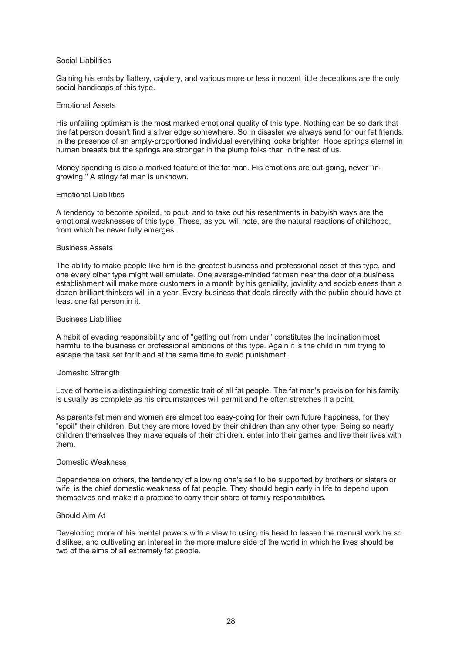## Social Liabilities

Gaining his ends by flattery, cajolery, and various more or less innocent little deceptions are the only social handicaps of this type.

#### Emotional Assets

His unfailing optimism is the most marked emotional quality of this type. Nothing can be so dark that the fat person doesn't find a silver edge somewhere. So in disaster we always send for our fat friends. In the presence of an amply-proportioned individual everything looks brighter. Hope springs eternal in human breasts but the springs are stronger in the plump folks than in the rest of us.

Money spending is also a marked feature of the fat man. His emotions are out-going, never "ingrowing." A stingy fat man is unknown.

#### Emotional Liabilities

A tendency to become spoiled, to pout, and to take out his resentments in babyish ways are the emotional weaknesses of this type. These, as you will note, are the natural reactions of childhood, from which he never fully emerges.

#### Business Assets

The ability to make people like him is the greatest business and professional asset of this type, and one every other type might well emulate. One average-minded fat man near the door of a business establishment will make more customers in a month by his geniality, joviality and sociableness than a dozen brilliant thinkers will in a year. Every business that deals directly with the public should have at least one fat person in it.

## Business Liabilities

A habit of evading responsibility and of "getting out from under" constitutes the inclination most harmful to the business or professional ambitions of this type. Again it is the child in him trying to escape the task set for it and at the same time to avoid punishment.

#### Domestic Strength

Love of home is a distinguishing domestic trait of all fat people. The fat man's provision for his family is usually as complete as his circumstances will permit and he often stretches it a point.

As parents fat men and women are almost too easy-going for their own future happiness, for they "spoil" their children. But they are more loved by their children than any other type. Being so nearly children themselves they make equals of their children, enter into their games and live their lives with them.

## Domestic Weakness

Dependence on others, the tendency of allowing one's self to be supported by brothers or sisters or wife, is the chief domestic weakness of fat people. They should begin early in life to depend upon themselves and make it a practice to carry their share of family responsibilities.

#### Should Aim At

Developing more of his mental powers with a view to using his head to lessen the manual work he so dislikes, and cultivating an interest in the more mature side of the world in which he lives should be two of the aims of all extremely fat people.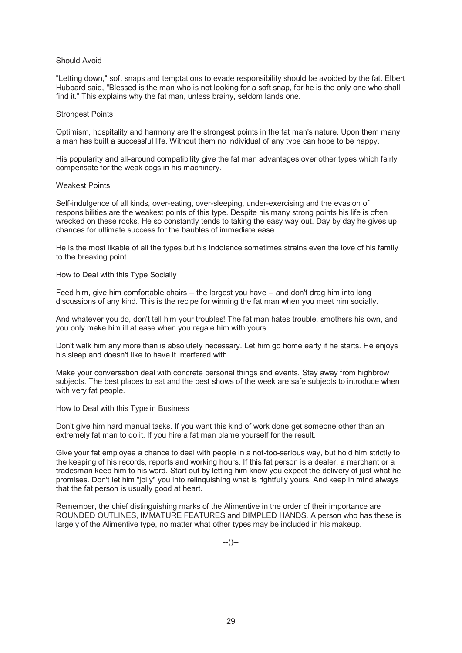## Should Avoid

"Letting down," soft snaps and temptations to evade responsibility should be avoided by the fat. Elbert Hubbard said, "Blessed is the man who is not looking for a soft snap, for he is the only one who shall find it." This explains why the fat man, unless brainy, seldom lands one.

## Strongest Points

Optimism, hospitality and harmony are the strongest points in the fat man's nature. Upon them many a man has built a successful life. Without them no individual of any type can hope to be happy.

His popularity and all-around compatibility give the fat man advantages over other types which fairly compensate for the weak cogs in his machinery.

# Weakest Points

Self-indulgence of all kinds, over-eating, over-sleeping, under-exercising and the evasion of responsibilities are the weakest points of this type. Despite his many strong points his life is often wrecked on these rocks. He so constantly tends to taking the easy way out. Day by day he gives up chances for ultimate success for the baubles of immediate ease.

He is the most likable of all the types but his indolence sometimes strains even the love of his family to the breaking point.

How to Deal with this Type Socially

Feed him, give him comfortable chairs -- the largest you have -- and don't drag him into long discussions of any kind. This is the recipe for winning the fat man when you meet him socially.

And whatever you do, don't tell him your troubles! The fat man hates trouble, smothers his own, and you only make him ill at ease when you regale him with yours.

Don't walk him any more than is absolutely necessary. Let him go home early if he starts. He enjoys his sleep and doesn't like to have it interfered with.

Make your conversation deal with concrete personal things and events. Stay away from highbrow subjects. The best places to eat and the best shows of the week are safe subjects to introduce when with very fat people.

How to Deal with this Type in Business

Don't give him hard manual tasks. If you want this kind of work done get someone other than an extremely fat man to do it. If you hire a fat man blame yourself for the result.

Give your fat employee a chance to deal with people in a not-too-serious way, but hold him strictly to the keeping of his records, reports and working hours. If this fat person is a dealer, a merchant or a tradesman keep him to his word. Start out by letting him know you expect the delivery of just what he promises. Don't let him "jolly" you into relinquishing what is rightfully yours. And keep in mind always that the fat person is usually good at heart.

Remember, the chief distinguishing marks of the Alimentive in the order of their importance are ROUNDED OUTLINES, IMMATURE FEATURES and DIMPLED HANDS. A person who has these is largely of the Alimentive type, no matter what other types may be included in his makeup.

--()--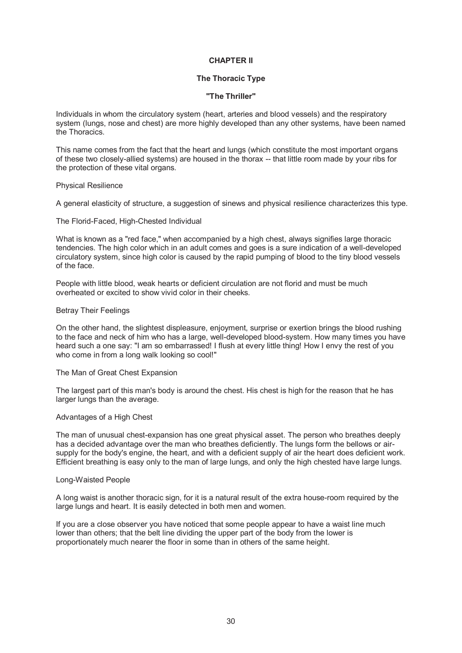# **CHAPTER II**

# **The Thoracic Type**

# **"The Thriller"**

Individuals in whom the circulatory system (heart, arteries and blood vessels) and the respiratory system (lungs, nose and chest) are more highly developed than any other systems, have been named the Thoracics.

This name comes from the fact that the heart and lungs (which constitute the most important organs of these two closely-allied systems) are housed in the thorax -- that little room made by your ribs for the protection of these vital organs.

#### Physical Resilience

A general elasticity of structure, a suggestion of sinews and physical resilience characterizes this type.

#### The Florid-Faced, High-Chested Individual

What is known as a "red face," when accompanied by a high chest, always signifies large thoracic tendencies. The high color which in an adult comes and goes is a sure indication of a well-developed circulatory system, since high color is caused by the rapid pumping of blood to the tiny blood vessels of the face.

People with little blood, weak hearts or deficient circulation are not florid and must be much overheated or excited to show vivid color in their cheeks.

#### Betray Their Feelings

On the other hand, the slightest displeasure, enjoyment, surprise or exertion brings the blood rushing to the face and neck of him who has a large, well-developed blood-system. How many times you have heard such a one say: "I am so embarrassed! I flush at every little thing! How I envy the rest of you who come in from a long walk looking so cool!"

# The Man of Great Chest Expansion

The largest part of this man's body is around the chest. His chest is high for the reason that he has larger lungs than the average.

# Advantages of a High Chest

The man of unusual chest-expansion has one great physical asset. The person who breathes deeply has a decided advantage over the man who breathes deficiently. The lungs form the bellows or airsupply for the body's engine, the heart, and with a deficient supply of air the heart does deficient work. Efficient breathing is easy only to the man of large lungs, and only the high chested have large lungs.

# Long-Waisted People

A long waist is another thoracic sign, for it is a natural result of the extra house-room required by the large lungs and heart. It is easily detected in both men and women.

If you are a close observer you have noticed that some people appear to have a waist line much lower than others; that the belt line dividing the upper part of the body from the lower is proportionately much nearer the floor in some than in others of the same height.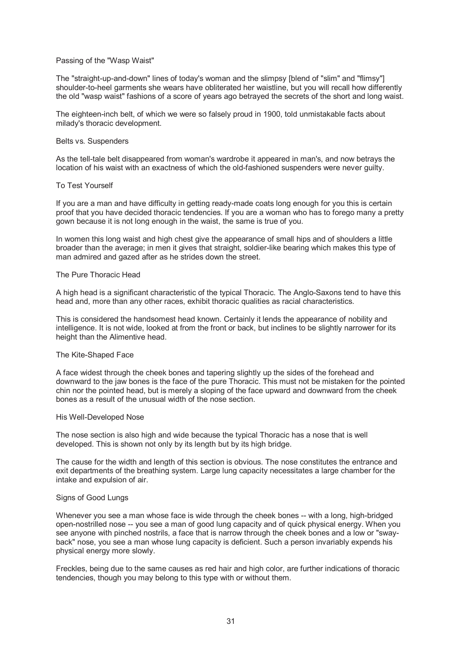# Passing of the "Wasp Waist"

The "straight-up-and-down" lines of today's woman and the slimpsy [blend of "slim" and "flimsy"] shoulder-to-heel garments she wears have obliterated her waistline, but you will recall how differently the old "wasp waist" fashions of a score of years ago betrayed the secrets of the short and long waist.

The eighteen-inch belt, of which we were so falsely proud in 1900, told unmistakable facts about milady's thoracic development.

# Belts vs. Suspenders

As the tell-tale belt disappeared from woman's wardrobe it appeared in man's, and now betrays the location of his waist with an exactness of which the old-fashioned suspenders were never guilty.

# To Test Yourself

If you are a man and have difficulty in getting ready-made coats long enough for you this is certain proof that you have decided thoracic tendencies. If you are a woman who has to forego many a pretty gown because it is not long enough in the waist, the same is true of you.

In women this long waist and high chest give the appearance of small hips and of shoulders a little broader than the average; in men it gives that straight, soldier-like bearing which makes this type of man admired and gazed after as he strides down the street.

# The Pure Thoracic Head

A high head is a significant characteristic of the typical Thoracic. The Anglo-Saxons tend to have this head and, more than any other races, exhibit thoracic qualities as racial characteristics.

This is considered the handsomest head known. Certainly it lends the appearance of nobility and intelligence. It is not wide, looked at from the front or back, but inclines to be slightly narrower for its height than the Alimentive head.

# The Kite-Shaped Face

A face widest through the cheek bones and tapering slightly up the sides of the forehead and downward to the jaw bones is the face of the pure Thoracic. This must not be mistaken for the pointed chin nor the pointed head, but is merely a sloping of the face upward and downward from the cheek bones as a result of the unusual width of the nose section.

# His Well-Developed Nose

The nose section is also high and wide because the typical Thoracic has a nose that is well developed. This is shown not only by its length but by its high bridge.

The cause for the width and length of this section is obvious. The nose constitutes the entrance and exit departments of the breathing system. Large lung capacity necessitates a large chamber for the intake and expulsion of air.

# Signs of Good Lungs

Whenever you see a man whose face is wide through the cheek bones -- with a long, high-bridged open-nostrilled nose -- you see a man of good lung capacity and of quick physical energy. When you see anyone with pinched nostrils, a face that is narrow through the cheek bones and a low or "swayback" nose, you see a man whose lung capacity is deficient. Such a person invariably expends his physical energy more slowly.

Freckles, being due to the same causes as red hair and high color, are further indications of thoracic tendencies, though you may belong to this type with or without them.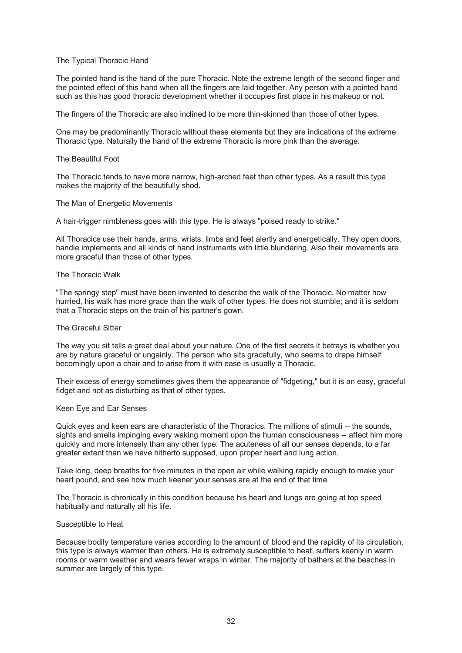# The Typical Thoracic Hand

The pointed hand is the hand of the pure Thoracic. Note the extreme length of the second finger and the pointed effect of this hand when all the fingers are laid together. Any person with a pointed hand such as this has good thoracic development whether it occupies first place in his makeup or not.

The fingers of the Thoracic are also inclined to be more thin-skinned than those of other types.

One may be predominantly Thoracic without these elements but they are indications of the extreme Thoracic type. Naturally the hand of the extreme Thoracic is more pink than the average.

#### The Beautiful Foot

The Thoracic tends to have more narrow, high-arched feet than other types. As a result this type makes the majority of the beautifully shod.

#### The Man of Energetic Movements

A hair-trigger nimbleness goes with this type. He is always "poised ready to strike."

All Thoracics use their hands, arms, wrists, limbs and feet alertly and energetically. They open doors, handle implements and all kinds of hand instruments with little blundering. Also their movements are more graceful than those of other types.

#### The Thoracic Walk

"The springy step" must have been invented to describe the walk of the Thoracic. No matter how hurried, his walk has more grace than the walk of other types. He does not stumble; and it is seldom that a Thoracic steps on the train of his partner's gown.

#### The Graceful Sitter

The way you sit tells a great deal about your nature. One of the first secrets it betrays is whether you are by nature graceful or ungainly. The person who sits gracefully, who seems to drape himself becomingly upon a chair and to arise from it with ease is usually a Thoracic.

Their excess of energy sometimes gives them the appearance of "fidgeting," but it is an easy, graceful fidget and not as disturbing as that of other types.

#### Keen Eye and Ear Senses

Quick eyes and keen ears are characteristic of the Thoracics. The millions of stimuli -- the sounds, sights and smells impinging every waking moment upon the human consciousness -- affect him more quickly and more intensely than any other type. The acuteness of all our senses depends, to a far greater extent than we have hitherto supposed, upon proper heart and lung action.

Take long, deep breaths for five minutes in the open air while walking rapidly enough to make your heart pound, and see how much keener your senses are at the end of that time.

The Thoracic is chronically in this condition because his heart and lungs are going at top speed habitually and naturally all his life.

#### Susceptible to Heat

Because bodily temperature varies according to the amount of blood and the rapidity of its circulation, this type is always warmer than others. He is extremely susceptible to heat, suffers keenly in warm rooms or warm weather and wears fewer wraps in winter. The majority of bathers at the beaches in summer are largely of this type.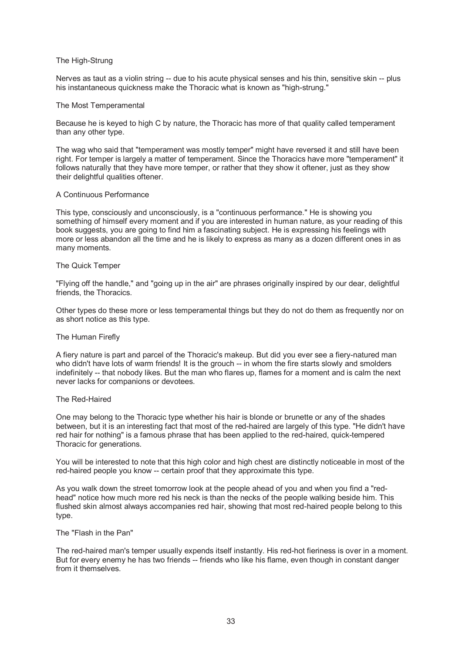# The High-Strung

Nerves as taut as a violin string -- due to his acute physical senses and his thin, sensitive skin -- plus his instantaneous quickness make the Thoracic what is known as "high-strung."

# The Most Temperamental

Because he is keyed to high C by nature, the Thoracic has more of that quality called temperament than any other type.

The wag who said that "temperament was mostly temper" might have reversed it and still have been right. For temper is largely a matter of temperament. Since the Thoracics have more "temperament" it follows naturally that they have more temper, or rather that they show it oftener, just as they show their delightful qualities oftener.

# A Continuous Performance

This type, consciously and unconsciously, is a "continuous performance." He is showing you something of himself every moment and if you are interested in human nature, as your reading of this book suggests, you are going to find him a fascinating subject. He is expressing his feelings with more or less abandon all the time and he is likely to express as many as a dozen different ones in as many moments.

# The Quick Temper

"Flying off the handle," and "going up in the air" are phrases originally inspired by our dear, delightful friends, the Thoracics.

Other types do these more or less temperamental things but they do not do them as frequently nor on as short notice as this type.

# The Human Firefly

A fiery nature is part and parcel of the Thoracic's makeup. But did you ever see a fiery-natured man who didn't have lots of warm friends! It is the grouch -- in whom the fire starts slowly and smolders indefinitely -- that nobody likes. But the man who flares up, flames for a moment and is calm the next never lacks for companions or devotees.

# The Red-Haired

One may belong to the Thoracic type whether his hair is blonde or brunette or any of the shades between, but it is an interesting fact that most of the red-haired are largely of this type. "He didn't have red hair for nothing" is a famous phrase that has been applied to the red-haired, quick-tempered Thoracic for generations.

You will be interested to note that this high color and high chest are distinctly noticeable in most of the red-haired people you know -- certain proof that they approximate this type.

As you walk down the street tomorrow look at the people ahead of you and when you find a "redhead" notice how much more red his neck is than the necks of the people walking beside him. This flushed skin almost always accompanies red hair, showing that most red-haired people belong to this type.

# The "Flash in the Pan"

The red-haired man's temper usually expends itself instantly. His red-hot fieriness is over in a moment. But for every enemy he has two friends -- friends who like his flame, even though in constant danger from it themselves.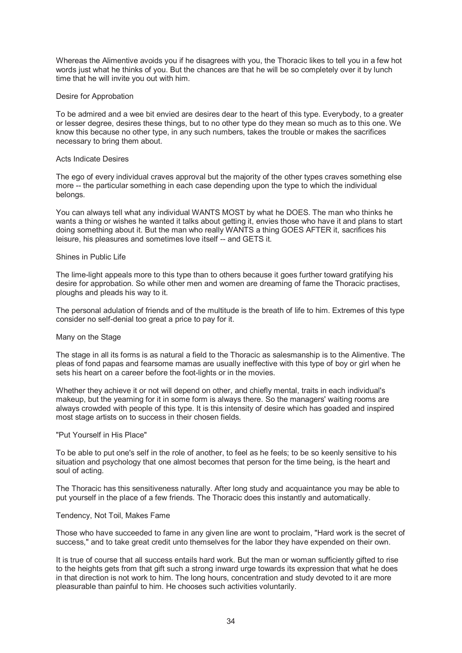Whereas the Alimentive avoids you if he disagrees with you, the Thoracic likes to tell you in a few hot words just what he thinks of you. But the chances are that he will be so completely over it by lunch time that he will invite you out with him.

# Desire for Approbation

To be admired and a wee bit envied are desires dear to the heart of this type. Everybody, to a greater or lesser degree, desires these things, but to no other type do they mean so much as to this one. We know this because no other type, in any such numbers, takes the trouble or makes the sacrifices necessary to bring them about.

# Acts Indicate Desires

The ego of every individual craves approval but the majority of the other types craves something else more -- the particular something in each case depending upon the type to which the individual belongs.

You can always tell what any individual WANTS MOST by what he DOES. The man who thinks he wants a thing or wishes he wanted it talks about getting it, envies those who have it and plans to start doing something about it. But the man who really WANTS a thing GOES AFTER it, sacrifices his leisure, his pleasures and sometimes love itself -- and GETS it.

# Shines in Public Life

The lime-light appeals more to this type than to others because it goes further toward gratifying his desire for approbation. So while other men and women are dreaming of fame the Thoracic practises, ploughs and pleads his way to it.

The personal adulation of friends and of the multitude is the breath of life to him. Extremes of this type consider no self-denial too great a price to pay for it.

# Many on the Stage

The stage in all its forms is as natural a field to the Thoracic as salesmanship is to the Alimentive. The pleas of fond papas and fearsome mamas are usually ineffective with this type of boy or girl when he sets his heart on a career before the foot-lights or in the movies.

Whether they achieve it or not will depend on other, and chiefly mental, traits in each individual's makeup, but the yearning for it in some form is always there. So the managers' waiting rooms are always crowded with people of this type. It is this intensity of desire which has goaded and inspired most stage artists on to success in their chosen fields.

# "Put Yourself in His Place"

To be able to put one's self in the role of another, to feel as he feels; to be so keenly sensitive to his situation and psychology that one almost becomes that person for the time being, is the heart and soul of acting.

The Thoracic has this sensitiveness naturally. After long study and acquaintance you may be able to put yourself in the place of a few friends. The Thoracic does this instantly and automatically.

# Tendency, Not Toil, Makes Fame

Those who have succeeded to fame in any given line are wont to proclaim, "Hard work is the secret of success," and to take great credit unto themselves for the labor they have expended on their own.

It is true of course that all success entails hard work. But the man or woman sufficiently gifted to rise to the heights gets from that gift such a strong inward urge towards its expression that what he does in that direction is not work to him. The long hours, concentration and study devoted to it are more pleasurable than painful to him. He chooses such activities voluntarily.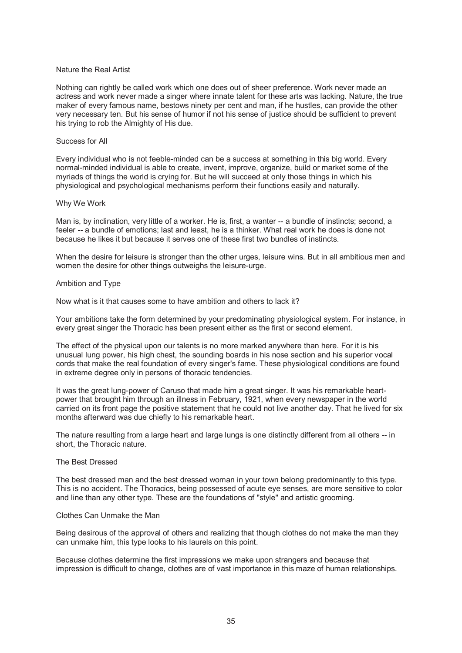# Nature the Real Artist

Nothing can rightly be called work which one does out of sheer preference. Work never made an actress and work never made a singer where innate talent for these arts was lacking. Nature, the true maker of every famous name, bestows ninety per cent and man, if he hustles, can provide the other very necessary ten. But his sense of humor if not his sense of justice should be sufficient to prevent his trying to rob the Almighty of His due.

#### Success for All

Every individual who is not feeble-minded can be a success at something in this big world. Every normal-minded individual is able to create, invent, improve, organize, build or market some of the myriads of things the world is crying for. But he will succeed at only those things in which his physiological and psychological mechanisms perform their functions easily and naturally.

# Why We Work

Man is, by inclination, very little of a worker. He is, first, a wanter -- a bundle of instincts; second, a feeler -- a bundle of emotions; last and least, he is a thinker. What real work he does is done not because he likes it but because it serves one of these first two bundles of instincts.

When the desire for leisure is stronger than the other urges, leisure wins. But in all ambitious men and women the desire for other things outweighs the leisure-urge.

#### Ambition and Type

Now what is it that causes some to have ambition and others to lack it?

Your ambitions take the form determined by your predominating physiological system. For instance, in every great singer the Thoracic has been present either as the first or second element.

The effect of the physical upon our talents is no more marked anywhere than here. For it is his unusual lung power, his high chest, the sounding boards in his nose section and his superior vocal cords that make the real foundation of every singer's fame. These physiological conditions are found in extreme degree only in persons of thoracic tendencies.

It was the great lung-power of Caruso that made him a great singer. It was his remarkable heartpower that brought him through an illness in February, 1921, when every newspaper in the world carried on its front page the positive statement that he could not live another day. That he lived for six months afterward was due chiefly to his remarkable heart.

The nature resulting from a large heart and large lungs is one distinctly different from all others -- in short, the Thoracic nature.

## The Best Dressed

The best dressed man and the best dressed woman in your town belong predominantly to this type. This is no accident. The Thoracics, being possessed of acute eye senses, are more sensitive to color and line than any other type. These are the foundations of "style" and artistic grooming.

#### Clothes Can Unmake the Man

Being desirous of the approval of others and realizing that though clothes do not make the man they can unmake him, this type looks to his laurels on this point.

Because clothes determine the first impressions we make upon strangers and because that impression is difficult to change, clothes are of vast importance in this maze of human relationships.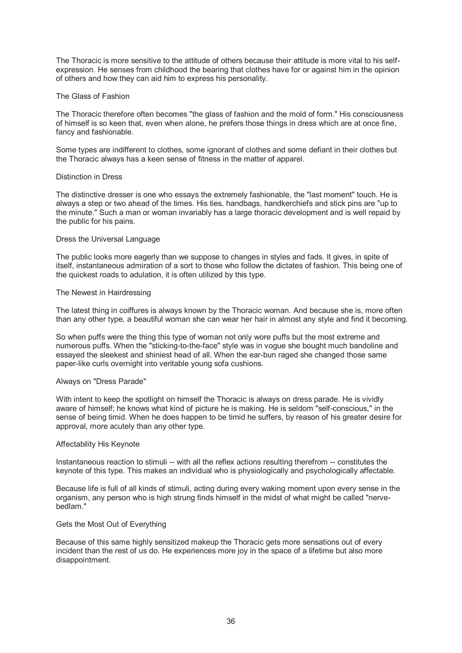The Thoracic is more sensitive to the attitude of others because their attitude is more vital to his selfexpression. He senses from childhood the bearing that clothes have for or against him in the opinion of others and how they can aid him to express his personality.

# The Glass of Fashion

The Thoracic therefore often becomes "the glass of fashion and the mold of form." His consciousness of himself is so keen that, even when alone, he prefers those things in dress which are at once fine, fancy and fashionable.

Some types are indifferent to clothes, some ignorant of clothes and some defiant in their clothes but the Thoracic always has a keen sense of fitness in the matter of apparel.

# Distinction in Dress

The distinctive dresser is one who essays the extremely fashionable, the "last moment" touch. He is always a step or two ahead of the times. His ties, handbags, handkerchiefs and stick pins are "up to the minute." Such a man or woman invariably has a large thoracic development and is well repaid by the public for his pains.

# Dress the Universal Language

The public looks more eagerly than we suppose to changes in styles and fads. It gives, in spite of itself, instantaneous admiration of a sort to those who follow the dictates of fashion. This being one of the quickest roads to adulation, it is often utilized by this type.

# The Newest in Hairdressing

The latest thing in coiffures is always known by the Thoracic woman. And because she is, more often than any other type, a beautiful woman she can wear her hair in almost any style and find it becoming.

So when puffs were the thing this type of woman not only wore puffs but the most extreme and numerous puffs. When the "sticking-to-the-face" style was in vogue she bought much bandoline and essayed the sleekest and shiniest head of all. When the ear-bun raged she changed those same paper-like curls overnight into veritable young sofa cushions.

# Always on "Dress Parade"

With intent to keep the spotlight on himself the Thoracic is always on dress parade. He is vividly aware of himself; he knows what kind of picture he is making. He is seldom "self-conscious," in the sense of being timid. When he does happen to be timid he suffers, by reason of his greater desire for approval, more acutely than any other type.

# Affectability His Keynote

Instantaneous reaction to stimuli -- with all the reflex actions resulting therefrom -- constitutes the keynote of this type. This makes an individual who is physiologically and psychologically affectable.

Because life is full of all kinds of stimuli, acting during every waking moment upon every sense in the organism, any person who is high strung finds himself in the midst of what might be called "nervebedlam."

# Gets the Most Out of Everything

Because of this same highly sensitized makeup the Thoracic gets more sensations out of every incident than the rest of us do. He experiences more joy in the space of a lifetime but also more disappointment.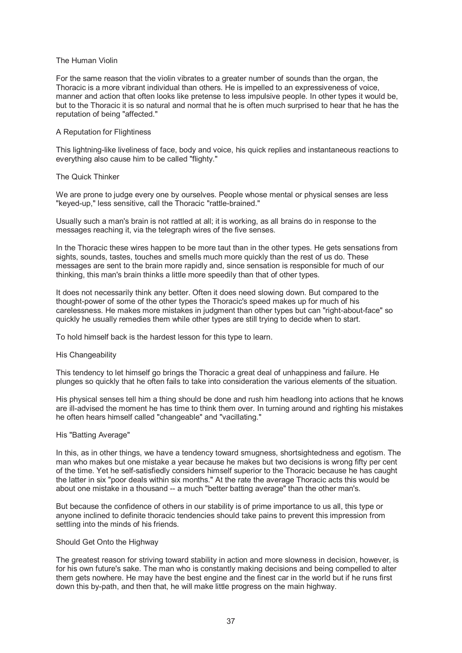## The Human Violin

For the same reason that the violin vibrates to a greater number of sounds than the organ, the Thoracic is a more vibrant individual than others. He is impelled to an expressiveness of voice, manner and action that often looks like pretense to less impulsive people. In other types it would be, but to the Thoracic it is so natural and normal that he is often much surprised to hear that he has the reputation of being "affected."

### A Reputation for Flightiness

This lightning-like liveliness of face, body and voice, his quick replies and instantaneous reactions to everything also cause him to be called "flighty."

### The Quick Thinker

We are prone to judge every one by ourselves. People whose mental or physical senses are less "keyed-up," less sensitive, call the Thoracic "rattle-brained."

Usually such a man's brain is not rattled at all; it is working, as all brains do in response to the messages reaching it, via the telegraph wires of the five senses.

In the Thoracic these wires happen to be more taut than in the other types. He gets sensations from sights, sounds, tastes, touches and smells much more quickly than the rest of us do. These messages are sent to the brain more rapidly and, since sensation is responsible for much of our thinking, this man's brain thinks a little more speedily than that of other types.

It does not necessarily think any better. Often it does need slowing down. But compared to the thought-power of some of the other types the Thoracic's speed makes up for much of his carelessness. He makes more mistakes in judgment than other types but can "right-about-face" so quickly he usually remedies them while other types are still trying to decide when to start.

To hold himself back is the hardest lesson for this type to learn.

#### His Changeability

This tendency to let himself go brings the Thoracic a great deal of unhappiness and failure. He plunges so quickly that he often fails to take into consideration the various elements of the situation.

His physical senses tell him a thing should be done and rush him headlong into actions that he knows are ill-advised the moment he has time to think them over. In turning around and righting his mistakes he often hears himself called "changeable" and "vacillating."

#### His "Batting Average"

In this, as in other things, we have a tendency toward smugness, shortsightedness and egotism. The man who makes but one mistake a year because he makes but two decisions is wrong fifty per cent of the time. Yet he self-satisfiedly considers himself superior to the Thoracic because he has caught the latter in six "poor deals within six months." At the rate the average Thoracic acts this would be about one mistake in a thousand -- a much "better batting average" than the other man's.

But because the confidence of others in our stability is of prime importance to us all, this type or anyone inclined to definite thoracic tendencies should take pains to prevent this impression from settling into the minds of his friends.

#### Should Get Onto the Highway

The greatest reason for striving toward stability in action and more slowness in decision, however, is for his own future's sake. The man who is constantly making decisions and being compelled to alter them gets nowhere. He may have the best engine and the finest car in the world but if he runs first down this by-path, and then that, he will make little progress on the main highway.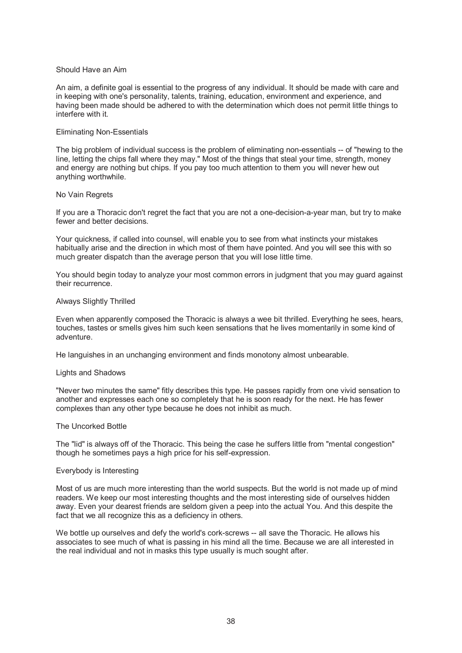## Should Have an Aim

An aim, a definite goal is essential to the progress of any individual. It should be made with care and in keeping with one's personality, talents, training, education, environment and experience, and having been made should be adhered to with the determination which does not permit little things to interfere with it.

### Eliminating Non-Essentials

The big problem of individual success is the problem of eliminating non-essentials -- of "hewing to the line, letting the chips fall where they may." Most of the things that steal your time, strength, money and energy are nothing but chips. If you pay too much attention to them you will never hew out anything worthwhile.

### No Vain Regrets

If you are a Thoracic don't regret the fact that you are not a one-decision-a-year man, but try to make fewer and better decisions.

Your quickness, if called into counsel, will enable you to see from what instincts your mistakes habitually arise and the direction in which most of them have pointed. And you will see this with so much greater dispatch than the average person that you will lose little time.

You should begin today to analyze your most common errors in judgment that you may guard against their recurrence.

# Always Slightly Thrilled

Even when apparently composed the Thoracic is always a wee bit thrilled. Everything he sees, hears, touches, tastes or smells gives him such keen sensations that he lives momentarily in some kind of adventure.

He languishes in an unchanging environment and finds monotony almost unbearable.

#### Lights and Shadows

"Never two minutes the same" fitly describes this type. He passes rapidly from one vivid sensation to another and expresses each one so completely that he is soon ready for the next. He has fewer complexes than any other type because he does not inhibit as much.

#### The Uncorked Bottle

The "lid" is always off of the Thoracic. This being the case he suffers little from "mental congestion" though he sometimes pays a high price for his self-expression.

## Everybody is Interesting

Most of us are much more interesting than the world suspects. But the world is not made up of mind readers. We keep our most interesting thoughts and the most interesting side of ourselves hidden away. Even your dearest friends are seldom given a peep into the actual You. And this despite the fact that we all recognize this as a deficiency in others.

We bottle up ourselves and defy the world's cork-screws -- all save the Thoracic. He allows his associates to see much of what is passing in his mind all the time. Because we are all interested in the real individual and not in masks this type usually is much sought after.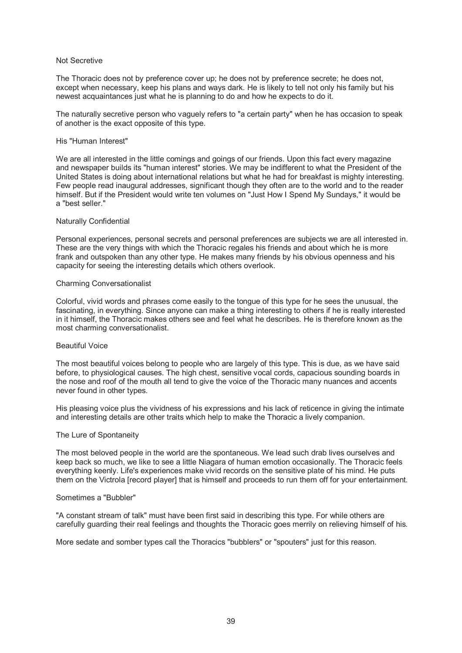## Not Secretive

The Thoracic does not by preference cover up; he does not by preference secrete; he does not, except when necessary, keep his plans and ways dark. He is likely to tell not only his family but his newest acquaintances just what he is planning to do and how he expects to do it.

The naturally secretive person who vaguely refers to "a certain party" when he has occasion to speak of another is the exact opposite of this type.

## His "Human Interest"

We are all interested in the little comings and goings of our friends. Upon this fact every magazine and newspaper builds its "human interest" stories. We may be indifferent to what the President of the United States is doing about international relations but what he had for breakfast is mighty interesting. Few people read inaugural addresses, significant though they often are to the world and to the reader himself. But if the President would write ten volumes on "Just How I Spend My Sundays," it would be a "best seller."

### Naturally Confidential

Personal experiences, personal secrets and personal preferences are subjects we are all interested in. These are the very things with which the Thoracic regales his friends and about which he is more frank and outspoken than any other type. He makes many friends by his obvious openness and his capacity for seeing the interesting details which others overlook.

### Charming Conversationalist

Colorful, vivid words and phrases come easily to the tongue of this type for he sees the unusual, the fascinating, in everything. Since anyone can make a thing interesting to others if he is really interested in it himself, the Thoracic makes others see and feel what he describes. He is therefore known as the most charming conversationalist.

## Beautiful Voice

The most beautiful voices belong to people who are largely of this type. This is due, as we have said before, to physiological causes. The high chest, sensitive vocal cords, capacious sounding boards in the nose and roof of the mouth all tend to give the voice of the Thoracic many nuances and accents never found in other types.

His pleasing voice plus the vividness of his expressions and his lack of reticence in giving the intimate and interesting details are other traits which help to make the Thoracic a lively companion.

#### The Lure of Spontaneity

The most beloved people in the world are the spontaneous. We lead such drab lives ourselves and keep back so much, we like to see a little Niagara of human emotion occasionally. The Thoracic feels everything keenly. Life's experiences make vivid records on the sensitive plate of his mind. He puts them on the Victrola [record player] that is himself and proceeds to run them off for your entertainment.

### Sometimes a "Bubbler"

"A constant stream of talk" must have been first said in describing this type. For while others are carefully guarding their real feelings and thoughts the Thoracic goes merrily on relieving himself of his.

More sedate and somber types call the Thoracics "bubblers" or "spouters" just for this reason.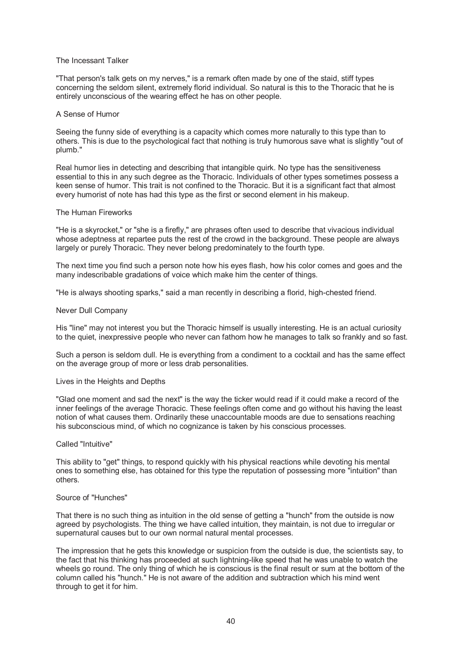## The Incessant Talker

"That person's talk gets on my nerves," is a remark often made by one of the staid, stiff types concerning the seldom silent, extremely florid individual. So natural is this to the Thoracic that he is entirely unconscious of the wearing effect he has on other people.

## A Sense of Humor

Seeing the funny side of everything is a capacity which comes more naturally to this type than to others. This is due to the psychological fact that nothing is truly humorous save what is slightly "out of plumb."

Real humor lies in detecting and describing that intangible quirk. No type has the sensitiveness essential to this in any such degree as the Thoracic. Individuals of other types sometimes possess a keen sense of humor. This trait is not confined to the Thoracic. But it is a significant fact that almost every humorist of note has had this type as the first or second element in his makeup.

### The Human Fireworks

"He is a skyrocket," or "she is a firefly," are phrases often used to describe that vivacious individual whose adeptness at repartee puts the rest of the crowd in the background. These people are always largely or purely Thoracic. They never belong predominately to the fourth type.

The next time you find such a person note how his eyes flash, how his color comes and goes and the many indescribable gradations of voice which make him the center of things.

"He is always shooting sparks," said a man recently in describing a florid, high-chested friend.

### Never Dull Company

His "line" may not interest you but the Thoracic himself is usually interesting. He is an actual curiosity to the quiet, inexpressive people who never can fathom how he manages to talk so frankly and so fast.

Such a person is seldom dull. He is everything from a condiment to a cocktail and has the same effect on the average group of more or less drab personalities.

### Lives in the Heights and Depths

"Glad one moment and sad the next" is the way the ticker would read if it could make a record of the inner feelings of the average Thoracic. These feelings often come and go without his having the least notion of what causes them. Ordinarily these unaccountable moods are due to sensations reaching his subconscious mind, of which no cognizance is taken by his conscious processes.

#### Called "Intuitive"

This ability to "get" things, to respond quickly with his physical reactions while devoting his mental ones to something else, has obtained for this type the reputation of possessing more "intuition" than others.

### Source of "Hunches"

That there is no such thing as intuition in the old sense of getting a "hunch" from the outside is now agreed by psychologists. The thing we have called intuition, they maintain, is not due to irregular or supernatural causes but to our own normal natural mental processes.

The impression that he gets this knowledge or suspicion from the outside is due, the scientists say, to the fact that his thinking has proceeded at such lightning-like speed that he was unable to watch the wheels go round. The only thing of which he is conscious is the final result or sum at the bottom of the column called his "hunch." He is not aware of the addition and subtraction which his mind went through to get it for him.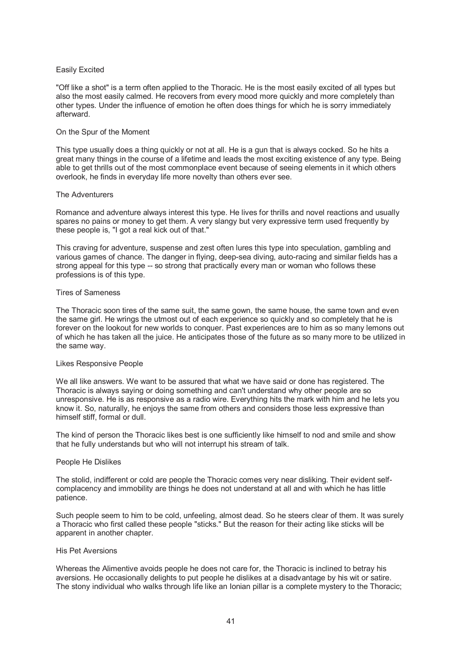# Easily Excited

"Off like a shot" is a term often applied to the Thoracic. He is the most easily excited of all types but also the most easily calmed. He recovers from every mood more quickly and more completely than other types. Under the influence of emotion he often does things for which he is sorry immediately afterward.

### On the Spur of the Moment

This type usually does a thing quickly or not at all. He is a gun that is always cocked. So he hits a great many things in the course of a lifetime and leads the most exciting existence of any type. Being able to get thrills out of the most commonplace event because of seeing elements in it which others overlook, he finds in everyday life more novelty than others ever see.

### The Adventurers

Romance and adventure always interest this type. He lives for thrills and novel reactions and usually spares no pains or money to get them. A very slangy but very expressive term used frequently by these people is, "I got a real kick out of that."

This craving for adventure, suspense and zest often lures this type into speculation, gambling and various games of chance. The danger in flying, deep-sea diving, auto-racing and similar fields has a strong appeal for this type -- so strong that practically every man or woman who follows these professions is of this type.

## Tires of Sameness

The Thoracic soon tires of the same suit, the same gown, the same house, the same town and even the same girl. He wrings the utmost out of each experience so quickly and so completely that he is forever on the lookout for new worlds to conquer. Past experiences are to him as so many lemons out of which he has taken all the juice. He anticipates those of the future as so many more to be utilized in the same way.

## Likes Responsive People

We all like answers. We want to be assured that what we have said or done has registered. The Thoracic is always saying or doing something and can't understand why other people are so unresponsive. He is as responsive as a radio wire. Everything hits the mark with him and he lets you know it. So, naturally, he enjoys the same from others and considers those less expressive than himself stiff, formal or dull.

The kind of person the Thoracic likes best is one sufficiently like himself to nod and smile and show that he fully understands but who will not interrupt his stream of talk.

## People He Dislikes

The stolid, indifferent or cold are people the Thoracic comes very near disliking. Their evident selfcomplacency and immobility are things he does not understand at all and with which he has little patience.

Such people seem to him to be cold, unfeeling, almost dead. So he steers clear of them. It was surely a Thoracic who first called these people "sticks." But the reason for their acting like sticks will be apparent in another chapter.

### His Pet Aversions

Whereas the Alimentive avoids people he does not care for, the Thoracic is inclined to betray his aversions. He occasionally delights to put people he dislikes at a disadvantage by his wit or satire. The stony individual who walks through life like an Ionian pillar is a complete mystery to the Thoracic;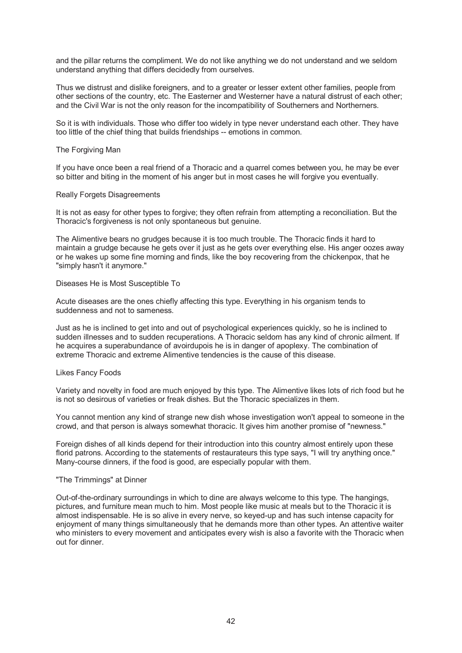and the pillar returns the compliment. We do not like anything we do not understand and we seldom understand anything that differs decidedly from ourselves.

Thus we distrust and dislike foreigners, and to a greater or lesser extent other families, people from other sections of the country, etc. The Easterner and Westerner have a natural distrust of each other; and the Civil War is not the only reason for the incompatibility of Southerners and Northerners.

So it is with individuals. Those who differ too widely in type never understand each other. They have too little of the chief thing that builds friendships -- emotions in common.

## The Forgiving Man

If you have once been a real friend of a Thoracic and a quarrel comes between you, he may be ever so bitter and biting in the moment of his anger but in most cases he will forgive you eventually.

### Really Forgets Disagreements

It is not as easy for other types to forgive; they often refrain from attempting a reconciliation. But the Thoracic's forgiveness is not only spontaneous but genuine.

The Alimentive bears no grudges because it is too much trouble. The Thoracic finds it hard to maintain a grudge because he gets over it just as he gets over everything else. His anger oozes away or he wakes up some fine morning and finds, like the boy recovering from the chickenpox, that he "simply hasn't it anymore."

### Diseases He is Most Susceptible To

Acute diseases are the ones chiefly affecting this type. Everything in his organism tends to suddenness and not to sameness.

Just as he is inclined to get into and out of psychological experiences quickly, so he is inclined to sudden illnesses and to sudden recuperations. A Thoracic seldom has any kind of chronic ailment. If he acquires a superabundance of avoirdupois he is in danger of apoplexy. The combination of extreme Thoracic and extreme Alimentive tendencies is the cause of this disease.

## Likes Fancy Foods

Variety and novelty in food are much enjoyed by this type. The Alimentive likes lots of rich food but he is not so desirous of varieties or freak dishes. But the Thoracic specializes in them.

You cannot mention any kind of strange new dish whose investigation won't appeal to someone in the crowd, and that person is always somewhat thoracic. It gives him another promise of "newness."

Foreign dishes of all kinds depend for their introduction into this country almost entirely upon these florid patrons. According to the statements of restaurateurs this type says, "I will try anything once." Many-course dinners, if the food is good, are especially popular with them.

# "The Trimmings" at Dinner

Out-of-the-ordinary surroundings in which to dine are always welcome to this type. The hangings, pictures, and furniture mean much to him. Most people like music at meals but to the Thoracic it is almost indispensable. He is so alive in every nerve, so keyed-up and has such intense capacity for enjoyment of many things simultaneously that he demands more than other types. An attentive waiter who ministers to every movement and anticipates every wish is also a favorite with the Thoracic when out for dinner.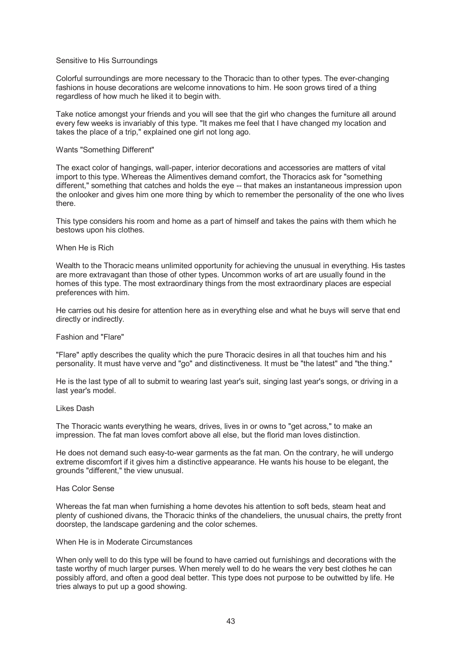## Sensitive to His Surroundings

Colorful surroundings are more necessary to the Thoracic than to other types. The ever-changing fashions in house decorations are welcome innovations to him. He soon grows tired of a thing regardless of how much he liked it to begin with.

Take notice amongst your friends and you will see that the girl who changes the furniture all around every few weeks is invariably of this type. "It makes me feel that I have changed my location and takes the place of a trip," explained one girl not long ago.

# Wants "Something Different"

The exact color of hangings, wall-paper, interior decorations and accessories are matters of vital import to this type. Whereas the Alimentives demand comfort, the Thoracics ask for "something different," something that catches and holds the eye -- that makes an instantaneous impression upon the onlooker and gives him one more thing by which to remember the personality of the one who lives there.

This type considers his room and home as a part of himself and takes the pains with them which he bestows upon his clothes.

## When He is Rich

Wealth to the Thoracic means unlimited opportunity for achieving the unusual in everything. His tastes are more extravagant than those of other types. Uncommon works of art are usually found in the homes of this type. The most extraordinary things from the most extraordinary places are especial preferences with him.

He carries out his desire for attention here as in everything else and what he buys will serve that end directly or indirectly.

## Fashion and "Flare"

"Flare" aptly describes the quality which the pure Thoracic desires in all that touches him and his personality. It must have verve and "go" and distinctiveness. It must be "the latest" and "the thing."

He is the last type of all to submit to wearing last year's suit, singing last year's songs, or driving in a last year's model.

## Likes Dash

The Thoracic wants everything he wears, drives, lives in or owns to "get across," to make an impression. The fat man loves comfort above all else, but the florid man loves distinction.

He does not demand such easy-to-wear garments as the fat man. On the contrary, he will undergo extreme discomfort if it gives him a distinctive appearance. He wants his house to be elegant, the grounds "different," the view unusual.

# Has Color Sense

Whereas the fat man when furnishing a home devotes his attention to soft beds, steam heat and plenty of cushioned divans, the Thoracic thinks of the chandeliers, the unusual chairs, the pretty front doorstep, the landscape gardening and the color schemes.

## When He is in Moderate Circumstances

When only well to do this type will be found to have carried out furnishings and decorations with the taste worthy of much larger purses. When merely well to do he wears the very best clothes he can possibly afford, and often a good deal better. This type does not purpose to be outwitted by life. He tries always to put up a good showing.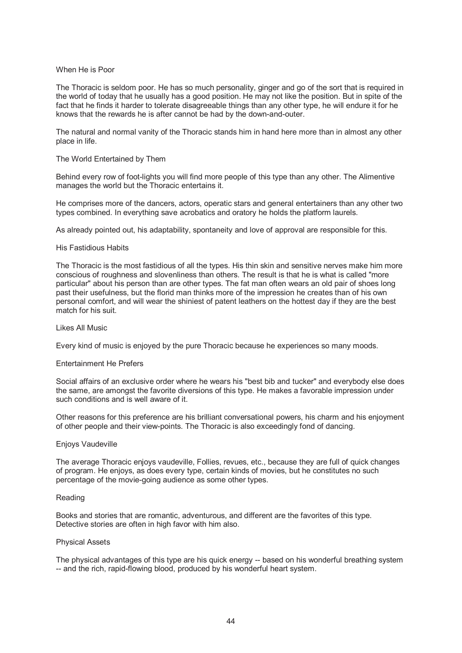## When He is Poor

The Thoracic is seldom poor. He has so much personality, ginger and go of the sort that is required in the world of today that he usually has a good position. He may not like the position. But in spite of the fact that he finds it harder to tolerate disagreeable things than any other type, he will endure it for he knows that the rewards he is after cannot be had by the down-and-outer.

The natural and normal vanity of the Thoracic stands him in hand here more than in almost any other place in life.

# The World Entertained by Them

Behind every row of foot-lights you will find more people of this type than any other. The Alimentive manages the world but the Thoracic entertains it.

He comprises more of the dancers, actors, operatic stars and general entertainers than any other two types combined. In everything save acrobatics and oratory he holds the platform laurels.

As already pointed out, his adaptability, spontaneity and love of approval are responsible for this.

## His Fastidious Habits

The Thoracic is the most fastidious of all the types. His thin skin and sensitive nerves make him more conscious of roughness and slovenliness than others. The result is that he is what is called "more particular" about his person than are other types. The fat man often wears an old pair of shoes long past their usefulness, but the florid man thinks more of the impression he creates than of his own personal comfort, and will wear the shiniest of patent leathers on the hottest day if they are the best match for his suit.

## Likes All Music

Every kind of music is enjoyed by the pure Thoracic because he experiences so many moods.

## Entertainment He Prefers

Social affairs of an exclusive order where he wears his "best bib and tucker" and everybody else does the same, are amongst the favorite diversions of this type. He makes a favorable impression under such conditions and is well aware of it.

Other reasons for this preference are his brilliant conversational powers, his charm and his enjoyment of other people and their view-points. The Thoracic is also exceedingly fond of dancing.

## Enjoys Vaudeville

The average Thoracic enjoys vaudeville, Follies, revues, etc., because they are full of quick changes of program. He enjoys, as does every type, certain kinds of movies, but he constitutes no such percentage of the movie-going audience as some other types.

## Reading

Books and stories that are romantic, adventurous, and different are the favorites of this type. Detective stories are often in high favor with him also.

## Physical Assets

The physical advantages of this type are his quick energy -- based on his wonderful breathing system -- and the rich, rapid-flowing blood, produced by his wonderful heart system.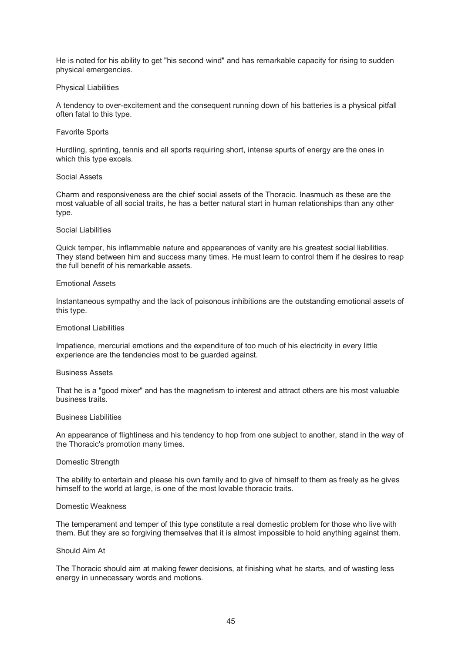He is noted for his ability to get "his second wind" and has remarkable capacity for rising to sudden physical emergencies.

## Physical Liabilities

A tendency to over-excitement and the consequent running down of his batteries is a physical pitfall often fatal to this type.

# Favorite Sports

Hurdling, sprinting, tennis and all sports requiring short, intense spurts of energy are the ones in which this type excels.

## Social Assets

Charm and responsiveness are the chief social assets of the Thoracic. Inasmuch as these are the most valuable of all social traits, he has a better natural start in human relationships than any other type.

## Social Liabilities

Quick temper, his inflammable nature and appearances of vanity are his greatest social liabilities. They stand between him and success many times. He must learn to control them if he desires to reap the full benefit of his remarkable assets.

## Emotional Assets

Instantaneous sympathy and the lack of poisonous inhibitions are the outstanding emotional assets of this type.

# Emotional Liabilities

Impatience, mercurial emotions and the expenditure of too much of his electricity in every little experience are the tendencies most to be guarded against.

## Business Assets

That he is a "good mixer" and has the magnetism to interest and attract others are his most valuable business traits.

## Business Liabilities

An appearance of flightiness and his tendency to hop from one subject to another, stand in the way of the Thoracic's promotion many times.

# Domestic Strength

The ability to entertain and please his own family and to give of himself to them as freely as he gives himself to the world at large, is one of the most lovable thoracic traits.

## Domestic Weakness

The temperament and temper of this type constitute a real domestic problem for those who live with them. But they are so forgiving themselves that it is almost impossible to hold anything against them.

### Should Aim At

The Thoracic should aim at making fewer decisions, at finishing what he starts, and of wasting less energy in unnecessary words and motions.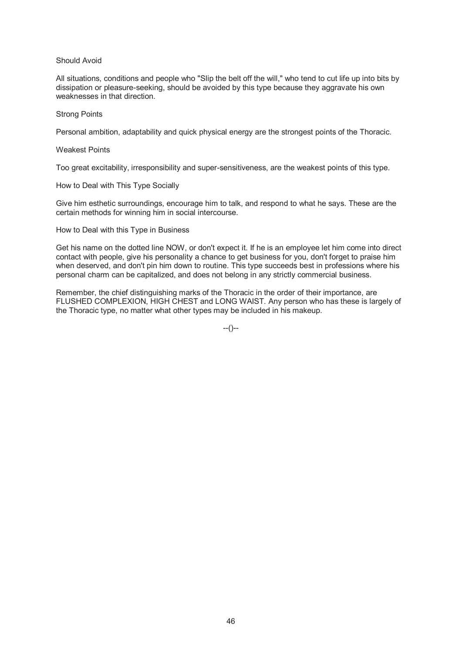## Should Avoid

All situations, conditions and people who "Slip the belt off the will," who tend to cut life up into bits by dissipation or pleasure-seeking, should be avoided by this type because they aggravate his own weaknesses in that direction.

### Strong Points

Personal ambition, adaptability and quick physical energy are the strongest points of the Thoracic.

### Weakest Points

Too great excitability, irresponsibility and super-sensitiveness, are the weakest points of this type.

# How to Deal with This Type Socially

Give him esthetic surroundings, encourage him to talk, and respond to what he says. These are the certain methods for winning him in social intercourse.

How to Deal with this Type in Business

Get his name on the dotted line NOW, or don't expect it. If he is an employee let him come into direct contact with people, give his personality a chance to get business for you, don't forget to praise him when deserved, and don't pin him down to routine. This type succeeds best in professions where his personal charm can be capitalized, and does not belong in any strictly commercial business.

Remember, the chief distinguishing marks of the Thoracic in the order of their importance, are FLUSHED COMPLEXION, HIGH CHEST and LONG WAIST. Any person who has these is largely of the Thoracic type, no matter what other types may be included in his makeup.

 $-(-)$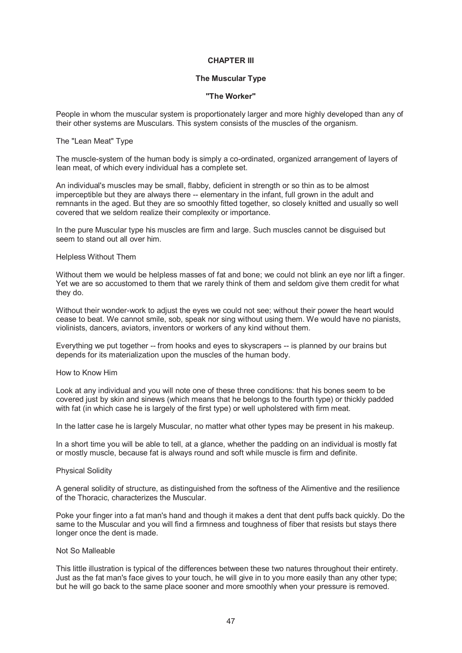# **CHAPTER III**

# **The Muscular Type**

## **"The Worker"**

People in whom the muscular system is proportionately larger and more highly developed than any of their other systems are Musculars. This system consists of the muscles of the organism.

### The "Lean Meat" Type

The muscle-system of the human body is simply a co-ordinated, organized arrangement of layers of lean meat, of which every individual has a complete set.

An individual's muscles may be small, flabby, deficient in strength or so thin as to be almost imperceptible but they are always there -- elementary in the infant, full grown in the adult and remnants in the aged. But they are so smoothly fitted together, so closely knitted and usually so well covered that we seldom realize their complexity or importance.

In the pure Muscular type his muscles are firm and large. Such muscles cannot be disguised but seem to stand out all over him.

### Helpless Without Them

Without them we would be helpless masses of fat and bone; we could not blink an eye nor lift a finger. Yet we are so accustomed to them that we rarely think of them and seldom give them credit for what they do.

Without their wonder-work to adjust the eyes we could not see; without their power the heart would cease to beat. We cannot smile, sob, speak nor sing without using them. We would have no pianists, violinists, dancers, aviators, inventors or workers of any kind without them.

Everything we put together -- from hooks and eyes to skyscrapers -- is planned by our brains but depends for its materialization upon the muscles of the human body.

### How to Know Him

Look at any individual and you will note one of these three conditions: that his bones seem to be covered just by skin and sinews (which means that he belongs to the fourth type) or thickly padded with fat (in which case he is largely of the first type) or well upholstered with firm meat.

In the latter case he is largely Muscular, no matter what other types may be present in his makeup.

In a short time you will be able to tell, at a glance, whether the padding on an individual is mostly fat or mostly muscle, because fat is always round and soft while muscle is firm and definite.

# Physical Solidity

A general solidity of structure, as distinguished from the softness of the Alimentive and the resilience of the Thoracic, characterizes the Muscular.

Poke your finger into a fat man's hand and though it makes a dent that dent puffs back quickly. Do the same to the Muscular and you will find a firmness and toughness of fiber that resists but stays there longer once the dent is made.

## Not So Malleable

This little illustration is typical of the differences between these two natures throughout their entirety. Just as the fat man's face gives to your touch, he will give in to you more easily than any other type; but he will go back to the same place sooner and more smoothly when your pressure is removed.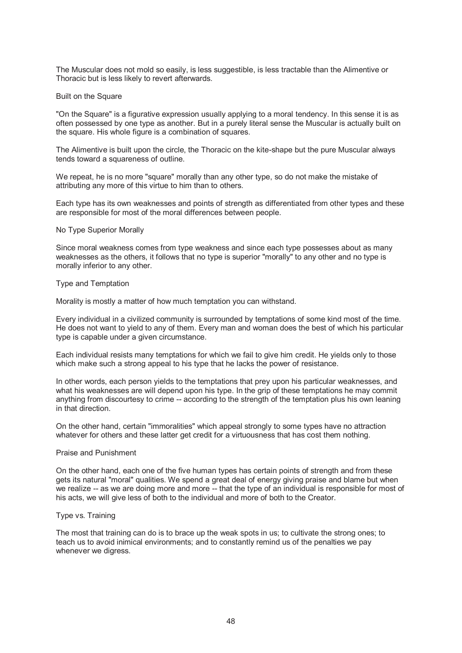The Muscular does not mold so easily, is less suggestible, is less tractable than the Alimentive or Thoracic but is less likely to revert afterwards.

### Built on the Square

"On the Square" is a figurative expression usually applying to a moral tendency. In this sense it is as often possessed by one type as another. But in a purely literal sense the Muscular is actually built on the square. His whole figure is a combination of squares.

The Alimentive is built upon the circle, the Thoracic on the kite-shape but the pure Muscular always tends toward a squareness of outline.

We repeat, he is no more "square" morally than any other type, so do not make the mistake of attributing any more of this virtue to him than to others.

Each type has its own weaknesses and points of strength as differentiated from other types and these are responsible for most of the moral differences between people.

### No Type Superior Morally

Since moral weakness comes from type weakness and since each type possesses about as many weaknesses as the others, it follows that no type is superior "morally" to any other and no type is morally inferior to any other.

### Type and Temptation

Morality is mostly a matter of how much temptation you can withstand.

Every individual in a civilized community is surrounded by temptations of some kind most of the time. He does not want to yield to any of them. Every man and woman does the best of which his particular type is capable under a given circumstance.

Each individual resists many temptations for which we fail to give him credit. He yields only to those which make such a strong appeal to his type that he lacks the power of resistance.

In other words, each person yields to the temptations that prey upon his particular weaknesses, and what his weaknesses are will depend upon his type. In the grip of these temptations he may commit anything from discourtesy to crime -- according to the strength of the temptation plus his own leaning in that direction.

On the other hand, certain "immoralities" which appeal strongly to some types have no attraction whatever for others and these latter get credit for a virtuousness that has cost them nothing.

## Praise and Punishment

On the other hand, each one of the five human types has certain points of strength and from these gets its natural "moral" qualities. We spend a great deal of energy giving praise and blame but when we realize -- as we are doing more and more -- that the type of an individual is responsible for most of his acts, we will give less of both to the individual and more of both to the Creator.

#### Type vs. Training

The most that training can do is to brace up the weak spots in us; to cultivate the strong ones; to teach us to avoid inimical environments; and to constantly remind us of the penalties we pay whenever we digress.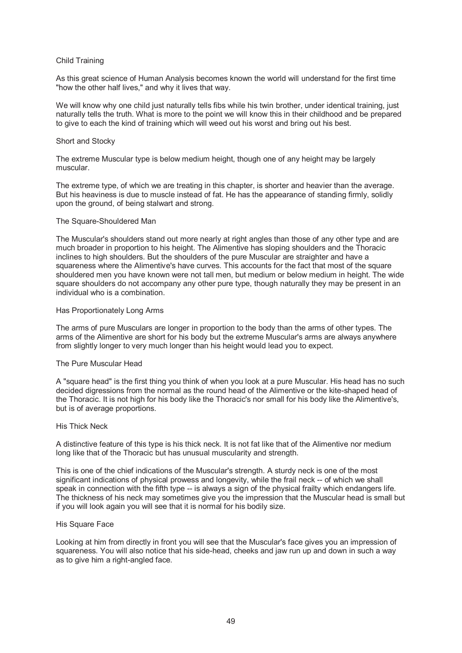## Child Training

As this great science of Human Analysis becomes known the world will understand for the first time "how the other half lives," and why it lives that way.

We will know why one child just naturally tells fibs while his twin brother, under identical training, just naturally tells the truth. What is more to the point we will know this in their childhood and be prepared to give to each the kind of training which will weed out his worst and bring out his best.

## Short and Stocky

The extreme Muscular type is below medium height, though one of any height may be largely muscular.

The extreme type, of which we are treating in this chapter, is shorter and heavier than the average. But his heaviness is due to muscle instead of fat. He has the appearance of standing firmly, solidly upon the ground, of being stalwart and strong.

## The Square-Shouldered Man

The Muscular's shoulders stand out more nearly at right angles than those of any other type and are much broader in proportion to his height. The Alimentive has sloping shoulders and the Thoracic inclines to high shoulders. But the shoulders of the pure Muscular are straighter and have a squareness where the Alimentive's have curves. This accounts for the fact that most of the square shouldered men you have known were not tall men, but medium or below medium in height. The wide square shoulders do not accompany any other pure type, though naturally they may be present in an individual who is a combination.

## Has Proportionately Long Arms

The arms of pure Musculars are longer in proportion to the body than the arms of other types. The arms of the Alimentive are short for his body but the extreme Muscular's arms are always anywhere from slightly longer to very much longer than his height would lead you to expect.

## The Pure Muscular Head

A "square head" is the first thing you think of when you look at a pure Muscular. His head has no such decided digressions from the normal as the round head of the Alimentive or the kite-shaped head of the Thoracic. It is not high for his body like the Thoracic's nor small for his body like the Alimentive's, but is of average proportions.

## His Thick Neck

A distinctive feature of this type is his thick neck. It is not fat like that of the Alimentive nor medium long like that of the Thoracic but has unusual muscularity and strength.

This is one of the chief indications of the Muscular's strength. A sturdy neck is one of the most significant indications of physical prowess and longevity, while the frail neck -- of which we shall speak in connection with the fifth type -- is always a sign of the physical frailty which endangers life. The thickness of his neck may sometimes give you the impression that the Muscular head is small but if you will look again you will see that it is normal for his bodily size.

## His Square Face

Looking at him from directly in front you will see that the Muscular's face gives you an impression of squareness. You will also notice that his side-head, cheeks and jaw run up and down in such a way as to give him a right-angled face.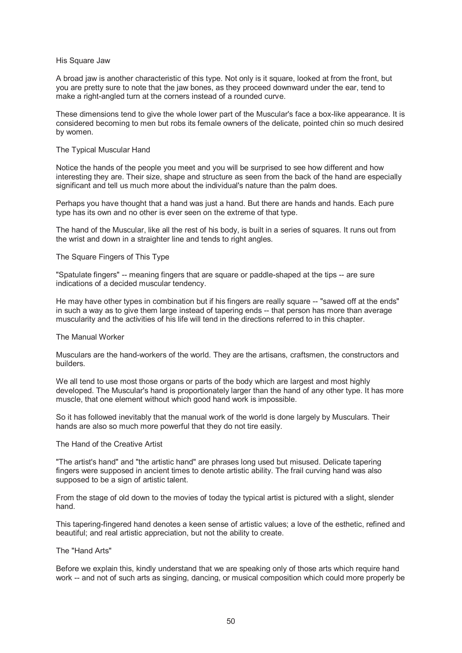### His Square Jaw

A broad jaw is another characteristic of this type. Not only is it square, looked at from the front, but you are pretty sure to note that the jaw bones, as they proceed downward under the ear, tend to make a right-angled turn at the corners instead of a rounded curve.

These dimensions tend to give the whole lower part of the Muscular's face a box-like appearance. It is considered becoming to men but robs its female owners of the delicate, pointed chin so much desired by women.

### The Typical Muscular Hand

Notice the hands of the people you meet and you will be surprised to see how different and how interesting they are. Their size, shape and structure as seen from the back of the hand are especially significant and tell us much more about the individual's nature than the palm does.

Perhaps you have thought that a hand was just a hand. But there are hands and hands. Each pure type has its own and no other is ever seen on the extreme of that type.

The hand of the Muscular, like all the rest of his body, is built in a series of squares. It runs out from the wrist and down in a straighter line and tends to right angles.

### The Square Fingers of This Type

"Spatulate fingers" -- meaning fingers that are square or paddle-shaped at the tips -- are sure indications of a decided muscular tendency.

He may have other types in combination but if his fingers are really square -- "sawed off at the ends" in such a way as to give them large instead of tapering ends -- that person has more than average muscularity and the activities of his life will tend in the directions referred to in this chapter.

### The Manual Worker

Musculars are the hand-workers of the world. They are the artisans, craftsmen, the constructors and builders.

We all tend to use most those organs or parts of the body which are largest and most highly developed. The Muscular's hand is proportionately larger than the hand of any other type. It has more muscle, that one element without which good hand work is impossible.

So it has followed inevitably that the manual work of the world is done largely by Musculars. Their hands are also so much more powerful that they do not tire easily.

#### The Hand of the Creative Artist

"The artist's hand" and "the artistic hand" are phrases long used but misused. Delicate tapering fingers were supposed in ancient times to denote artistic ability. The frail curving hand was also supposed to be a sign of artistic talent.

From the stage of old down to the movies of today the typical artist is pictured with a slight, slender hand.

This tapering-fingered hand denotes a keen sense of artistic values; a love of the esthetic, refined and beautiful; and real artistic appreciation, but not the ability to create.

### The "Hand Arts"

Before we explain this, kindly understand that we are speaking only of those arts which require hand work -- and not of such arts as singing, dancing, or musical composition which could more properly be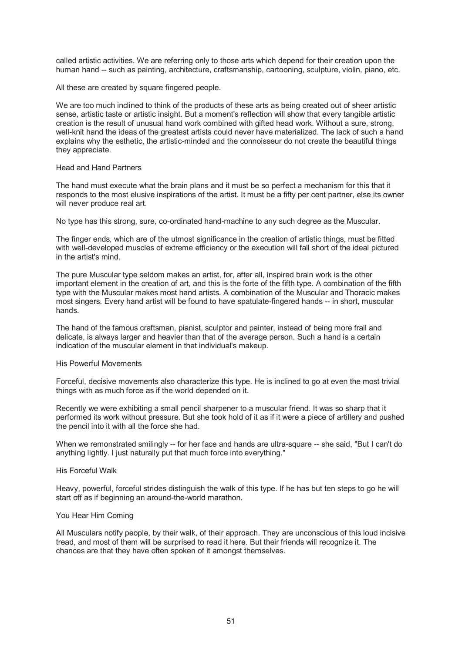called artistic activities. We are referring only to those arts which depend for their creation upon the human hand -- such as painting, architecture, craftsmanship, cartooning, sculpture, violin, piano, etc.

All these are created by square fingered people.

We are too much inclined to think of the products of these arts as being created out of sheer artistic sense, artistic taste or artistic insight. But a moment's reflection will show that every tangible artistic creation is the result of unusual hand work combined with gifted head work. Without a sure, strong, well-knit hand the ideas of the greatest artists could never have materialized. The lack of such a hand explains why the esthetic, the artistic-minded and the connoisseur do not create the beautiful things they appreciate.

#### Head and Hand Partners

The hand must execute what the brain plans and it must be so perfect a mechanism for this that it responds to the most elusive inspirations of the artist. It must be a fifty per cent partner, else its owner will never produce real art.

No type has this strong, sure, co-ordinated hand-machine to any such degree as the Muscular.

The finger ends, which are of the utmost significance in the creation of artistic things, must be fitted with well-developed muscles of extreme efficiency or the execution will fall short of the ideal pictured in the artist's mind.

The pure Muscular type seldom makes an artist, for, after all, inspired brain work is the other important element in the creation of art, and this is the forte of the fifth type. A combination of the fifth type with the Muscular makes most hand artists. A combination of the Muscular and Thoracic makes most singers. Every hand artist will be found to have spatulate-fingered hands -- in short, muscular hands.

The hand of the famous craftsman, pianist, sculptor and painter, instead of being more frail and delicate, is always larger and heavier than that of the average person. Such a hand is a certain indication of the muscular element in that individual's makeup.

## His Powerful Movements

Forceful, decisive movements also characterize this type. He is inclined to go at even the most trivial things with as much force as if the world depended on it.

Recently we were exhibiting a small pencil sharpener to a muscular friend. It was so sharp that it performed its work without pressure. But she took hold of it as if it were a piece of artillery and pushed the pencil into it with all the force she had.

When we remonstrated smilingly -- for her face and hands are ultra-square -- she said, "But I can't do anything lightly. I just naturally put that much force into everything."

## His Forceful Walk

Heavy, powerful, forceful strides distinguish the walk of this type. If he has but ten steps to go he will start off as if beginning an around-the-world marathon.

#### You Hear Him Coming

All Musculars notify people, by their walk, of their approach. They are unconscious of this loud incisive tread, and most of them will be surprised to read it here. But their friends will recognize it. The chances are that they have often spoken of it amongst themselves.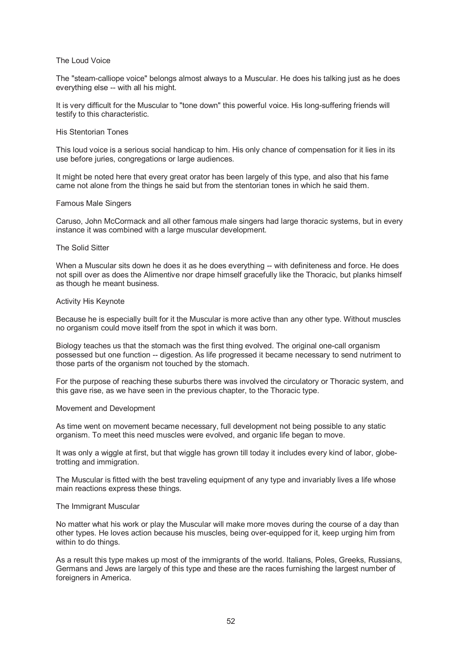## The Loud Voice

The "steam-calliope voice" belongs almost always to a Muscular. He does his talking just as he does everything else -- with all his might.

It is very difficult for the Muscular to "tone down" this powerful voice. His long-suffering friends will testify to this characteristic.

### His Stentorian Tones

This loud voice is a serious social handicap to him. His only chance of compensation for it lies in its use before juries, congregations or large audiences.

It might be noted here that every great orator has been largely of this type, and also that his fame came not alone from the things he said but from the stentorian tones in which he said them.

### Famous Male Singers

Caruso, John McCormack and all other famous male singers had large thoracic systems, but in every instance it was combined with a large muscular development.

### The Solid Sitter

When a Muscular sits down he does it as he does everything -- with definiteness and force. He does not spill over as does the Alimentive nor drape himself gracefully like the Thoracic, but planks himself as though he meant business.

### Activity His Keynote

Because he is especially built for it the Muscular is more active than any other type. Without muscles no organism could move itself from the spot in which it was born.

Biology teaches us that the stomach was the first thing evolved. The original one-call organism possessed but one function -- digestion. As life progressed it became necessary to send nutriment to those parts of the organism not touched by the stomach.

For the purpose of reaching these suburbs there was involved the circulatory or Thoracic system, and this gave rise, as we have seen in the previous chapter, to the Thoracic type.

#### Movement and Development

As time went on movement became necessary, full development not being possible to any static organism. To meet this need muscles were evolved, and organic life began to move.

It was only a wiggle at first, but that wiggle has grown till today it includes every kind of labor, globetrotting and immigration.

The Muscular is fitted with the best traveling equipment of any type and invariably lives a life whose main reactions express these things.

## The Immigrant Muscular

No matter what his work or play the Muscular will make more moves during the course of a day than other types. He loves action because his muscles, being over-equipped for it, keep urging him from within to do things.

As a result this type makes up most of the immigrants of the world. Italians, Poles, Greeks, Russians, Germans and Jews are largely of this type and these are the races furnishing the largest number of foreigners in America.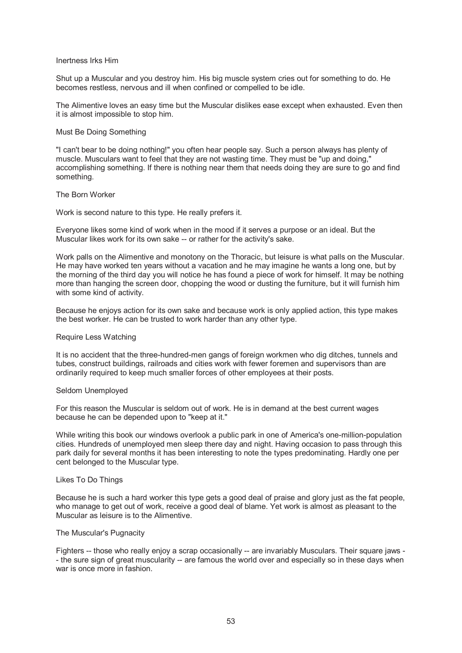### Inertness Irks Him

Shut up a Muscular and you destroy him. His big muscle system cries out for something to do. He becomes restless, nervous and ill when confined or compelled to be idle.

The Alimentive loves an easy time but the Muscular dislikes ease except when exhausted. Even then it is almost impossible to stop him.

### Must Be Doing Something

"I can't bear to be doing nothing!" you often hear people say. Such a person always has plenty of muscle. Musculars want to feel that they are not wasting time. They must be "up and doing," accomplishing something. If there is nothing near them that needs doing they are sure to go and find something.

### The Born Worker

Work is second nature to this type. He really prefers it.

Everyone likes some kind of work when in the mood if it serves a purpose or an ideal. But the Muscular likes work for its own sake -- or rather for the activity's sake.

Work palls on the Alimentive and monotony on the Thoracic, but leisure is what palls on the Muscular. He may have worked ten years without a vacation and he may imagine he wants a long one, but by the morning of the third day you will notice he has found a piece of work for himself. It may be nothing more than hanging the screen door, chopping the wood or dusting the furniture, but it will furnish him with some kind of activity.

Because he enjoys action for its own sake and because work is only applied action, this type makes the best worker. He can be trusted to work harder than any other type.

#### Require Less Watching

It is no accident that the three-hundred-men gangs of foreign workmen who dig ditches, tunnels and tubes, construct buildings, railroads and cities work with fewer foremen and supervisors than are ordinarily required to keep much smaller forces of other employees at their posts.

#### Seldom Unemployed

For this reason the Muscular is seldom out of work. He is in demand at the best current wages because he can be depended upon to "keep at it."

While writing this book our windows overlook a public park in one of America's one-million-population cities. Hundreds of unemployed men sleep there day and night. Having occasion to pass through this park daily for several months it has been interesting to note the types predominating. Hardly one per cent belonged to the Muscular type.

#### Likes To Do Things

Because he is such a hard worker this type gets a good deal of praise and glory just as the fat people, who manage to get out of work, receive a good deal of blame. Yet work is almost as pleasant to the Muscular as leisure is to the Alimentive.

## The Muscular's Pugnacity

Fighters -- those who really enjoy a scrap occasionally -- are invariably Musculars. Their square jaws - - the sure sign of great muscularity -- are famous the world over and especially so in these days when war is once more in fashion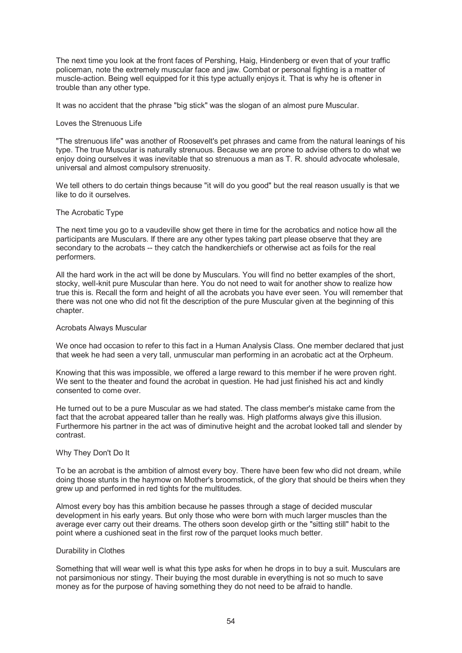The next time you look at the front faces of Pershing, Haig, Hindenberg or even that of your traffic policeman, note the extremely muscular face and jaw. Combat or personal fighting is a matter of muscle-action. Being well equipped for it this type actually enjoys it. That is why he is oftener in trouble than any other type.

It was no accident that the phrase "big stick" was the slogan of an almost pure Muscular.

## Loves the Strenuous Life

"The strenuous life" was another of Roosevelt's pet phrases and came from the natural leanings of his type. The true Muscular is naturally strenuous. Because we are prone to advise others to do what we enjoy doing ourselves it was inevitable that so strenuous a man as T. R. should advocate wholesale, universal and almost compulsory strenuosity.

We tell others to do certain things because "it will do you good" but the real reason usually is that we like to do it ourselves.

### The Acrobatic Type

The next time you go to a vaudeville show get there in time for the acrobatics and notice how all the participants are Musculars. If there are any other types taking part please observe that they are secondary to the acrobats -- they catch the handkerchiefs or otherwise act as foils for the real performers.

All the hard work in the act will be done by Musculars. You will find no better examples of the short, stocky, well-knit pure Muscular than here. You do not need to wait for another show to realize how true this is. Recall the form and height of all the acrobats you have ever seen. You will remember that there was not one who did not fit the description of the pure Muscular given at the beginning of this chapter.

### Acrobats Always Muscular

We once had occasion to refer to this fact in a Human Analysis Class. One member declared that just that week he had seen a very tall, unmuscular man performing in an acrobatic act at the Orpheum.

Knowing that this was impossible, we offered a large reward to this member if he were proven right. We sent to the theater and found the acrobat in question. He had just finished his act and kindly consented to come over.

He turned out to be a pure Muscular as we had stated. The class member's mistake came from the fact that the acrobat appeared taller than he really was. High platforms always give this illusion. Furthermore his partner in the act was of diminutive height and the acrobat looked tall and slender by contrast.

# Why They Don't Do It

To be an acrobat is the ambition of almost every boy. There have been few who did not dream, while doing those stunts in the haymow on Mother's broomstick, of the glory that should be theirs when they grew up and performed in red tights for the multitudes.

Almost every boy has this ambition because he passes through a stage of decided muscular development in his early years. But only those who were born with much larger muscles than the average ever carry out their dreams. The others soon develop girth or the "sitting still" habit to the point where a cushioned seat in the first row of the parquet looks much better.

## Durability in Clothes

Something that will wear well is what this type asks for when he drops in to buy a suit. Musculars are not parsimonious nor stingy. Their buying the most durable in everything is not so much to save money as for the purpose of having something they do not need to be afraid to handle.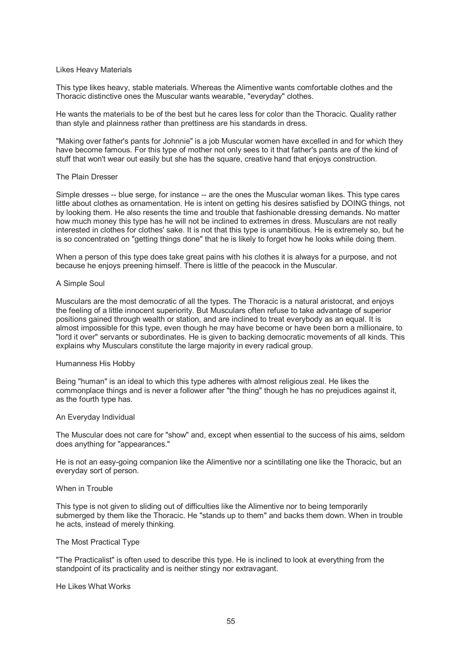## Likes Heavy Materials

This type likes heavy, stable materials. Whereas the Alimentive wants comfortable clothes and the Thoracic distinctive ones the Muscular wants wearable, "everyday" clothes.

He wants the materials to be of the best but he cares less for color than the Thoracic. Quality rather than style and plainness rather than prettiness are his standards in dress.

"Making over father's pants for Johnnie" is a job Muscular women have excelled in and for which they have become famous. For this type of mother not only sees to it that father's pants are of the kind of stuff that won't wear out easily but she has the square, creative hand that enjoys construction.

#### The Plain Dresser

Simple dresses -- blue serge, for instance -- are the ones the Muscular woman likes. This type cares little about clothes as ornamentation. He is intent on getting his desires satisfied by DOING things, not by looking them. He also resents the time and trouble that fashionable dressing demands. No matter how much money this type has he will not be inclined to extremes in dress. Musculars are not really interested in clothes for clothes' sake. It is not that this type is unambitious. He is extremely so, but he is so concentrated on "getting things done" that he is likely to forget how he looks while doing them.

When a person of this type does take great pains with his clothes it is always for a purpose, and not because he enjoys preening himself. There is little of the peacock in the Muscular.

### A Simple Soul

Musculars are the most democratic of all the types. The Thoracic is a natural aristocrat, and enjoys the feeling of a little innocent superiority. But Musculars often refuse to take advantage of superior positions gained through wealth or station, and are inclined to treat everybody as an equal. It is almost impossible for this type, even though he may have become or have been born a millionaire, to "lord it over" servants or subordinates. He is given to backing democratic movements of all kinds. This explains why Musculars constitute the large majority in every radical group.

#### Humanness His Hobby

Being "human" is an ideal to which this type adheres with almost religious zeal. He likes the commonplace things and is never a follower after "the thing" though he has no prejudices against it, as the fourth type has.

#### An Everyday Individual

The Muscular does not care for "show" and, except when essential to the success of his aims, seldom does anything for "appearances."

He is not an easy-going companion like the Alimentive nor a scintillating one like the Thoracic, but an everyday sort of person.

### When in Trouble

This type is not given to sliding out of difficulties like the Alimentive nor to being temporarily submerged by them like the Thoracic. He "stands up to them" and backs them down. When in trouble he acts, instead of merely thinking.

#### The Most Practical Type

"The Practicalist" is often used to describe this type. He is inclined to look at everything from the standpoint of its practicality and is neither stingy nor extravagant.

He Likes What Works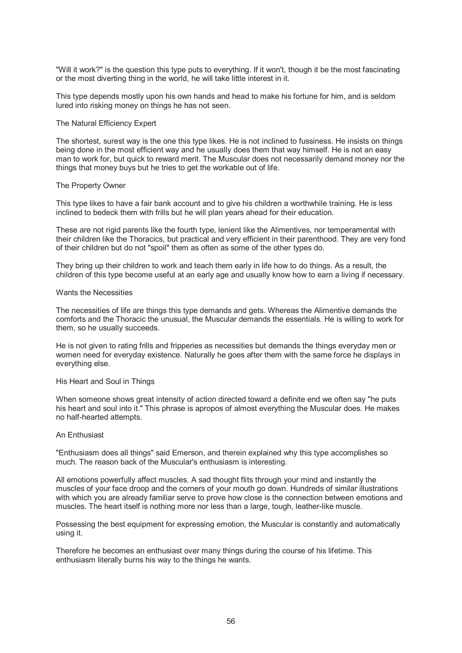"Will it work?" is the question this type puts to everything. If it won't, though it be the most fascinating or the most diverting thing in the world, he will take little interest in it.

This type depends mostly upon his own hands and head to make his fortune for him, and is seldom lured into risking money on things he has not seen.

### The Natural Efficiency Expert

The shortest, surest way is the one this type likes. He is not inclined to fussiness. He insists on things being done in the most efficient way and he usually does them that way himself. He is not an easy man to work for, but quick to reward merit. The Muscular does not necessarily demand money nor the things that money buys but he tries to get the workable out of life.

### The Property Owner

This type likes to have a fair bank account and to give his children a worthwhile training. He is less inclined to bedeck them with frills but he will plan years ahead for their education.

These are not rigid parents like the fourth type, lenient like the Alimentives, nor temperamental with their children like the Thoracics, but practical and very efficient in their parenthood. They are very fond of their children but do not "spoil" them as often as some of the other types do.

They bring up their children to work and teach them early in life how to do things. As a result, the children of this type become useful at an early age and usually know how to earn a living if necessary.

### Wants the Necessities

The necessities of life are things this type demands and gets. Whereas the Alimentive demands the comforts and the Thoracic the unusual, the Muscular demands the essentials. He is willing to work for them, so he usually succeeds.

He is not given to rating frills and fripperies as necessities but demands the things everyday men or women need for everyday existence. Naturally he goes after them with the same force he displays in everything else.

### His Heart and Soul in Things

When someone shows great intensity of action directed toward a definite end we often say "he puts his heart and soul into it." This phrase is apropos of almost everything the Muscular does. He makes no half-hearted attempts.

#### An Enthusiast

"Enthusiasm does all things" said Emerson, and therein explained why this type accomplishes so much. The reason back of the Muscular's enthusiasm is interesting.

All emotions powerfully affect muscles. A sad thought flits through your mind and instantly the muscles of your face droop and the corners of your mouth go down. Hundreds of similar illustrations with which you are already familiar serve to prove how close is the connection between emotions and muscles. The heart itself is nothing more nor less than a large, tough, leather-like muscle.

Possessing the best equipment for expressing emotion, the Muscular is constantly and automatically using it.

Therefore he becomes an enthusiast over many things during the course of his lifetime. This enthusiasm literally burns his way to the things he wants.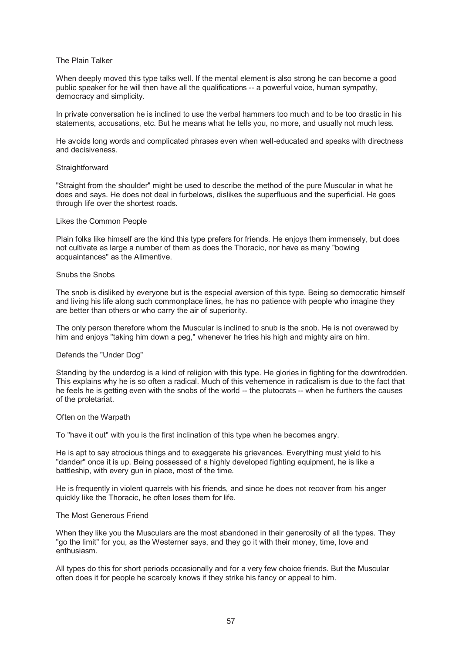## The Plain Talker

When deeply moved this type talks well. If the mental element is also strong he can become a good public speaker for he will then have all the qualifications -- a powerful voice, human sympathy, democracy and simplicity.

In private conversation he is inclined to use the verbal hammers too much and to be too drastic in his statements, accusations, etc. But he means what he tells you, no more, and usually not much less.

He avoids long words and complicated phrases even when well-educated and speaks with directness and decisiveness.

#### **Straightforward**

"Straight from the shoulder" might be used to describe the method of the pure Muscular in what he does and says. He does not deal in furbelows, dislikes the superfluous and the superficial. He goes through life over the shortest roads.

#### Likes the Common People

Plain folks like himself are the kind this type prefers for friends. He enjoys them immensely, but does not cultivate as large a number of them as does the Thoracic, nor have as many "bowing acquaintances" as the Alimentive.

### Snubs the Snobs

The snob is disliked by everyone but is the especial aversion of this type. Being so democratic himself and living his life along such commonplace lines, he has no patience with people who imagine they are better than others or who carry the air of superiority.

The only person therefore whom the Muscular is inclined to snub is the snob. He is not overawed by him and enjoys "taking him down a peg," whenever he tries his high and mighty airs on him.

## Defends the "Under Dog"

Standing by the underdog is a kind of religion with this type. He glories in fighting for the downtrodden. This explains why he is so often a radical. Much of this vehemence in radicalism is due to the fact that he feels he is getting even with the snobs of the world -- the plutocrats -- when he furthers the causes of the proletariat.

#### Often on the Warpath

To "have it out" with you is the first inclination of this type when he becomes angry.

He is apt to say atrocious things and to exaggerate his grievances. Everything must yield to his "dander" once it is up. Being possessed of a highly developed fighting equipment, he is like a battleship, with every gun in place, most of the time.

He is frequently in violent quarrels with his friends, and since he does not recover from his anger quickly like the Thoracic, he often loses them for life.

#### The Most Generous Friend

When they like you the Musculars are the most abandoned in their generosity of all the types. They "go the limit" for you, as the Westerner says, and they go it with their money, time, love and enthusiasm.

All types do this for short periods occasionally and for a very few choice friends. But the Muscular often does it for people he scarcely knows if they strike his fancy or appeal to him.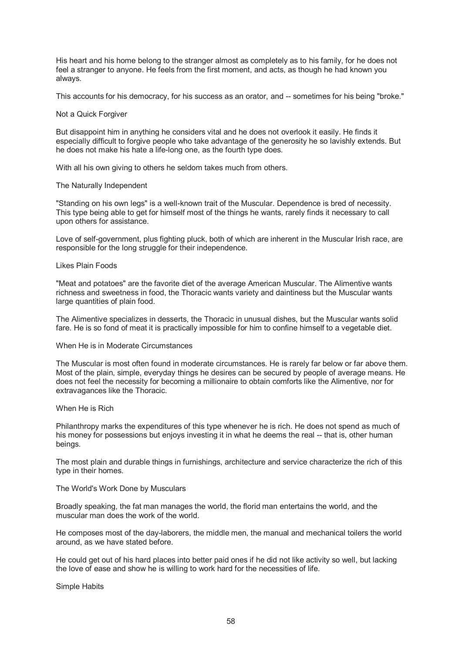His heart and his home belong to the stranger almost as completely as to his family, for he does not feel a stranger to anyone. He feels from the first moment, and acts, as though he had known you always.

This accounts for his democracy, for his success as an orator, and -- sometimes for his being "broke."

# Not a Quick Forgiver

But disappoint him in anything he considers vital and he does not overlook it easily. He finds it especially difficult to forgive people who take advantage of the generosity he so lavishly extends. But he does not make his hate a life-long one, as the fourth type does.

With all his own giving to others he seldom takes much from others.

### The Naturally Independent

"Standing on his own legs" is a well-known trait of the Muscular. Dependence is bred of necessity. This type being able to get for himself most of the things he wants, rarely finds it necessary to call upon others for assistance.

Love of self-government, plus fighting pluck, both of which are inherent in the Muscular Irish race, are responsible for the long struggle for their independence.

### Likes Plain Foods

"Meat and potatoes" are the favorite diet of the average American Muscular. The Alimentive wants richness and sweetness in food, the Thoracic wants variety and daintiness but the Muscular wants large quantities of plain food.

The Alimentive specializes in desserts, the Thoracic in unusual dishes, but the Muscular wants solid fare. He is so fond of meat it is practically impossible for him to confine himself to a vegetable diet.

#### When He is in Moderate Circumstances

The Muscular is most often found in moderate circumstances. He is rarely far below or far above them. Most of the plain, simple, everyday things he desires can be secured by people of average means. He does not feel the necessity for becoming a millionaire to obtain comforts like the Alimentive, nor for extravagances like the Thoracic.

#### When He is Rich

Philanthropy marks the expenditures of this type whenever he is rich. He does not spend as much of his money for possessions but enjoys investing it in what he deems the real -- that is, other human beings.

The most plain and durable things in furnishings, architecture and service characterize the rich of this type in their homes.

### The World's Work Done by Musculars

Broadly speaking, the fat man manages the world, the florid man entertains the world, and the muscular man does the work of the world.

He composes most of the day-laborers, the middle men, the manual and mechanical toilers the world around, as we have stated before.

He could get out of his hard places into better paid ones if he did not like activity so well, but lacking the love of ease and show he is willing to work hard for the necessities of life.

Simple Habits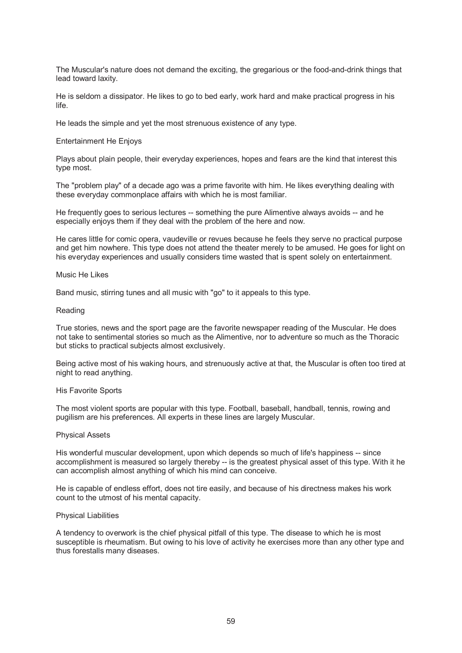The Muscular's nature does not demand the exciting, the gregarious or the food-and-drink things that lead toward laxity.

He is seldom a dissipator. He likes to go to bed early, work hard and make practical progress in his life.

He leads the simple and yet the most strenuous existence of any type.

### Entertainment He Enjoys

Plays about plain people, their everyday experiences, hopes and fears are the kind that interest this type most.

The "problem play" of a decade ago was a prime favorite with him. He likes everything dealing with these everyday commonplace affairs with which he is most familiar.

He frequently goes to serious lectures -- something the pure Alimentive always avoids -- and he especially enjoys them if they deal with the problem of the here and now.

He cares little for comic opera, vaudeville or revues because he feels they serve no practical purpose and get him nowhere. This type does not attend the theater merely to be amused. He goes for light on his everyday experiences and usually considers time wasted that is spent solely on entertainment.

#### Music He Likes

Band music, stirring tunes and all music with "go" to it appeals to this type.

### Reading

True stories, news and the sport page are the favorite newspaper reading of the Muscular. He does not take to sentimental stories so much as the Alimentive, nor to adventure so much as the Thoracic but sticks to practical subjects almost exclusively.

Being active most of his waking hours, and strenuously active at that, the Muscular is often too tired at night to read anything.

#### His Favorite Sports

The most violent sports are popular with this type. Football, baseball, handball, tennis, rowing and pugilism are his preferences. All experts in these lines are largely Muscular.

#### Physical Assets

His wonderful muscular development, upon which depends so much of life's happiness -- since accomplishment is measured so largely thereby -- is the greatest physical asset of this type. With it he can accomplish almost anything of which his mind can conceive.

He is capable of endless effort, does not tire easily, and because of his directness makes his work count to the utmost of his mental capacity.

#### Physical Liabilities

A tendency to overwork is the chief physical pitfall of this type. The disease to which he is most susceptible is rheumatism. But owing to his love of activity he exercises more than any other type and thus forestalls many diseases.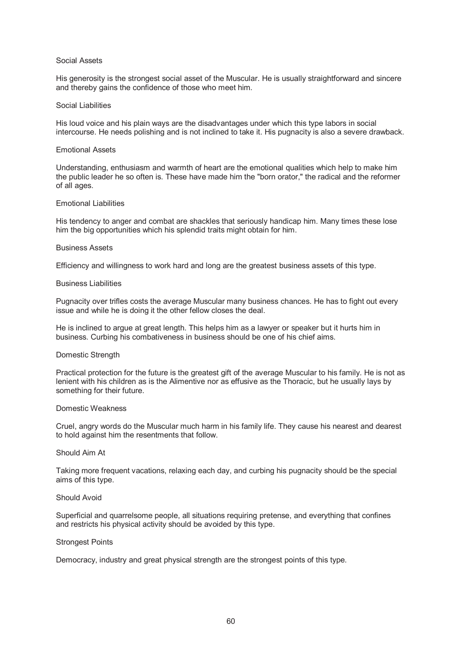## Social Assets

His generosity is the strongest social asset of the Muscular. He is usually straightforward and sincere and thereby gains the confidence of those who meet him.

### Social Liabilities

His loud voice and his plain ways are the disadvantages under which this type labors in social intercourse. He needs polishing and is not inclined to take it. His pugnacity is also a severe drawback.

### Emotional Assets

Understanding, enthusiasm and warmth of heart are the emotional qualities which help to make him the public leader he so often is. These have made him the "born orator," the radical and the reformer of all ages.

### Emotional Liabilities

His tendency to anger and combat are shackles that seriously handicap him. Many times these lose him the big opportunities which his splendid traits might obtain for him.

### Business Assets

Efficiency and willingness to work hard and long are the greatest business assets of this type.

### Business Liabilities

Pugnacity over trifles costs the average Muscular many business chances. He has to fight out every issue and while he is doing it the other fellow closes the deal.

He is inclined to argue at great length. This helps him as a lawyer or speaker but it hurts him in business. Curbing his combativeness in business should be one of his chief aims.

## Domestic Strength

Practical protection for the future is the greatest gift of the average Muscular to his family. He is not as lenient with his children as is the Alimentive nor as effusive as the Thoracic, but he usually lays by something for their future.

#### Domestic Weakness

Cruel, angry words do the Muscular much harm in his family life. They cause his nearest and dearest to hold against him the resentments that follow.

## Should Aim At

Taking more frequent vacations, relaxing each day, and curbing his pugnacity should be the special aims of this type.

# Should Avoid

Superficial and quarrelsome people, all situations requiring pretense, and everything that confines and restricts his physical activity should be avoided by this type.

## Strongest Points

Democracy, industry and great physical strength are the strongest points of this type.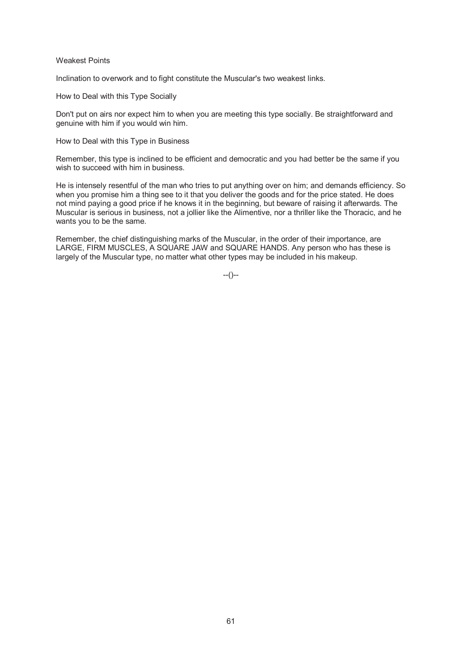## Weakest Points

Inclination to overwork and to fight constitute the Muscular's two weakest links.

How to Deal with this Type Socially

Don't put on airs nor expect him to when you are meeting this type socially. Be straightforward and genuine with him if you would win him.

How to Deal with this Type in Business

Remember, this type is inclined to be efficient and democratic and you had better be the same if you wish to succeed with him in business.

He is intensely resentful of the man who tries to put anything over on him; and demands efficiency. So when you promise him a thing see to it that you deliver the goods and for the price stated. He does not mind paying a good price if he knows it in the beginning, but beware of raising it afterwards. The Muscular is serious in business, not a jollier like the Alimentive, nor a thriller like the Thoracic, and he wants you to be the same.

Remember, the chief distinguishing marks of the Muscular, in the order of their importance, are LARGE, FIRM MUSCLES, A SQUARE JAW and SQUARE HANDS. Any person who has these is largely of the Muscular type, no matter what other types may be included in his makeup.

--()--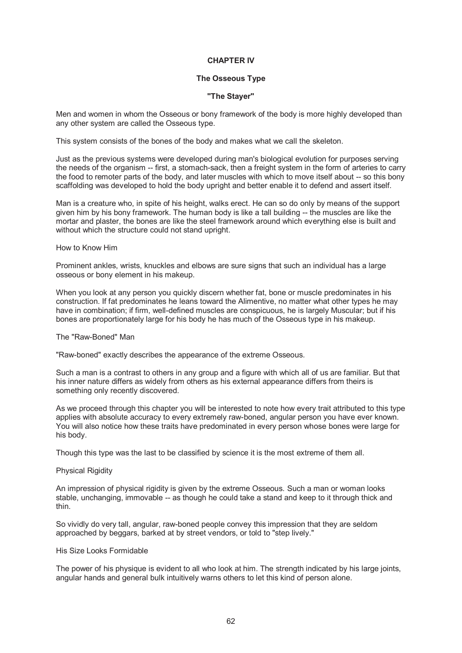# **CHAPTER IV**

# **The Osseous Type**

## **"The Stayer"**

Men and women in whom the Osseous or bony framework of the body is more highly developed than any other system are called the Osseous type.

This system consists of the bones of the body and makes what we call the skeleton.

Just as the previous systems were developed during man's biological evolution for purposes serving the needs of the organism -- first, a stomach-sack, then a freight system in the form of arteries to carry the food to remoter parts of the body, and later muscles with which to move itself about -- so this bony scaffolding was developed to hold the body upright and better enable it to defend and assert itself.

Man is a creature who, in spite of his height, walks erect. He can so do only by means of the support given him by his bony framework. The human body is like a tall building -- the muscles are like the mortar and plaster, the bones are like the steel framework around which everything else is built and without which the structure could not stand upright.

### How to Know Him

Prominent ankles, wrists, knuckles and elbows are sure signs that such an individual has a large osseous or bony element in his makeup.

When you look at any person you quickly discern whether fat, bone or muscle predominates in his construction. If fat predominates he leans toward the Alimentive, no matter what other types he may have in combination; if firm, well-defined muscles are conspicuous, he is largely Muscular; but if his bones are proportionately large for his body he has much of the Osseous type in his makeup.

## The "Raw-Boned" Man

"Raw-boned" exactly describes the appearance of the extreme Osseous.

Such a man is a contrast to others in any group and a figure with which all of us are familiar. But that his inner nature differs as widely from others as his external appearance differs from theirs is something only recently discovered.

As we proceed through this chapter you will be interested to note how every trait attributed to this type applies with absolute accuracy to every extremely raw-boned, angular person you have ever known. You will also notice how these traits have predominated in every person whose bones were large for his body.

Though this type was the last to be classified by science it is the most extreme of them all.

## **Physical Rigidity**

An impression of physical rigidity is given by the extreme Osseous. Such a man or woman looks stable, unchanging, immovable -- as though he could take a stand and keep to it through thick and thin.

So vividly do very tall, angular, raw-boned people convey this impression that they are seldom approached by beggars, barked at by street vendors, or told to "step lively."

#### His Size Looks Formidable

The power of his physique is evident to all who look at him. The strength indicated by his large joints, angular hands and general bulk intuitively warns others to let this kind of person alone.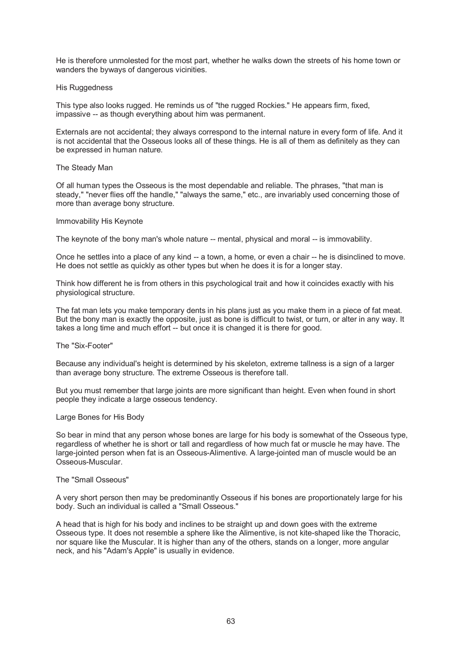He is therefore unmolested for the most part, whether he walks down the streets of his home town or wanders the byways of dangerous vicinities.

### His Ruggedness

This type also looks rugged. He reminds us of "the rugged Rockies." He appears firm, fixed, impassive -- as though everything about him was permanent.

Externals are not accidental; they always correspond to the internal nature in every form of life. And it is not accidental that the Osseous looks all of these things. He is all of them as definitely as they can be expressed in human nature.

### The Steady Man

Of all human types the Osseous is the most dependable and reliable. The phrases, "that man is steady," "never flies off the handle," "always the same," etc., are invariably used concerning those of more than average bony structure.

### Immovability His Keynote

The keynote of the bony man's whole nature -- mental, physical and moral -- is immovability.

Once he settles into a place of any kind -- a town, a home, or even a chair -- he is disinclined to move. He does not settle as quickly as other types but when he does it is for a longer stay.

Think how different he is from others in this psychological trait and how it coincides exactly with his physiological structure.

The fat man lets you make temporary dents in his plans just as you make them in a piece of fat meat. But the bony man is exactly the opposite, just as bone is difficult to twist, or turn, or alter in any way. It takes a long time and much effort -- but once it is changed it is there for good.

The "Six-Footer"

Because any individual's height is determined by his skeleton, extreme tallness is a sign of a larger than average bony structure. The extreme Osseous is therefore tall.

But you must remember that large joints are more significant than height. Even when found in short people they indicate a large osseous tendency.

# Large Bones for His Body

So bear in mind that any person whose bones are large for his body is somewhat of the Osseous type, regardless of whether he is short or tall and regardless of how much fat or muscle he may have. The large-jointed person when fat is an Osseous-Alimentive. A large-jointed man of muscle would be an Osseous-Muscular.

## The "Small Osseous"

A very short person then may be predominantly Osseous if his bones are proportionately large for his body. Such an individual is called a "Small Osseous."

A head that is high for his body and inclines to be straight up and down goes with the extreme Osseous type. It does not resemble a sphere like the Alimentive, is not kite-shaped like the Thoracic, nor square like the Muscular. It is higher than any of the others, stands on a longer, more angular neck, and his "Adam's Apple" is usually in evidence.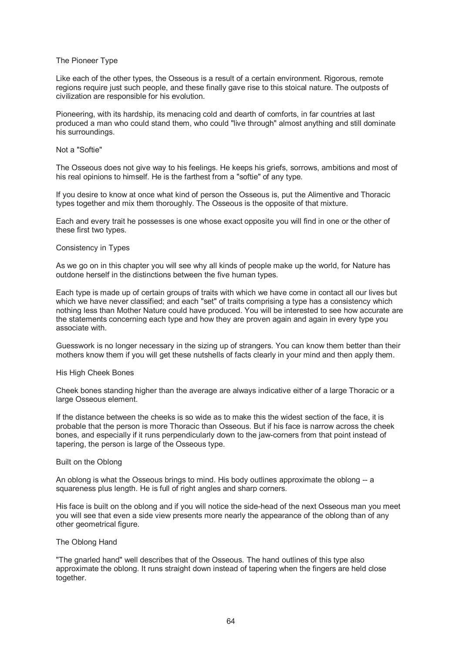## The Pioneer Type

Like each of the other types, the Osseous is a result of a certain environment. Rigorous, remote regions require just such people, and these finally gave rise to this stoical nature. The outposts of civilization are responsible for his evolution.

Pioneering, with its hardship, its menacing cold and dearth of comforts, in far countries at last produced a man who could stand them, who could "live through" almost anything and still dominate his surroundings.

## Not a "Softie"

The Osseous does not give way to his feelings. He keeps his griefs, sorrows, ambitions and most of his real opinions to himself. He is the farthest from a "softie" of any type.

If you desire to know at once what kind of person the Osseous is, put the Alimentive and Thoracic types together and mix them thoroughly. The Osseous is the opposite of that mixture.

Each and every trait he possesses is one whose exact opposite you will find in one or the other of these first two types.

## Consistency in Types

As we go on in this chapter you will see why all kinds of people make up the world, for Nature has outdone herself in the distinctions between the five human types.

Each type is made up of certain groups of traits with which we have come in contact all our lives but which we have never classified; and each "set" of traits comprising a type has a consistency which nothing less than Mother Nature could have produced. You will be interested to see how accurate are the statements concerning each type and how they are proven again and again in every type you associate with.

Guesswork is no longer necessary in the sizing up of strangers. You can know them better than their mothers know them if you will get these nutshells of facts clearly in your mind and then apply them.

## His High Cheek Bones

Cheek bones standing higher than the average are always indicative either of a large Thoracic or a large Osseous element.

If the distance between the cheeks is so wide as to make this the widest section of the face, it is probable that the person is more Thoracic than Osseous. But if his face is narrow across the cheek bones, and especially if it runs perpendicularly down to the jaw-corners from that point instead of tapering, the person is large of the Osseous type.

# Built on the Oblong

An oblong is what the Osseous brings to mind. His body outlines approximate the oblong -- a squareness plus length. He is full of right angles and sharp corners.

His face is built on the oblong and if you will notice the side-head of the next Osseous man you meet you will see that even a side view presents more nearly the appearance of the oblong than of any other geometrical figure.

#### The Oblong Hand

"The gnarled hand" well describes that of the Osseous. The hand outlines of this type also approximate the oblong. It runs straight down instead of tapering when the fingers are held close together.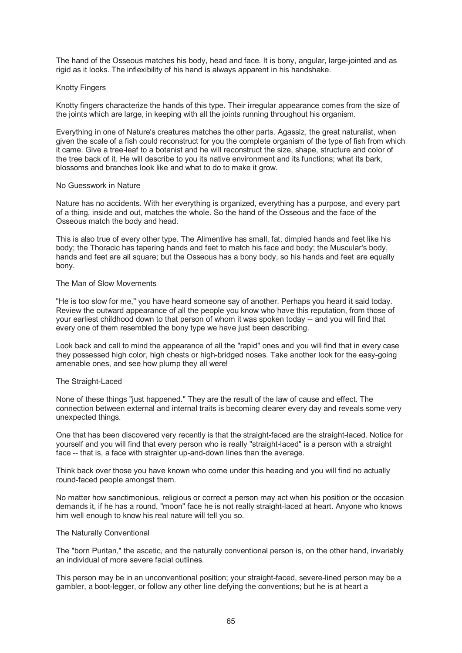The hand of the Osseous matches his body, head and face. It is bony, angular, large-jointed and as rigid as it looks. The inflexibility of his hand is always apparent in his handshake.

## Knotty Fingers

Knotty fingers characterize the hands of this type. Their irregular appearance comes from the size of the joints which are large, in keeping with all the joints running throughout his organism.

Everything in one of Nature's creatures matches the other parts. Agassiz, the great naturalist, when given the scale of a fish could reconstruct for you the complete organism of the type of fish from which it came. Give a tree-leaf to a botanist and he will reconstruct the size, shape, structure and color of the tree back of it. He will describe to you its native environment and its functions; what its bark, blossoms and branches look like and what to do to make it grow.

### No Guesswork in Nature

Nature has no accidents. With her everything is organized, everything has a purpose, and every part of a thing, inside and out, matches the whole. So the hand of the Osseous and the face of the Osseous match the body and head.

This is also true of every other type. The Alimentive has small, fat, dimpled hands and feet like his body; the Thoracic has tapering hands and feet to match his face and body; the Muscular's body, hands and feet are all square; but the Osseous has a bony body, so his hands and feet are equally bony.

### The Man of Slow Movements

"He is too slow for me," you have heard someone say of another. Perhaps you heard it said today. Review the outward appearance of all the people you know who have this reputation, from those of your earliest childhood down to that person of whom it was spoken today -- and you will find that every one of them resembled the bony type we have just been describing.

Look back and call to mind the appearance of all the "rapid" ones and you will find that in every case they possessed high color, high chests or high-bridged noses. Take another look for the easy-going amenable ones, and see how plump they all were!

## The Straight-Laced

None of these things "just happened." They are the result of the law of cause and effect. The connection between external and internal traits is becoming clearer every day and reveals some very unexpected things.

One that has been discovered very recently is that the straight-faced are the straight-laced. Notice for yourself and you will find that every person who is really "straight-laced" is a person with a straight face -- that is, a face with straighter up-and-down lines than the average.

Think back over those you have known who come under this heading and you will find no actually round-faced people amongst them.

No matter how sanctimonious, religious or correct a person may act when his position or the occasion demands it, if he has a round, "moon" face he is not really straight-laced at heart. Anyone who knows him well enough to know his real nature will tell you so.

## The Naturally Conventional

The "born Puritan," the ascetic, and the naturally conventional person is, on the other hand, invariably an individual of more severe facial outlines.

This person may be in an unconventional position; your straight-faced, severe-lined person may be a gambler, a boot-legger, or follow any other line defying the conventions; but he is at heart a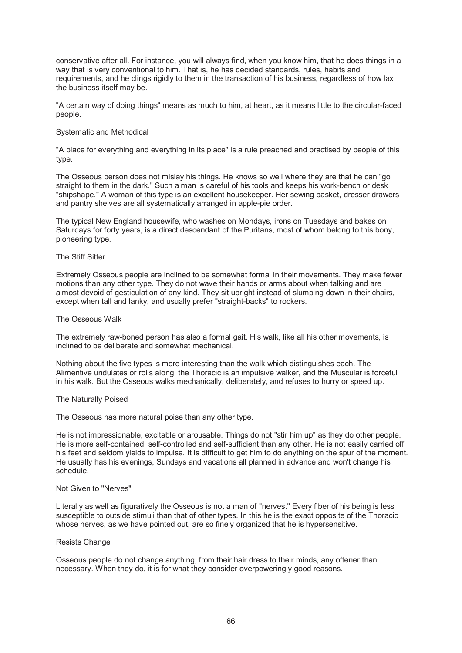conservative after all. For instance, you will always find, when you know him, that he does things in a way that is very conventional to him. That is, he has decided standards, rules, habits and requirements, and he clings rigidly to them in the transaction of his business, regardless of how lax the business itself may be.

"A certain way of doing things" means as much to him, at heart, as it means little to the circular-faced people.

## Systematic and Methodical

"A place for everything and everything in its place" is a rule preached and practised by people of this type.

The Osseous person does not mislay his things. He knows so well where they are that he can "go straight to them in the dark." Such a man is careful of his tools and keeps his work-bench or desk "shipshape." A woman of this type is an excellent housekeeper. Her sewing basket, dresser drawers and pantry shelves are all systematically arranged in apple-pie order.

The typical New England housewife, who washes on Mondays, irons on Tuesdays and bakes on Saturdays for forty years, is a direct descendant of the Puritans, most of whom belong to this bony, pioneering type.

## The Stiff Sitter

Extremely Osseous people are inclined to be somewhat formal in their movements. They make fewer motions than any other type. They do not wave their hands or arms about when talking and are almost devoid of gesticulation of any kind. They sit upright instead of slumping down in their chairs, except when tall and lanky, and usually prefer "straight-backs" to rockers.

## The Osseous Walk

The extremely raw-boned person has also a formal gait. His walk, like all his other movements, is inclined to be deliberate and somewhat mechanical.

Nothing about the five types is more interesting than the walk which distinguishes each. The Alimentive undulates or rolls along; the Thoracic is an impulsive walker, and the Muscular is forceful in his walk. But the Osseous walks mechanically, deliberately, and refuses to hurry or speed up.

## The Naturally Poised

The Osseous has more natural poise than any other type.

He is not impressionable, excitable or arousable. Things do not "stir him up" as they do other people. He is more self-contained, self-controlled and self-sufficient than any other. He is not easily carried off his feet and seldom yields to impulse. It is difficult to get him to do anything on the spur of the moment. He usually has his evenings, Sundays and vacations all planned in advance and won't change his schedule.

# Not Given to "Nerves"

Literally as well as figuratively the Osseous is not a man of "nerves." Every fiber of his being is less susceptible to outside stimuli than that of other types. In this he is the exact opposite of the Thoracic whose nerves, as we have pointed out, are so finely organized that he is hypersensitive.

## Resists Change

Osseous people do not change anything, from their hair dress to their minds, any oftener than necessary. When they do, it is for what they consider overpoweringly good reasons.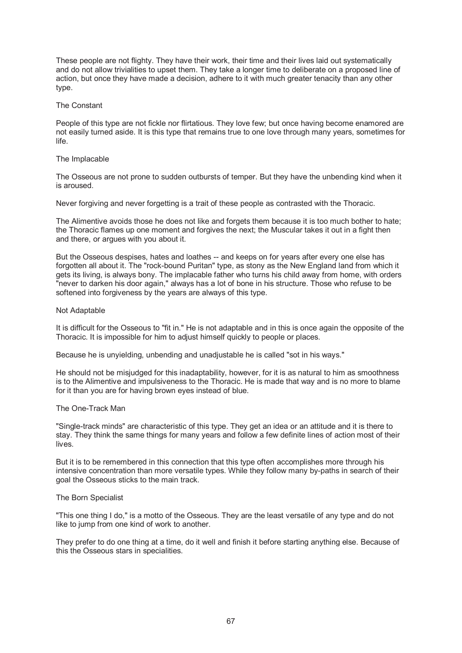These people are not flighty. They have their work, their time and their lives laid out systematically and do not allow trivialities to upset them. They take a longer time to deliberate on a proposed line of action, but once they have made a decision, adhere to it with much greater tenacity than any other type.

## The Constant

People of this type are not fickle nor flirtatious. They love few; but once having become enamored are not easily turned aside. It is this type that remains true to one love through many years, sometimes for life.

### The Implacable

The Osseous are not prone to sudden outbursts of temper. But they have the unbending kind when it is aroused.

Never forgiving and never forgetting is a trait of these people as contrasted with the Thoracic.

The Alimentive avoids those he does not like and forgets them because it is too much bother to hate; the Thoracic flames up one moment and forgives the next; the Muscular takes it out in a fight then and there, or argues with you about it.

But the Osseous despises, hates and loathes -- and keeps on for years after every one else has forgotten all about it. The "rock-bound Puritan" type, as stony as the New England land from which it gets its living, is always bony. The implacable father who turns his child away from home, with orders "never to darken his door again," always has a lot of bone in his structure. Those who refuse to be softened into forgiveness by the years are always of this type.

### Not Adaptable

It is difficult for the Osseous to "fit in." He is not adaptable and in this is once again the opposite of the Thoracic. It is impossible for him to adjust himself quickly to people or places.

Because he is unyielding, unbending and unadjustable he is called "sot in his ways."

He should not be misjudged for this inadaptability, however, for it is as natural to him as smoothness is to the Alimentive and impulsiveness to the Thoracic. He is made that way and is no more to blame for it than you are for having brown eyes instead of blue.

## The One-Track Man

"Single-track minds" are characteristic of this type. They get an idea or an attitude and it is there to stay. They think the same things for many years and follow a few definite lines of action most of their lives.

But it is to be remembered in this connection that this type often accomplishes more through his intensive concentration than more versatile types. While they follow many by-paths in search of their goal the Osseous sticks to the main track.

# The Born Specialist

"This one thing I do," is a motto of the Osseous. They are the least versatile of any type and do not like to jump from one kind of work to another.

They prefer to do one thing at a time, do it well and finish it before starting anything else. Because of this the Osseous stars in specialities.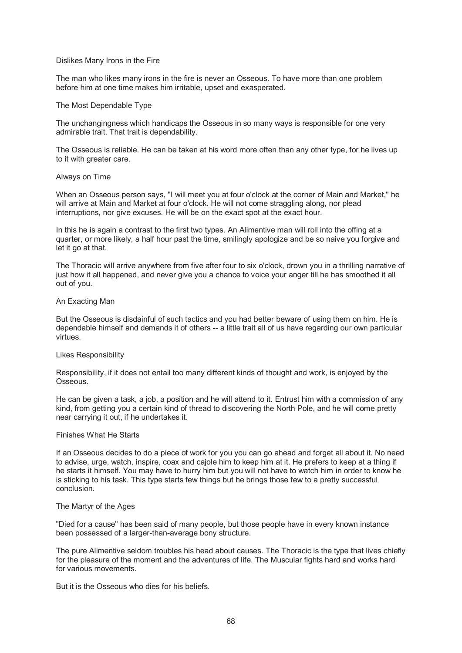### Dislikes Many Irons in the Fire

The man who likes many irons in the fire is never an Osseous. To have more than one problem before him at one time makes him irritable, upset and exasperated.

### The Most Dependable Type

The unchangingness which handicaps the Osseous in so many ways is responsible for one very admirable trait. That trait is dependability.

The Osseous is reliable. He can be taken at his word more often than any other type, for he lives up to it with greater care.

### Always on Time

When an Osseous person says, "I will meet you at four o'clock at the corner of Main and Market," he will arrive at Main and Market at four o'clock. He will not come straggling along, nor plead interruptions, nor give excuses. He will be on the exact spot at the exact hour.

In this he is again a contrast to the first two types. An Alimentive man will roll into the offing at a quarter, or more likely, a half hour past the time, smilingly apologize and be so naive you forgive and let it go at that.

The Thoracic will arrive anywhere from five after four to six o'clock, drown you in a thrilling narrative of just how it all happened, and never give you a chance to voice your anger till he has smoothed it all out of you.

# An Exacting Man

But the Osseous is disdainful of such tactics and you had better beware of using them on him. He is dependable himself and demands it of others -- a little trait all of us have regarding our own particular virtues.

## Likes Responsibility

Responsibility, if it does not entail too many different kinds of thought and work, is enjoyed by the **Osseous** 

He can be given a task, a job, a position and he will attend to it. Entrust him with a commission of any kind, from getting you a certain kind of thread to discovering the North Pole, and he will come pretty near carrying it out, if he undertakes it.

#### Finishes What He Starts

If an Osseous decides to do a piece of work for you you can go ahead and forget all about it. No need to advise, urge, watch, inspire, coax and cajole him to keep him at it. He prefers to keep at a thing if he starts it himself. You may have to hurry him but you will not have to watch him in order to know he is sticking to his task. This type starts few things but he brings those few to a pretty successful conclusion.

## The Martyr of the Ages

"Died for a cause" has been said of many people, but those people have in every known instance been possessed of a larger-than-average bony structure.

The pure Alimentive seldom troubles his head about causes. The Thoracic is the type that lives chiefly for the pleasure of the moment and the adventures of life. The Muscular fights hard and works hard for various movements.

But it is the Osseous who dies for his beliefs.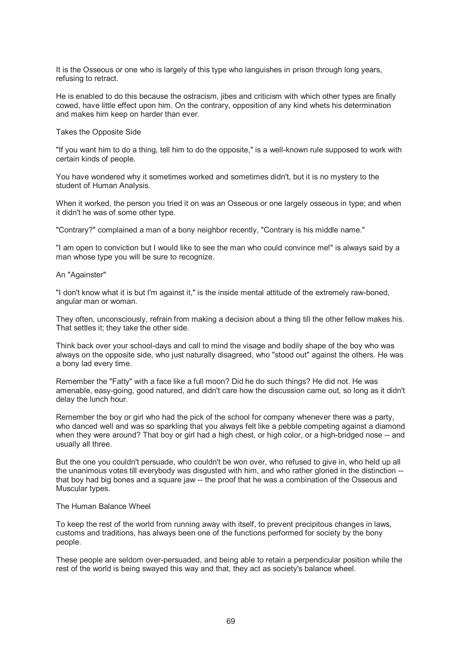It is the Osseous or one who is largely of this type who languishes in prison through long years, refusing to retract.

He is enabled to do this because the ostracism, jibes and criticism with which other types are finally cowed, have little effect upon him. On the contrary, opposition of any kind whets his determination and makes him keep on harder than ever.

Takes the Opposite Side

"If you want him to do a thing, tell him to do the opposite," is a well-known rule supposed to work with certain kinds of people.

You have wondered why it sometimes worked and sometimes didn't, but it is no mystery to the student of Human Analysis.

When it worked, the person you tried it on was an Osseous or one largely osseous in type; and when it didn't he was of some other type.

"Contrary?" complained a man of a bony neighbor recently, "Contrary is his middle name."

"I am open to conviction but I would like to see the man who could convince me!" is always said by a man whose type you will be sure to recognize.

An "Againster"

"I don't know what it is but I'm against it," is the inside mental attitude of the extremely raw-boned, angular man or woman.

They often, unconsciously, refrain from making a decision about a thing till the other fellow makes his. That settles it; they take the other side.

Think back over your school-days and call to mind the visage and bodily shape of the boy who was always on the opposite side, who just naturally disagreed, who "stood out" against the others. He was a bony lad every time.

Remember the "Fatty" with a face like a full moon? Did he do such things? He did not. He was amenable, easy-going, good natured, and didn't care how the discussion came out, so long as it didn't delay the lunch hour.

Remember the boy or girl who had the pick of the school for company whenever there was a party, who danced well and was so sparkling that you always felt like a pebble competing against a diamond when they were around? That boy or girl had a high chest, or high color, or a high-bridged nose -- and usually all three.

But the one you couldn't persuade, who couldn't be won over, who refused to give in, who held up all the unanimous votes till everybody was disgusted with him, and who rather gloried in the distinction - that boy had big bones and a square jaw -- the proof that he was a combination of the Osseous and Muscular types.

# The Human Balance Wheel

To keep the rest of the world from running away with itself, to prevent precipitous changes in laws, customs and traditions, has always been one of the functions performed for society by the bony people.

These people are seldom over-persuaded, and being able to retain a perpendicular position while the rest of the world is being swayed this way and that, they act as society's balance wheel.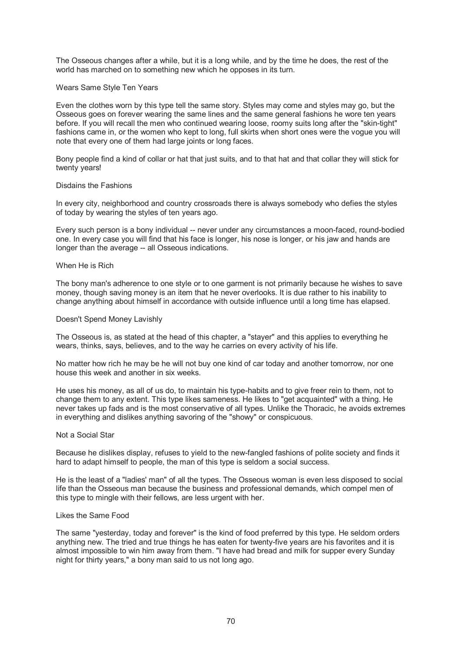The Osseous changes after a while, but it is a long while, and by the time he does, the rest of the world has marched on to something new which he opposes in its turn.

## Wears Same Style Ten Years

Even the clothes worn by this type tell the same story. Styles may come and styles may go, but the Osseous goes on forever wearing the same lines and the same general fashions he wore ten years before. If you will recall the men who continued wearing loose, roomy suits long after the "skin-tight" fashions came in, or the women who kept to long, full skirts when short ones were the vogue you will note that every one of them had large joints or long faces.

Bony people find a kind of collar or hat that just suits, and to that hat and that collar they will stick for twenty years!

## Disdains the Fashions

In every city, neighborhood and country crossroads there is always somebody who defies the styles of today by wearing the styles of ten years ago.

Every such person is a bony individual -- never under any circumstances a moon-faced, round-bodied one. In every case you will find that his face is longer, his nose is longer, or his jaw and hands are longer than the average -- all Osseous indications.

#### When He is Rich

The bony man's adherence to one style or to one garment is not primarily because he wishes to save money, though saving money is an item that he never overlooks. It is due rather to his inability to change anything about himself in accordance with outside influence until a long time has elapsed.

### Doesn't Spend Money Lavishly

The Osseous is, as stated at the head of this chapter, a "stayer" and this applies to everything he wears, thinks, says, believes, and to the way he carries on every activity of his life.

No matter how rich he may be he will not buy one kind of car today and another tomorrow, nor one house this week and another in six weeks.

He uses his money, as all of us do, to maintain his type-habits and to give freer rein to them, not to change them to any extent. This type likes sameness. He likes to "get acquainted" with a thing. He never takes up fads and is the most conservative of all types. Unlike the Thoracic, he avoids extremes in everything and dislikes anything savoring of the "showy" or conspicuous.

#### Not a Social Star

Because he dislikes display, refuses to yield to the new-fangled fashions of polite society and finds it hard to adapt himself to people, the man of this type is seldom a social success.

He is the least of a "ladies' man" of all the types. The Osseous woman is even less disposed to social life than the Osseous man because the business and professional demands, which compel men of this type to mingle with their fellows, are less urgent with her.

#### Likes the Same Food

The same "yesterday, today and forever" is the kind of food preferred by this type. He seldom orders anything new. The tried and true things he has eaten for twenty-five years are his favorites and it is almost impossible to win him away from them. "I have had bread and milk for supper every Sunday night for thirty years," a bony man said to us not long ago.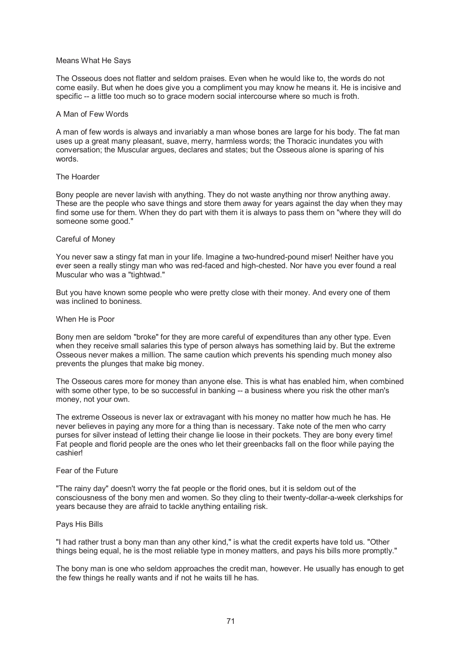### Means What He Says

The Osseous does not flatter and seldom praises. Even when he would like to, the words do not come easily. But when he does give you a compliment you may know he means it. He is incisive and specific -- a little too much so to grace modern social intercourse where so much is froth.

## A Man of Few Words

A man of few words is always and invariably a man whose bones are large for his body. The fat man uses up a great many pleasant, suave, merry, harmless words; the Thoracic inundates you with conversation; the Muscular argues, declares and states; but the Osseous alone is sparing of his words.

### The Hoarder

Bony people are never lavish with anything. They do not waste anything nor throw anything away. These are the people who save things and store them away for years against the day when they may find some use for them. When they do part with them it is always to pass them on "where they will do someone some good."

### Careful of Money

You never saw a stingy fat man in your life. Imagine a two-hundred-pound miser! Neither have you ever seen a really stingy man who was red-faced and high-chested. Nor have you ever found a real Muscular who was a "tightwad."

But you have known some people who were pretty close with their money. And every one of them was inclined to boniness.

### When He is Poor

Bony men are seldom "broke" for they are more careful of expenditures than any other type. Even when they receive small salaries this type of person always has something laid by. But the extreme Osseous never makes a million. The same caution which prevents his spending much money also prevents the plunges that make big money.

The Osseous cares more for money than anyone else. This is what has enabled him, when combined with some other type, to be so successful in banking -- a business where you risk the other man's money, not your own.

The extreme Osseous is never lax or extravagant with his money no matter how much he has. He never believes in paying any more for a thing than is necessary. Take note of the men who carry purses for silver instead of letting their change lie loose in their pockets. They are bony every time! Fat people and florid people are the ones who let their greenbacks fall on the floor while paying the cashier!

### Fear of the Future

"The rainy day" doesn't worry the fat people or the florid ones, but it is seldom out of the consciousness of the bony men and women. So they cling to their twenty-dollar-a-week clerkships for years because they are afraid to tackle anything entailing risk.

## Pays His Bills

"I had rather trust a bony man than any other kind," is what the credit experts have told us. "Other things being equal, he is the most reliable type in money matters, and pays his bills more promptly."

The bony man is one who seldom approaches the credit man, however. He usually has enough to get the few things he really wants and if not he waits till he has.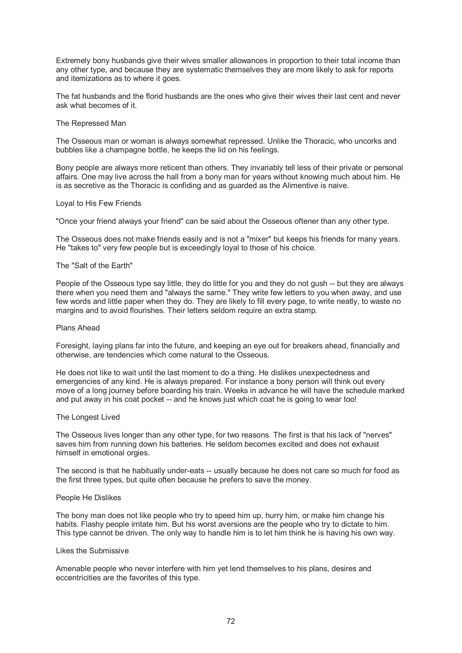Extremely bony husbands give their wives smaller allowances in proportion to their total income than any other type, and because they are systematic themselves they are more likely to ask for reports and itemizations as to where it goes.

The fat husbands and the florid husbands are the ones who give their wives their last cent and never ask what becomes of it.

## The Repressed Man

The Osseous man or woman is always somewhat repressed. Unlike the Thoracic, who uncorks and bubbles like a champagne bottle, he keeps the lid on his feelings.

Bony people are always more reticent than others. They invariably tell less of their private or personal affairs. One may live across the hall from a bony man for years without knowing much about him. He is as secretive as the Thoracic is confiding and as guarded as the Alimentive is naive.

### Loyal to His Few Friends

"Once your friend always your friend" can be said about the Osseous oftener than any other type.

The Osseous does not make friends easily and is not a "mixer" but keeps his friends for many years. He "takes to" very few people but is exceedingly loyal to those of his choice.

### The "Salt of the Earth"

People of the Osseous type say little, they do little for you and they do not gush -- but they are always there when you need them and "always the same." They write few letters to you when away, and use few words and little paper when they do. They are likely to fill every page, to write neatly, to waste no margins and to avoid flourishes. Their letters seldom require an extra stamp.

## Plans Ahead

Foresight, laying plans far into the future, and keeping an eye out for breakers ahead, financially and otherwise, are tendencies which come natural to the Osseous.

He does not like to wait until the last moment to do a thing. He dislikes unexpectedness and emergencies of any kind. He is always prepared. For instance a bony person will think out every move of a long journey before boarding his train. Weeks in advance he will have the schedule marked and put away in his coat pocket -- and he knows just which coat he is going to wear too!

#### The Longest Lived

The Osseous lives longer than any other type, for two reasons. The first is that his lack of "nerves" saves him from running down his batteries. He seldom becomes excited and does not exhaust himself in emotional orgies.

The second is that he habitually under-eats -- usually because he does not care so much for food as the first three types, but quite often because he prefers to save the money.

# People He Dislikes

The bony man does not like people who try to speed him up, hurry him, or make him change his habits. Flashy people irritate him. But his worst aversions are the people who try to dictate to him. This type cannot be driven. The only way to handle him is to let him think he is having his own way.

### Likes the Submissive

Amenable people who never interfere with him yet lend themselves to his plans, desires and eccentricities are the favorites of this type.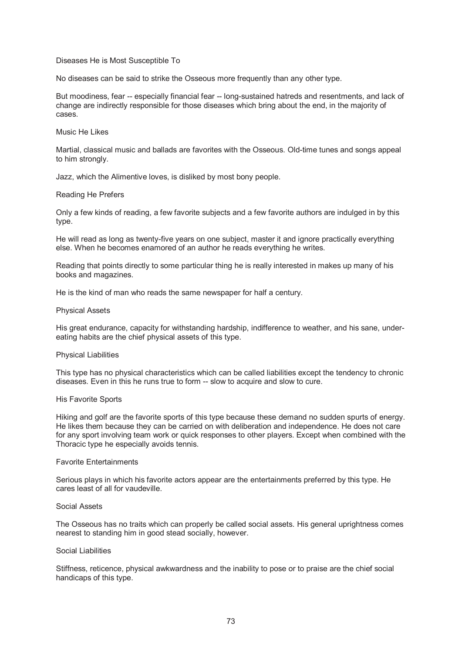## Diseases He is Most Susceptible To

No diseases can be said to strike the Osseous more frequently than any other type.

But moodiness, fear -- especially financial fear -- long-sustained hatreds and resentments, and lack of change are indirectly responsible for those diseases which bring about the end, in the majority of cases.

# Music He Likes

Martial, classical music and ballads are favorites with the Osseous. Old-time tunes and songs appeal to him strongly.

Jazz, which the Alimentive loves, is disliked by most bony people.

### Reading He Prefers

Only a few kinds of reading, a few favorite subjects and a few favorite authors are indulged in by this type.

He will read as long as twenty-five years on one subject, master it and ignore practically everything else. When he becomes enamored of an author he reads everything he writes.

Reading that points directly to some particular thing he is really interested in makes up many of his books and magazines.

He is the kind of man who reads the same newspaper for half a century.

### Physical Assets

His great endurance, capacity for withstanding hardship, indifference to weather, and his sane, undereating habits are the chief physical assets of this type.

#### Physical Liabilities

This type has no physical characteristics which can be called liabilities except the tendency to chronic diseases. Even in this he runs true to form -- slow to acquire and slow to cure.

#### His Favorite Sports

Hiking and golf are the favorite sports of this type because these demand no sudden spurts of energy. He likes them because they can be carried on with deliberation and independence. He does not care for any sport involving team work or quick responses to other players. Except when combined with the Thoracic type he especially avoids tennis.

## Favorite Entertainments

Serious plays in which his favorite actors appear are the entertainments preferred by this type. He cares least of all for vaudeville.

## Social Assets

The Osseous has no traits which can properly be called social assets. His general uprightness comes nearest to standing him in good stead socially, however.

### Social Liabilities

Stiffness, reticence, physical awkwardness and the inability to pose or to praise are the chief social handicaps of this type.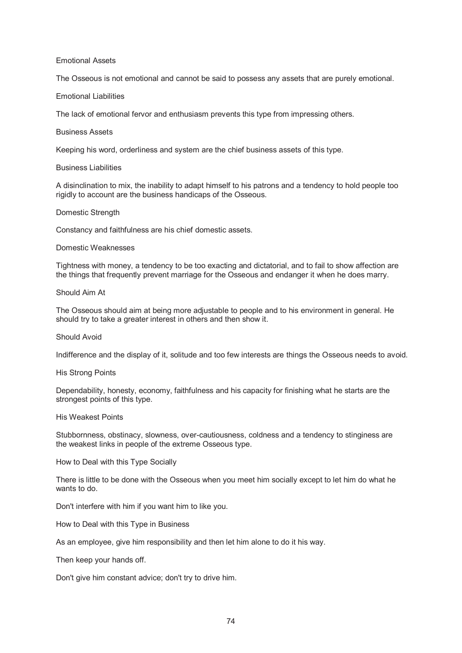# Emotional Assets

The Osseous is not emotional and cannot be said to possess any assets that are purely emotional.

# Emotional Liabilities

The lack of emotional fervor and enthusiasm prevents this type from impressing others.

# Business Assets

Keeping his word, orderliness and system are the chief business assets of this type.

## Business Liabilities

A disinclination to mix, the inability to adapt himself to his patrons and a tendency to hold people too rigidly to account are the business handicaps of the Osseous.

## Domestic Strength

Constancy and faithfulness are his chief domestic assets.

## Domestic Weaknesses

Tightness with money, a tendency to be too exacting and dictatorial, and to fail to show affection are the things that frequently prevent marriage for the Osseous and endanger it when he does marry.

# Should Aim At

The Osseous should aim at being more adjustable to people and to his environment in general. He should try to take a greater interest in others and then show it.

# Should Avoid

Indifference and the display of it, solitude and too few interests are things the Osseous needs to avoid.

## His Strong Points

Dependability, honesty, economy, faithfulness and his capacity for finishing what he starts are the strongest points of this type.

# His Weakest Points

Stubbornness, obstinacy, slowness, over-cautiousness, coldness and a tendency to stinginess are the weakest links in people of the extreme Osseous type.

How to Deal with this Type Socially

There is little to be done with the Osseous when you meet him socially except to let him do what he wants to do.

Don't interfere with him if you want him to like you.

How to Deal with this Type in Business

As an employee, give him responsibility and then let him alone to do it his way.

Then keep your hands off.

Don't give him constant advice; don't try to drive him.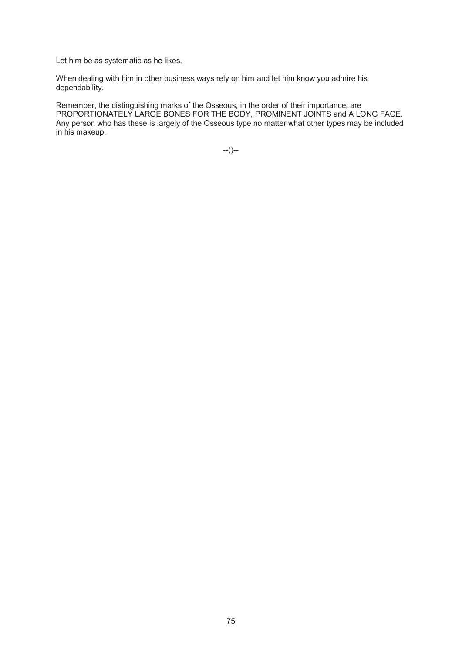Let him be as systematic as he likes.

When dealing with him in other business ways rely on him and let him know you admire his dependability.

Remember, the distinguishing marks of the Osseous, in the order of their importance, are PROPORTIONATELY LARGE BONES FOR THE BODY, PROMINENT JOINTS and A LONG FACE. Any person who has these is largely of the Osseous type no matter what other types may be included in his makeup.

--()--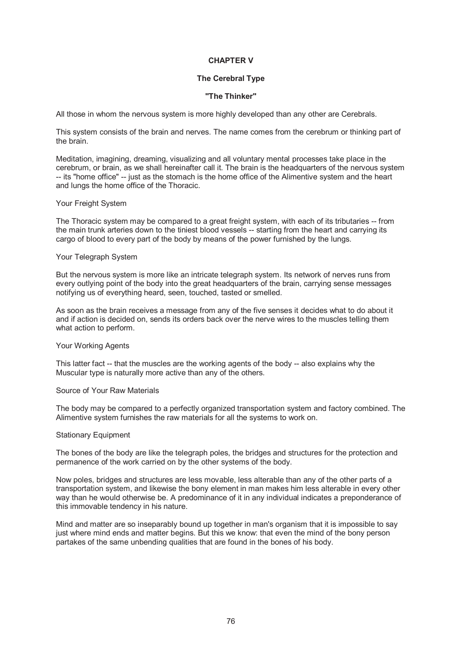# **CHAPTER V**

# **The Cerebral Type**

# **"The Thinker"**

All those in whom the nervous system is more highly developed than any other are Cerebrals.

This system consists of the brain and nerves. The name comes from the cerebrum or thinking part of the brain.

Meditation, imagining, dreaming, visualizing and all voluntary mental processes take place in the cerebrum, or brain, as we shall hereinafter call it. The brain is the headquarters of the nervous system -- its "home office" -- just as the stomach is the home office of the Alimentive system and the heart and lungs the home office of the Thoracic.

### Your Freight System

The Thoracic system may be compared to a great freight system, with each of its tributaries -- from the main trunk arteries down to the tiniest blood vessels -- starting from the heart and carrying its cargo of blood to every part of the body by means of the power furnished by the lungs.

### Your Telegraph System

But the nervous system is more like an intricate telegraph system. Its network of nerves runs from every outlying point of the body into the great headquarters of the brain, carrying sense messages notifying us of everything heard, seen, touched, tasted or smelled.

As soon as the brain receives a message from any of the five senses it decides what to do about it and if action is decided on, sends its orders back over the nerve wires to the muscles telling them what action to perform.

## Your Working Agents

This latter fact -- that the muscles are the working agents of the body -- also explains why the Muscular type is naturally more active than any of the others.

## Source of Your Raw Materials

The body may be compared to a perfectly organized transportation system and factory combined. The Alimentive system furnishes the raw materials for all the systems to work on.

#### Stationary Equipment

The bones of the body are like the telegraph poles, the bridges and structures for the protection and permanence of the work carried on by the other systems of the body.

Now poles, bridges and structures are less movable, less alterable than any of the other parts of a transportation system, and likewise the bony element in man makes him less alterable in every other way than he would otherwise be. A predominance of it in any individual indicates a preponderance of this immovable tendency in his nature.

Mind and matter are so inseparably bound up together in man's organism that it is impossible to say just where mind ends and matter begins. But this we know: that even the mind of the bony person partakes of the same unbending qualities that are found in the bones of his body.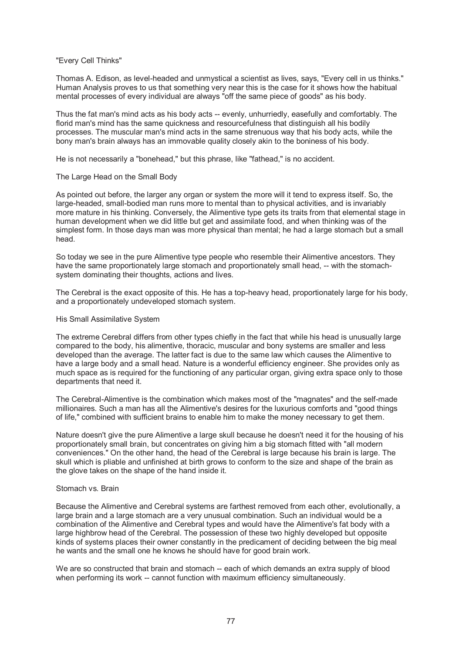# "Every Cell Thinks"

Thomas A. Edison, as level-headed and unmystical a scientist as lives, says, "Every cell in us thinks." Human Analysis proves to us that something very near this is the case for it shows how the habitual mental processes of every individual are always "off the same piece of goods" as his body.

Thus the fat man's mind acts as his body acts -- evenly, unhurriedly, easefully and comfortably. The florid man's mind has the same quickness and resourcefulness that distinguish all his bodily processes. The muscular man's mind acts in the same strenuous way that his body acts, while the bony man's brain always has an immovable quality closely akin to the boniness of his body.

He is not necessarily a "bonehead," but this phrase, like "fathead," is no accident.

# The Large Head on the Small Body

As pointed out before, the larger any organ or system the more will it tend to express itself. So, the large-headed, small-bodied man runs more to mental than to physical activities, and is invariably more mature in his thinking. Conversely, the Alimentive type gets its traits from that elemental stage in human development when we did little but get and assimilate food, and when thinking was of the simplest form. In those days man was more physical than mental; he had a large stomach but a small head.

So today we see in the pure Alimentive type people who resemble their Alimentive ancestors. They have the same proportionately large stomach and proportionately small head, -- with the stomachsystem dominating their thoughts, actions and lives.

The Cerebral is the exact opposite of this. He has a top-heavy head, proportionately large for his body, and a proportionately undeveloped stomach system.

# His Small Assimilative System

The extreme Cerebral differs from other types chiefly in the fact that while his head is unusually large compared to the body, his alimentive, thoracic, muscular and bony systems are smaller and less developed than the average. The latter fact is due to the same law which causes the Alimentive to have a large body and a small head. Nature is a wonderful efficiency engineer. She provides only as much space as is required for the functioning of any particular organ, giving extra space only to those departments that need it.

The Cerebral-Alimentive is the combination which makes most of the "magnates" and the self-made millionaires. Such a man has all the Alimentive's desires for the luxurious comforts and "good things of life," combined with sufficient brains to enable him to make the money necessary to get them.

Nature doesn't give the pure Alimentive a large skull because he doesn't need it for the housing of his proportionately small brain, but concentrates on giving him a big stomach fitted with "all modern conveniences." On the other hand, the head of the Cerebral is large because his brain is large. The skull which is pliable and unfinished at birth grows to conform to the size and shape of the brain as the glove takes on the shape of the hand inside it.

# Stomach vs. Brain

Because the Alimentive and Cerebral systems are farthest removed from each other, evolutionally, a large brain and a large stomach are a very unusual combination. Such an individual would be a combination of the Alimentive and Cerebral types and would have the Alimentive's fat body with a large highbrow head of the Cerebral. The possession of these two highly developed but opposite kinds of systems places their owner constantly in the predicament of deciding between the big meal he wants and the small one he knows he should have for good brain work.

We are so constructed that brain and stomach -- each of which demands an extra supply of blood when performing its work -- cannot function with maximum efficiency simultaneously.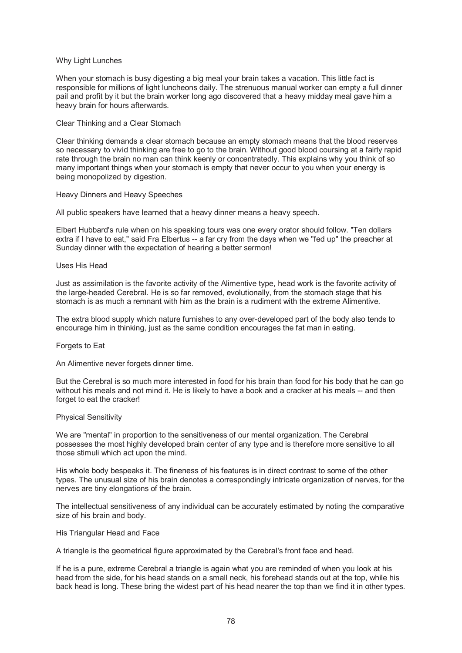## Why Light Lunches

When your stomach is busy digesting a big meal your brain takes a vacation. This little fact is responsible for millions of light luncheons daily. The strenuous manual worker can empty a full dinner pail and profit by it but the brain worker long ago discovered that a heavy midday meal gave him a heavy brain for hours afterwards.

### Clear Thinking and a Clear Stomach

Clear thinking demands a clear stomach because an empty stomach means that the blood reserves so necessary to vivid thinking are free to go to the brain. Without good blood coursing at a fairly rapid rate through the brain no man can think keenly or concentratedly. This explains why you think of so many important things when your stomach is empty that never occur to you when your energy is being monopolized by digestion.

### Heavy Dinners and Heavy Speeches

All public speakers have learned that a heavy dinner means a heavy speech.

Elbert Hubbard's rule when on his speaking tours was one every orator should follow. "Ten dollars extra if I have to eat," said Fra Elbertus -- a far cry from the days when we "fed up" the preacher at Sunday dinner with the expectation of hearing a better sermon!

#### Uses His Head

Just as assimilation is the favorite activity of the Alimentive type, head work is the favorite activity of the large-headed Cerebral. He is so far removed, evolutionally, from the stomach stage that his stomach is as much a remnant with him as the brain is a rudiment with the extreme Alimentive.

The extra blood supply which nature furnishes to any over-developed part of the body also tends to encourage him in thinking, just as the same condition encourages the fat man in eating.

#### Forgets to Eat

An Alimentive never forgets dinner time.

But the Cerebral is so much more interested in food for his brain than food for his body that he can go without his meals and not mind it. He is likely to have a book and a cracker at his meals -- and then forget to eat the cracker!

#### Physical Sensitivity

We are "mental" in proportion to the sensitiveness of our mental organization. The Cerebral possesses the most highly developed brain center of any type and is therefore more sensitive to all those stimuli which act upon the mind.

His whole body bespeaks it. The fineness of his features is in direct contrast to some of the other types. The unusual size of his brain denotes a correspondingly intricate organization of nerves, for the nerves are tiny elongations of the brain.

The intellectual sensitiveness of any individual can be accurately estimated by noting the comparative size of his brain and body.

#### His Triangular Head and Face

A triangle is the geometrical figure approximated by the Cerebral's front face and head.

If he is a pure, extreme Cerebral a triangle is again what you are reminded of when you look at his head from the side, for his head stands on a small neck, his forehead stands out at the top, while his back head is long. These bring the widest part of his head nearer the top than we find it in other types.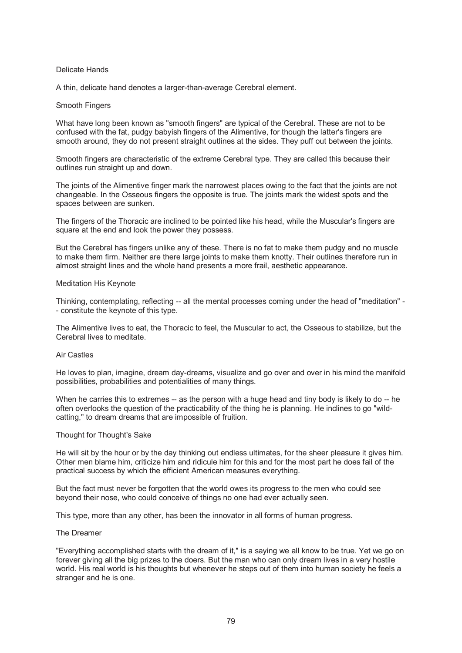# Delicate Hands

A thin, delicate hand denotes a larger-than-average Cerebral element.

## Smooth Fingers

What have long been known as "smooth fingers" are typical of the Cerebral. These are not to be confused with the fat, pudgy babyish fingers of the Alimentive, for though the latter's fingers are smooth around, they do not present straight outlines at the sides. They puff out between the joints.

Smooth fingers are characteristic of the extreme Cerebral type. They are called this because their outlines run straight up and down.

The joints of the Alimentive finger mark the narrowest places owing to the fact that the joints are not changeable. In the Osseous fingers the opposite is true. The joints mark the widest spots and the spaces between are sunken.

The fingers of the Thoracic are inclined to be pointed like his head, while the Muscular's fingers are square at the end and look the power they possess.

But the Cerebral has fingers unlike any of these. There is no fat to make them pudgy and no muscle to make them firm. Neither are there large joints to make them knotty. Their outlines therefore run in almost straight lines and the whole hand presents a more frail, aesthetic appearance.

## Meditation His Keynote

Thinking, contemplating, reflecting -- all the mental processes coming under the head of "meditation" - - constitute the keynote of this type.

The Alimentive lives to eat, the Thoracic to feel, the Muscular to act, the Osseous to stabilize, but the Cerebral lives to meditate.

## Air Castles

He loves to plan, imagine, dream day-dreams, visualize and go over and over in his mind the manifold possibilities, probabilities and potentialities of many things.

When he carries this to extremes -- as the person with a huge head and tiny body is likely to do -- he often overlooks the question of the practicability of the thing he is planning. He inclines to go "wildcatting," to dream dreams that are impossible of fruition.

## Thought for Thought's Sake

He will sit by the hour or by the day thinking out endless ultimates, for the sheer pleasure it gives him. Other men blame him, criticize him and ridicule him for this and for the most part he does fail of the practical success by which the efficient American measures everything.

But the fact must never be forgotten that the world owes its progress to the men who could see beyond their nose, who could conceive of things no one had ever actually seen.

This type, more than any other, has been the innovator in all forms of human progress.

## The Dreamer

"Everything accomplished starts with the dream of it," is a saying we all know to be true. Yet we go on forever giving all the big prizes to the doers. But the man who can only dream lives in a very hostile world. His real world is his thoughts but whenever he steps out of them into human society he feels a stranger and he is one.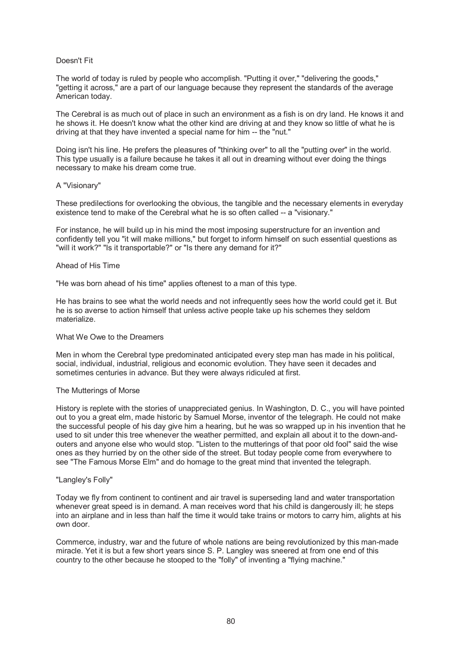# Doesn't Fit

The world of today is ruled by people who accomplish. "Putting it over," "delivering the goods," "getting it across," are a part of our language because they represent the standards of the average American today.

The Cerebral is as much out of place in such an environment as a fish is on dry land. He knows it and he shows it. He doesn't know what the other kind are driving at and they know so little of what he is driving at that they have invented a special name for him -- the "nut."

Doing isn't his line. He prefers the pleasures of "thinking over" to all the "putting over" in the world. This type usually is a failure because he takes it all out in dreaming without ever doing the things necessary to make his dream come true.

## A "Visionary"

These predilections for overlooking the obvious, the tangible and the necessary elements in everyday existence tend to make of the Cerebral what he is so often called -- a "visionary."

For instance, he will build up in his mind the most imposing superstructure for an invention and confidently tell you "it will make millions," but forget to inform himself on such essential questions as "will it work?" "Is it transportable?" or "Is there any demand for it?"

## Ahead of His Time

"He was born ahead of his time" applies oftenest to a man of this type.

He has brains to see what the world needs and not infrequently sees how the world could get it. But he is so averse to action himself that unless active people take up his schemes they seldom materialize.

# What We Owe to the Dreamers

Men in whom the Cerebral type predominated anticipated every step man has made in his political, social, individual, industrial, religious and economic evolution. They have seen it decades and sometimes centuries in advance. But they were always ridiculed at first.

## The Mutterings of Morse

History is replete with the stories of unappreciated genius. In Washington, D. C., you will have pointed out to you a great elm, made historic by Samuel Morse, inventor of the telegraph. He could not make the successful people of his day give him a hearing, but he was so wrapped up in his invention that he used to sit under this tree whenever the weather permitted, and explain all about it to the down-andouters and anyone else who would stop. "Listen to the mutterings of that poor old fool" said the wise ones as they hurried by on the other side of the street. But today people come from everywhere to see "The Famous Morse Elm" and do homage to the great mind that invented the telegraph.

# "Langley's Folly"

Today we fly from continent to continent and air travel is superseding land and water transportation whenever great speed is in demand. A man receives word that his child is dangerously ill; he steps into an airplane and in less than half the time it would take trains or motors to carry him, alights at his own door.

Commerce, industry, war and the future of whole nations are being revolutionized by this man-made miracle. Yet it is but a few short years since S. P. Langley was sneered at from one end of this country to the other because he stooped to the "folly" of inventing a "flying machine."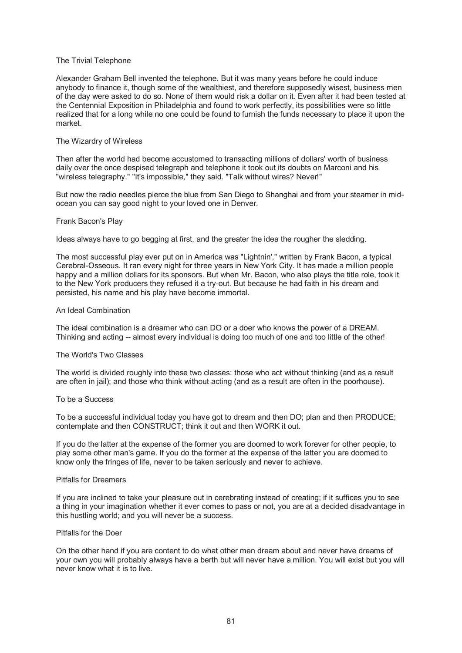## The Trivial Telephone

Alexander Graham Bell invented the telephone. But it was many years before he could induce anybody to finance it, though some of the wealthiest, and therefore supposedly wisest, business men of the day were asked to do so. None of them would risk a dollar on it. Even after it had been tested at the Centennial Exposition in Philadelphia and found to work perfectly, its possibilities were so little realized that for a long while no one could be found to furnish the funds necessary to place it upon the market.

### The Wizardry of Wireless

Then after the world had become accustomed to transacting millions of dollars' worth of business daily over the once despised telegraph and telephone it took out its doubts on Marconi and his "wireless telegraphy." "It's impossible," they said. "Talk without wires? Never!"

But now the radio needles pierce the blue from San Diego to Shanghai and from your steamer in midocean you can say good night to your loved one in Denver.

### Frank Bacon's Play

Ideas always have to go begging at first, and the greater the idea the rougher the sledding.

The most successful play ever put on in America was "Lightnin'," written by Frank Bacon, a typical Cerebral-Osseous. It ran every night for three years in New York City. It has made a million people happy and a million dollars for its sponsors. But when Mr. Bacon, who also plays the title role, took it to the New York producers they refused it a try-out. But because he had faith in his dream and persisted, his name and his play have become immortal.

### An Ideal Combination

The ideal combination is a dreamer who can DO or a doer who knows the power of a DREAM. Thinking and acting -- almost every individual is doing too much of one and too little of the other!

#### The World's Two Classes

The world is divided roughly into these two classes: those who act without thinking (and as a result are often in jail); and those who think without acting (and as a result are often in the poorhouse).

#### To be a Success

To be a successful individual today you have got to dream and then DO; plan and then PRODUCE; contemplate and then CONSTRUCT; think it out and then WORK it out.

If you do the latter at the expense of the former you are doomed to work forever for other people, to play some other man's game. If you do the former at the expense of the latter you are doomed to know only the fringes of life, never to be taken seriously and never to achieve.

## Pitfalls for Dreamers

If you are inclined to take your pleasure out in cerebrating instead of creating; if it suffices you to see a thing in your imagination whether it ever comes to pass or not, you are at a decided disadvantage in this hustling world; and you will never be a success.

## Pitfalls for the Doer

On the other hand if you are content to do what other men dream about and never have dreams of your own you will probably always have a berth but will never have a million. You will exist but you will never know what it is to live.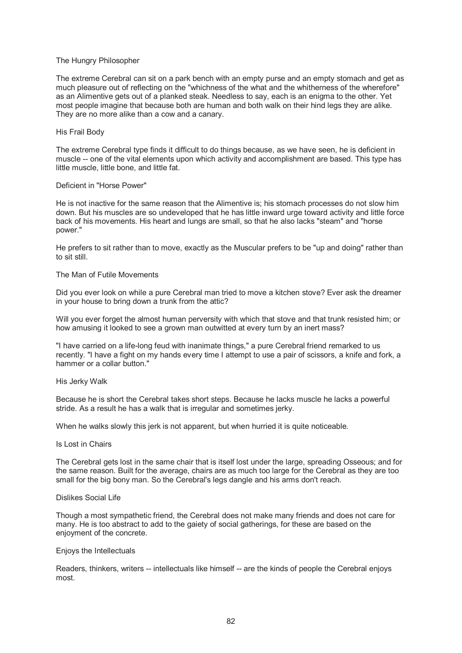## The Hungry Philosopher

The extreme Cerebral can sit on a park bench with an empty purse and an empty stomach and get as much pleasure out of reflecting on the "whichness of the what and the whitherness of the wherefore" as an Alimentive gets out of a planked steak. Needless to say, each is an enigma to the other. Yet most people imagine that because both are human and both walk on their hind legs they are alike. They are no more alike than a cow and a canary.

## His Frail Body

The extreme Cerebral type finds it difficult to do things because, as we have seen, he is deficient in muscle -- one of the vital elements upon which activity and accomplishment are based. This type has little muscle, little bone, and little fat.

# Deficient in "Horse Power"

He is not inactive for the same reason that the Alimentive is; his stomach processes do not slow him down. But his muscles are so undeveloped that he has little inward urge toward activity and little force back of his movements. His heart and lungs are small, so that he also lacks "steam" and "horse power."

He prefers to sit rather than to move, exactly as the Muscular prefers to be "up and doing" rather than to sit still.

### The Man of Futile Movements

Did you ever look on while a pure Cerebral man tried to move a kitchen stove? Ever ask the dreamer in your house to bring down a trunk from the attic?

Will you ever forget the almost human perversity with which that stove and that trunk resisted him; or how amusing it looked to see a grown man outwitted at every turn by an inert mass?

"I have carried on a life-long feud with inanimate things," a pure Cerebral friend remarked to us recently. "I have a fight on my hands every time I attempt to use a pair of scissors, a knife and fork, a hammer or a collar button."

#### His Jerky Walk

Because he is short the Cerebral takes short steps. Because he lacks muscle he lacks a powerful stride. As a result he has a walk that is irregular and sometimes jerky.

When he walks slowly this jerk is not apparent, but when hurried it is quite noticeable.

#### Is Lost in Chairs

The Cerebral gets lost in the same chair that is itself lost under the large, spreading Osseous; and for the same reason. Built for the average, chairs are as much too large for the Cerebral as they are too small for the big bony man. So the Cerebral's legs dangle and his arms don't reach.

## Dislikes Social Life

Though a most sympathetic friend, the Cerebral does not make many friends and does not care for many. He is too abstract to add to the gaiety of social gatherings, for these are based on the enjoyment of the concrete.

### Enjoys the Intellectuals

Readers, thinkers, writers -- intellectuals like himself -- are the kinds of people the Cerebral enjoys most.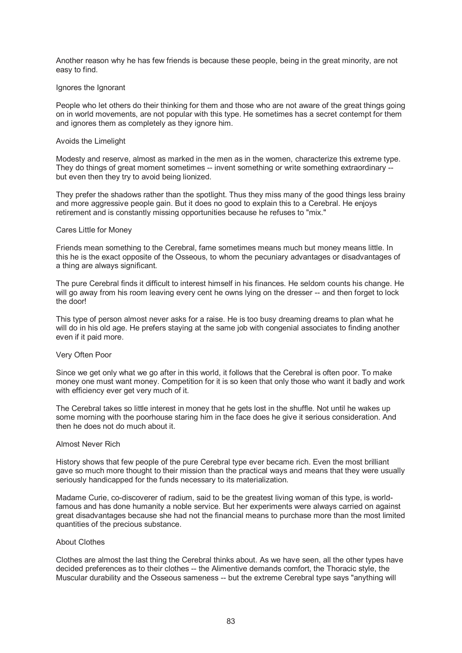Another reason why he has few friends is because these people, being in the great minority, are not easy to find.

## Ignores the Ignorant

People who let others do their thinking for them and those who are not aware of the great things going on in world movements, are not popular with this type. He sometimes has a secret contempt for them and ignores them as completely as they ignore him.

#### Avoids the Limelight

Modesty and reserve, almost as marked in the men as in the women, characterize this extreme type. They do things of great moment sometimes -- invent something or write something extraordinary - but even then they try to avoid being lionized.

They prefer the shadows rather than the spotlight. Thus they miss many of the good things less brainy and more aggressive people gain. But it does no good to explain this to a Cerebral. He enjoys retirement and is constantly missing opportunities because he refuses to "mix."

### Cares Little for Money

Friends mean something to the Cerebral, fame sometimes means much but money means little. In this he is the exact opposite of the Osseous, to whom the pecuniary advantages or disadvantages of a thing are always significant.

The pure Cerebral finds it difficult to interest himself in his finances. He seldom counts his change. He will go away from his room leaving every cent he owns lying on the dresser -- and then forget to lock the door!

This type of person almost never asks for a raise. He is too busy dreaming dreams to plan what he will do in his old age. He prefers staying at the same job with congenial associates to finding another even if it paid more.

#### Very Often Poor

Since we get only what we go after in this world, it follows that the Cerebral is often poor. To make money one must want money. Competition for it is so keen that only those who want it badly and work with efficiency ever get very much of it.

The Cerebral takes so little interest in money that he gets lost in the shuffle. Not until he wakes up some morning with the poorhouse staring him in the face does he give it serious consideration. And then he does not do much about it.

#### Almost Never Rich

History shows that few people of the pure Cerebral type ever became rich. Even the most brilliant gave so much more thought to their mission than the practical ways and means that they were usually seriously handicapped for the funds necessary to its materialization.

Madame Curie, co-discoverer of radium, said to be the greatest living woman of this type, is worldfamous and has done humanity a noble service. But her experiments were always carried on against great disadvantages because she had not the financial means to purchase more than the most limited quantities of the precious substance.

#### About Clothes

Clothes are almost the last thing the Cerebral thinks about. As we have seen, all the other types have decided preferences as to their clothes -- the Alimentive demands comfort, the Thoracic style, the Muscular durability and the Osseous sameness -- but the extreme Cerebral type says "anything will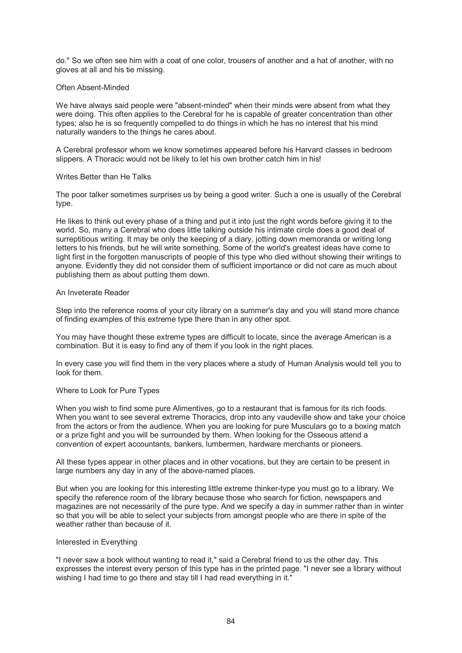do." So we often see him with a coat of one color, trousers of another and a hat of another, with no gloves at all and his tie missing.

# Often Absent-Minded

We have always said people were "absent-minded" when their minds were absent from what they were doing. This often applies to the Cerebral for he is capable of greater concentration than other types; also he is so frequently compelled to do things in which he has no interest that his mind naturally wanders to the things he cares about.

A Cerebral professor whom we know sometimes appeared before his Harvard classes in bedroom slippers. A Thoracic would not be likely to let his own brother catch him in his!

## Writes Better than He Talks

The poor talker sometimes surprises us by being a good writer. Such a one is usually of the Cerebral type.

He likes to think out every phase of a thing and put it into just the right words before giving it to the world. So, many a Cerebral who does little talking outside his intimate circle does a good deal of surreptitious writing. It may be only the keeping of a diary, jotting down memoranda or writing long letters to his friends, but he will write something. Some of the world's greatest ideas have come to light first in the forgotten manuscripts of people of this type who died without showing their writings to anyone. Evidently they did not consider them of sufficient importance or did not care as much about publishing them as about putting them down.

# An Inveterate Reader

Step into the reference rooms of your city library on a summer's day and you will stand more chance of finding examples of this extreme type there than in any other spot.

You may have thought these extreme types are difficult to locate, since the average American is a combination. But it is easy to find any of them if you look in the right places.

In every case you will find them in the very places where a study of Human Analysis would tell you to look for them.

## Where to Look for Pure Types

When you wish to find some pure Alimentives, go to a restaurant that is famous for its rich foods. When you want to see several extreme Thoracics, drop into any vaudeville show and take your choice from the actors or from the audience. When you are looking for pure Musculars go to a boxing match or a prize fight and you will be surrounded by them. When looking for the Osseous attend a convention of expert accountants, bankers, lumbermen, hardware merchants or pioneers.

All these types appear in other places and in other vocations, but they are certain to be present in large numbers any day in any of the above-named places.

But when you are looking for this interesting little extreme thinker-type you must go to a library. We specify the reference room of the library because those who search for fiction, newspapers and magazines are not necessarily of the pure type. And we specify a day in summer rather than in winter so that you will be able to select your subjects from amongst people who are there in spite of the weather rather than because of it.

## Interested in Everything

"I never saw a book without wanting to read it," said a Cerebral friend to us the other day. This expresses the interest every person of this type has in the printed page. "I never see a library without wishing I had time to go there and stay till I had read everything in it."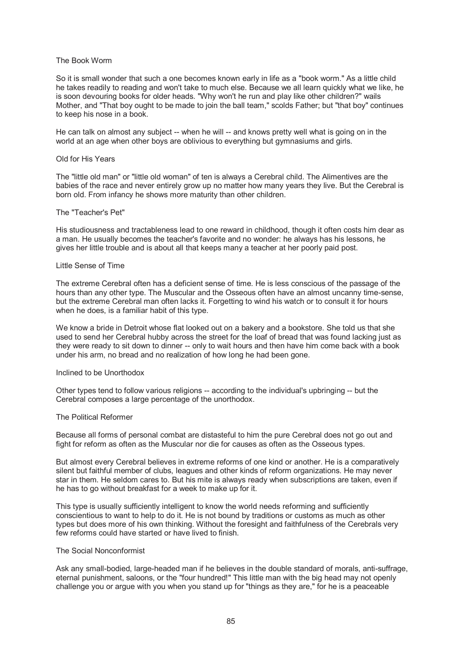## The Book Worm

So it is small wonder that such a one becomes known early in life as a "book worm." As a little child he takes readily to reading and won't take to much else. Because we all learn quickly what we like, he is soon devouring books for older heads. "Why won't he run and play like other children?" wails Mother, and "That boy ought to be made to join the ball team," scolds Father; but "that boy" continues to keep his nose in a book.

He can talk on almost any subject -- when he will -- and knows pretty well what is going on in the world at an age when other boys are oblivious to everything but gymnasiums and girls.

#### Old for His Years

The "little old man" or "little old woman" of ten is always a Cerebral child. The Alimentives are the babies of the race and never entirely grow up no matter how many years they live. But the Cerebral is born old. From infancy he shows more maturity than other children.

## The "Teacher's Pet"

His studiousness and tractableness lead to one reward in childhood, though it often costs him dear as a man. He usually becomes the teacher's favorite and no wonder: he always has his lessons, he gives her little trouble and is about all that keeps many a teacher at her poorly paid post.

### Little Sense of Time

The extreme Cerebral often has a deficient sense of time. He is less conscious of the passage of the hours than any other type. The Muscular and the Osseous often have an almost uncanny time-sense, but the extreme Cerebral man often lacks it. Forgetting to wind his watch or to consult it for hours when he does, is a familiar habit of this type.

We know a bride in Detroit whose flat looked out on a bakery and a bookstore. She told us that she used to send her Cerebral hubby across the street for the loaf of bread that was found lacking just as they were ready to sit down to dinner -- only to wait hours and then have him come back with a book under his arm, no bread and no realization of how long he had been gone.

### Inclined to be Unorthodox

Other types tend to follow various religions -- according to the individual's upbringing -- but the Cerebral composes a large percentage of the unorthodox.

#### The Political Reformer

Because all forms of personal combat are distasteful to him the pure Cerebral does not go out and fight for reform as often as the Muscular nor die for causes as often as the Osseous types.

But almost every Cerebral believes in extreme reforms of one kind or another. He is a comparatively silent but faithful member of clubs, leagues and other kinds of reform organizations. He may never star in them. He seldom cares to. But his mite is always ready when subscriptions are taken, even if he has to go without breakfast for a week to make up for it.

This type is usually sufficiently intelligent to know the world needs reforming and sufficiently conscientious to want to help to do it. He is not bound by traditions or customs as much as other types but does more of his own thinking. Without the foresight and faithfulness of the Cerebrals very few reforms could have started or have lived to finish.

#### The Social Nonconformist

Ask any small-bodied, large-headed man if he believes in the double standard of morals, anti-suffrage, eternal punishment, saloons, or the "four hundred!" This little man with the big head may not openly challenge you or argue with you when you stand up for "things as they are," for he is a peaceable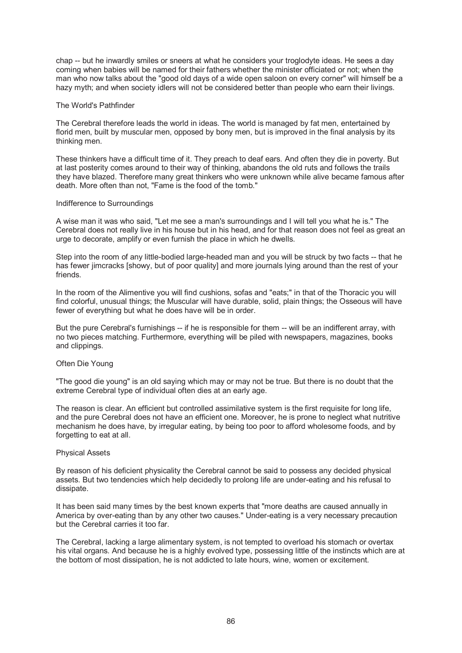chap -- but he inwardly smiles or sneers at what he considers your troglodyte ideas. He sees a day coming when babies will be named for their fathers whether the minister officiated or not; when the man who now talks about the "good old days of a wide open saloon on every corner" will himself be a hazy myth; and when society idlers will not be considered better than people who earn their livings.

## The World's Pathfinder

The Cerebral therefore leads the world in ideas. The world is managed by fat men, entertained by florid men, built by muscular men, opposed by bony men, but is improved in the final analysis by its thinking men.

These thinkers have a difficult time of it. They preach to deaf ears. And often they die in poverty. But at last posterity comes around to their way of thinking, abandons the old ruts and follows the trails they have blazed. Therefore many great thinkers who were unknown while alive became famous after death. More often than not, "Fame is the food of the tomb."

### Indifference to Surroundings

A wise man it was who said, "Let me see a man's surroundings and I will tell you what he is." The Cerebral does not really live in his house but in his head, and for that reason does not feel as great an urge to decorate, amplify or even furnish the place in which he dwells.

Step into the room of any little-bodied large-headed man and you will be struck by two facts -- that he has fewer jimcracks [showy, but of poor quality] and more journals lying around than the rest of your friends.

In the room of the Alimentive you will find cushions, sofas and "eats;" in that of the Thoracic you will find colorful, unusual things; the Muscular will have durable, solid, plain things; the Osseous will have fewer of everything but what he does have will be in order.

But the pure Cerebral's furnishings -- if he is responsible for them -- will be an indifferent array, with no two pieces matching. Furthermore, everything will be piled with newspapers, magazines, books and clippings.

## Often Die Young

"The good die young" is an old saying which may or may not be true. But there is no doubt that the extreme Cerebral type of individual often dies at an early age.

The reason is clear. An efficient but controlled assimilative system is the first requisite for long life, and the pure Cerebral does not have an efficient one. Moreover, he is prone to neglect what nutritive mechanism he does have, by irregular eating, by being too poor to afford wholesome foods, and by forgetting to eat at all.

## Physical Assets

By reason of his deficient physicality the Cerebral cannot be said to possess any decided physical assets. But two tendencies which help decidedly to prolong life are under-eating and his refusal to dissipate.

It has been said many times by the best known experts that "more deaths are caused annually in America by over-eating than by any other two causes." Under-eating is a very necessary precaution but the Cerebral carries it too far.

The Cerebral, lacking a large alimentary system, is not tempted to overload his stomach or overtax his vital organs. And because he is a highly evolved type, possessing little of the instincts which are at the bottom of most dissipation, he is not addicted to late hours, wine, women or excitement.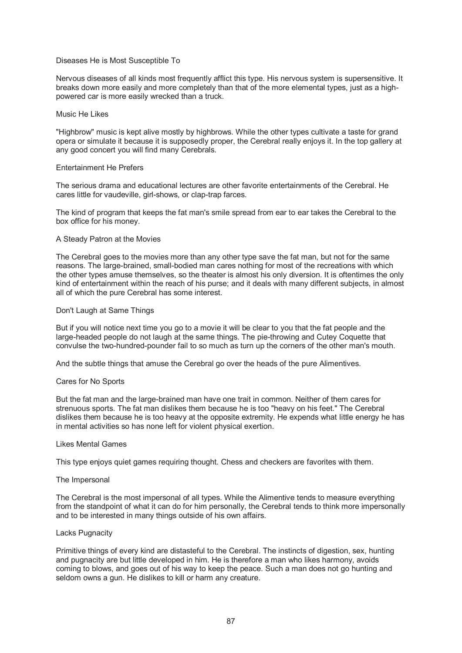# Diseases He is Most Susceptible To

Nervous diseases of all kinds most frequently afflict this type. His nervous system is supersensitive. It breaks down more easily and more completely than that of the more elemental types, just as a highpowered car is more easily wrecked than a truck.

## Music He Likes

"Highbrow" music is kept alive mostly by highbrows. While the other types cultivate a taste for grand opera or simulate it because it is supposedly proper, the Cerebral really enjoys it. In the top gallery at any good concert you will find many Cerebrals.

# Entertainment He Prefers

The serious drama and educational lectures are other favorite entertainments of the Cerebral. He cares little for vaudeville, girl-shows, or clap-trap farces.

The kind of program that keeps the fat man's smile spread from ear to ear takes the Cerebral to the box office for his money.

## A Steady Patron at the Movies

The Cerebral goes to the movies more than any other type save the fat man, but not for the same reasons. The large-brained, small-bodied man cares nothing for most of the recreations with which the other types amuse themselves, so the theater is almost his only diversion. It is oftentimes the only kind of entertainment within the reach of his purse; and it deals with many different subjects, in almost all of which the pure Cerebral has some interest.

## Don't Laugh at Same Things

But if you will notice next time you go to a movie it will be clear to you that the fat people and the large-headed people do not laugh at the same things. The pie-throwing and Cutey Coquette that convulse the two-hundred-pounder fail to so much as turn up the corners of the other man's mouth.

And the subtle things that amuse the Cerebral go over the heads of the pure Alimentives.

## Cares for No Sports

But the fat man and the large-brained man have one trait in common. Neither of them cares for strenuous sports. The fat man dislikes them because he is too "heavy on his feet." The Cerebral dislikes them because he is too heavy at the opposite extremity. He expends what little energy he has in mental activities so has none left for violent physical exertion.

#### Likes Mental Games

This type enjoys quiet games requiring thought. Chess and checkers are favorites with them.

## The Impersonal

The Cerebral is the most impersonal of all types. While the Alimentive tends to measure everything from the standpoint of what it can do for him personally, the Cerebral tends to think more impersonally and to be interested in many things outside of his own affairs.

## Lacks Pugnacity

Primitive things of every kind are distasteful to the Cerebral. The instincts of digestion, sex, hunting and pugnacity are but little developed in him. He is therefore a man who likes harmony, avoids coming to blows, and goes out of his way to keep the peace. Such a man does not go hunting and seldom owns a gun. He dislikes to kill or harm any creature.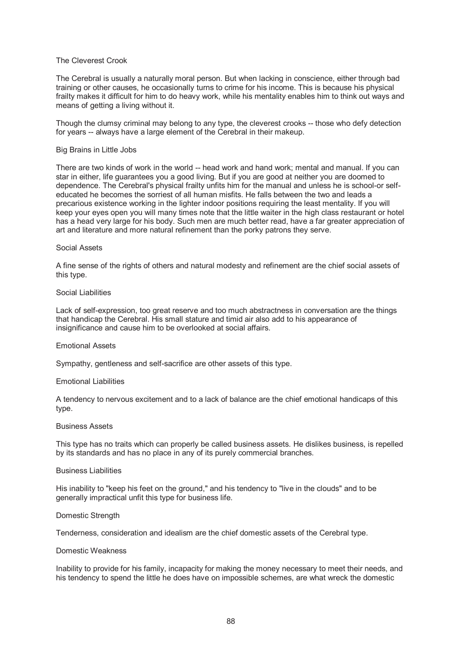## The Cleverest Crook

The Cerebral is usually a naturally moral person. But when lacking in conscience, either through bad training or other causes, he occasionally turns to crime for his income. This is because his physical frailty makes it difficult for him to do heavy work, while his mentality enables him to think out ways and means of getting a living without it.

Though the clumsy criminal may belong to any type, the cleverest crooks -- those who defy detection for years -- always have a large element of the Cerebral in their makeup.

#### Big Brains in Little Jobs

There are two kinds of work in the world -- head work and hand work; mental and manual. If you can star in either, life guarantees you a good living. But if you are good at neither you are doomed to dependence. The Cerebral's physical frailty unfits him for the manual and unless he is school-or selfeducated he becomes the sorriest of all human misfits. He falls between the two and leads a precarious existence working in the lighter indoor positions requiring the least mentality. If you will keep your eyes open you will many times note that the little waiter in the high class restaurant or hotel has a head very large for his body. Such men are much better read, have a far greater appreciation of art and literature and more natural refinement than the porky patrons they serve.

#### Social Assets

A fine sense of the rights of others and natural modesty and refinement are the chief social assets of this type.

### Social Liabilities

Lack of self-expression, too great reserve and too much abstractness in conversation are the things that handicap the Cerebral. His small stature and timid air also add to his appearance of insignificance and cause him to be overlooked at social affairs.

#### Emotional Assets

Sympathy, gentleness and self-sacrifice are other assets of this type.

#### Emotional Liabilities

A tendency to nervous excitement and to a lack of balance are the chief emotional handicaps of this type.

### Business Assets

This type has no traits which can properly be called business assets. He dislikes business, is repelled by its standards and has no place in any of its purely commercial branches.

# Business Liabilities

His inability to "keep his feet on the ground," and his tendency to "live in the clouds" and to be generally impractical unfit this type for business life.

#### Domestic Strength

Tenderness, consideration and idealism are the chief domestic assets of the Cerebral type.

#### Domestic Weakness

Inability to provide for his family, incapacity for making the money necessary to meet their needs, and his tendency to spend the little he does have on impossible schemes, are what wreck the domestic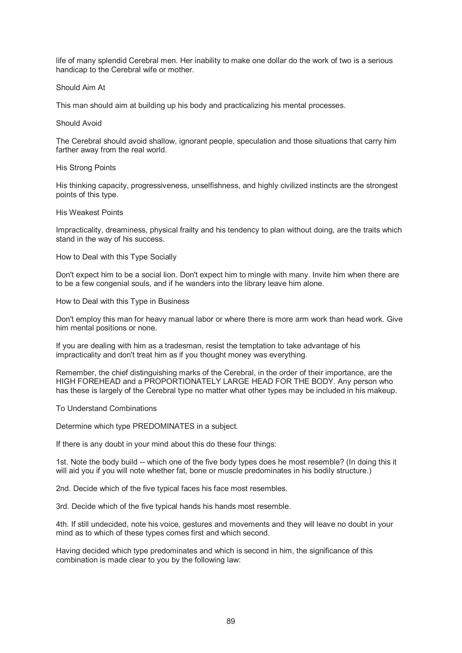life of many splendid Cerebral men. Her inability to make one dollar do the work of two is a serious handicap to the Cerebral wife or mother.

# Should Aim At

This man should aim at building up his body and practicalizing his mental processes.

# Should Avoid

The Cerebral should avoid shallow, ignorant people, speculation and those situations that carry him farther away from the real world.

## His Strong Points

His thinking capacity, progressiveness, unselfishness, and highly civilized instincts are the strongest points of this type.

## His Weakest Points

Impracticality, dreaminess, physical frailty and his tendency to plan without doing, are the traits which stand in the way of his success.

## How to Deal with this Type Socially

Don't expect him to be a social lion. Don't expect him to mingle with many. Invite him when there are to be a few congenial souls, and if he wanders into the library leave him alone.

How to Deal with this Type in Business

Don't employ this man for heavy manual labor or where there is more arm work than head work. Give him mental positions or none.

If you are dealing with him as a tradesman, resist the temptation to take advantage of his impracticality and don't treat him as if you thought money was everything.

Remember, the chief distinguishing marks of the Cerebral, in the order of their importance, are the HIGH FOREHEAD and a PROPORTIONATELY LARGE HEAD FOR THE BODY. Any person who has these is largely of the Cerebral type no matter what other types may be included in his makeup.

## To Understand Combinations

Determine which type PREDOMINATES in a subject.

If there is any doubt in your mind about this do these four things:

1st. Note the body build -- which one of the five body types does he most resemble? (In doing this it will aid you if you will note whether fat, bone or muscle predominates in his bodily structure.)

2nd. Decide which of the five typical faces his face most resembles.

3rd. Decide which of the five typical hands his hands most resemble.

4th. If still undecided, note his voice, gestures and movements and they will leave no doubt in your mind as to which of these types comes first and which second.

Having decided which type predominates and which is second in him, the significance of this combination is made clear to you by the following law: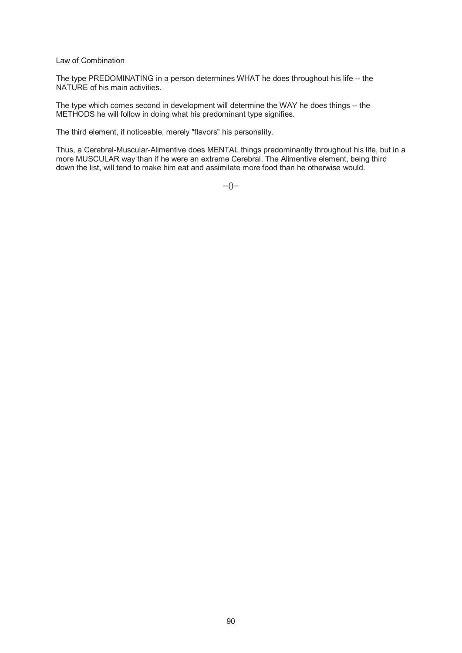Law of Combination

The type PREDOMINATING in a person determines WHAT he does throughout his life -- the NATURE of his main activities.

The type which comes second in development will determine the WAY he does things -- the METHODS he will follow in doing what his predominant type signifies.

The third element, if noticeable, merely "flavors" his personality.

Thus, a Cerebral-Muscular-Alimentive does MENTAL things predominantly throughout his life, but in a more MUSCULAR way than if he were an extreme Cerebral. The Alimentive element, being third down the list, will tend to make him eat and assimilate more food than he otherwise would.

 $-(-)$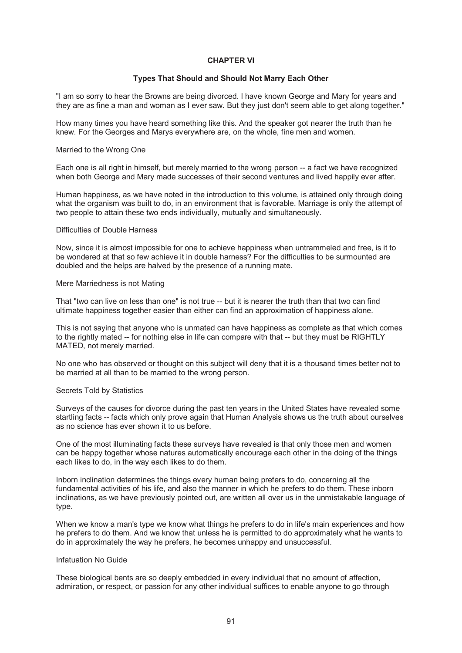# **CHAPTER VI**

# **Types That Should and Should Not Marry Each Other**

"I am so sorry to hear the Browns are being divorced. I have known George and Mary for years and they are as fine a man and woman as I ever saw. But they just don't seem able to get along together."

How many times you have heard something like this. And the speaker got nearer the truth than he knew. For the Georges and Marys everywhere are, on the whole, fine men and women.

### Married to the Wrong One

Each one is all right in himself, but merely married to the wrong person -- a fact we have recognized when both George and Mary made successes of their second ventures and lived happily ever after.

Human happiness, as we have noted in the introduction to this volume, is attained only through doing what the organism was built to do, in an environment that is favorable. Marriage is only the attempt of two people to attain these two ends individually, mutually and simultaneously.

# Difficulties of Double Harness

Now, since it is almost impossible for one to achieve happiness when untrammeled and free, is it to be wondered at that so few achieve it in double harness? For the difficulties to be surmounted are doubled and the helps are halved by the presence of a running mate.

### Mere Marriedness is not Mating

That "two can live on less than one" is not true -- but it is nearer the truth than that two can find ultimate happiness together easier than either can find an approximation of happiness alone.

This is not saying that anyone who is unmated can have happiness as complete as that which comes to the rightly mated -- for nothing else in life can compare with that -- but they must be RIGHTLY MATED, not merely married.

No one who has observed or thought on this subject will deny that it is a thousand times better not to be married at all than to be married to the wrong person.

#### Secrets Told by Statistics

Surveys of the causes for divorce during the past ten years in the United States have revealed some startling facts -- facts which only prove again that Human Analysis shows us the truth about ourselves as no science has ever shown it to us before.

One of the most illuminating facts these surveys have revealed is that only those men and women can be happy together whose natures automatically encourage each other in the doing of the things each likes to do, in the way each likes to do them.

Inborn inclination determines the things every human being prefers to do, concerning all the fundamental activities of his life, and also the manner in which he prefers to do them. These inborn inclinations, as we have previously pointed out, are written all over us in the unmistakable language of type.

When we know a man's type we know what things he prefers to do in life's main experiences and how he prefers to do them. And we know that unless he is permitted to do approximately what he wants to do in approximately the way he prefers, he becomes unhappy and unsuccessful.

## Infatuation No Guide

These biological bents are so deeply embedded in every individual that no amount of affection, admiration, or respect, or passion for any other individual suffices to enable anyone to go through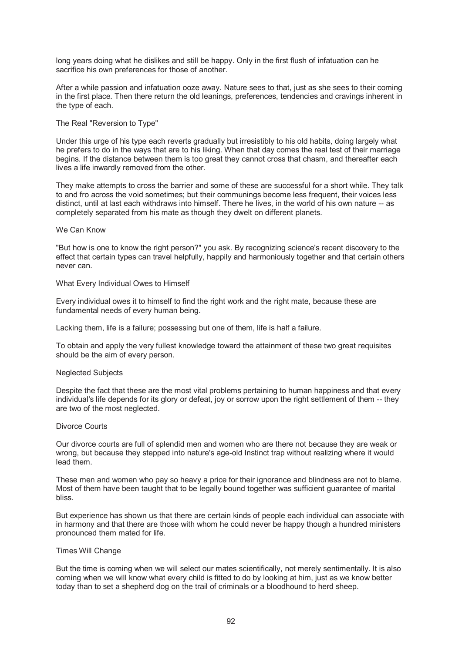long years doing what he dislikes and still be happy. Only in the first flush of infatuation can he sacrifice his own preferences for those of another.

After a while passion and infatuation ooze away. Nature sees to that, just as she sees to their coming in the first place. Then there return the old leanings, preferences, tendencies and cravings inherent in the type of each.

# The Real "Reversion to Type"

Under this urge of his type each reverts gradually but irresistibly to his old habits, doing largely what he prefers to do in the ways that are to his liking. When that day comes the real test of their marriage begins. If the distance between them is too great they cannot cross that chasm, and thereafter each lives a life inwardly removed from the other.

They make attempts to cross the barrier and some of these are successful for a short while. They talk to and fro across the void sometimes; but their communings become less frequent, their voices less distinct, until at last each withdraws into himself. There he lives, in the world of his own nature -- as completely separated from his mate as though they dwelt on different planets.

# We Can Know

"But how is one to know the right person?" you ask. By recognizing science's recent discovery to the effect that certain types can travel helpfully, happily and harmoniously together and that certain others never can.

What Every Individual Owes to Himself

Every individual owes it to himself to find the right work and the right mate, because these are fundamental needs of every human being.

Lacking them, life is a failure; possessing but one of them, life is half a failure.

To obtain and apply the very fullest knowledge toward the attainment of these two great requisites should be the aim of every person.

## Neglected Subjects

Despite the fact that these are the most vital problems pertaining to human happiness and that every individual's life depends for its glory or defeat, joy or sorrow upon the right settlement of them -- they are two of the most neglected.

#### Divorce Courts

Our divorce courts are full of splendid men and women who are there not because they are weak or wrong, but because they stepped into nature's age-old Instinct trap without realizing where it would lead them.

These men and women who pay so heavy a price for their ignorance and blindness are not to blame. Most of them have been taught that to be legally bound together was sufficient guarantee of marital bliss.

But experience has shown us that there are certain kinds of people each individual can associate with in harmony and that there are those with whom he could never be happy though a hundred ministers pronounced them mated for life.

#### Times Will Change

But the time is coming when we will select our mates scientifically, not merely sentimentally. It is also coming when we will know what every child is fitted to do by looking at him, just as we know better today than to set a shepherd dog on the trail of criminals or a bloodhound to herd sheep.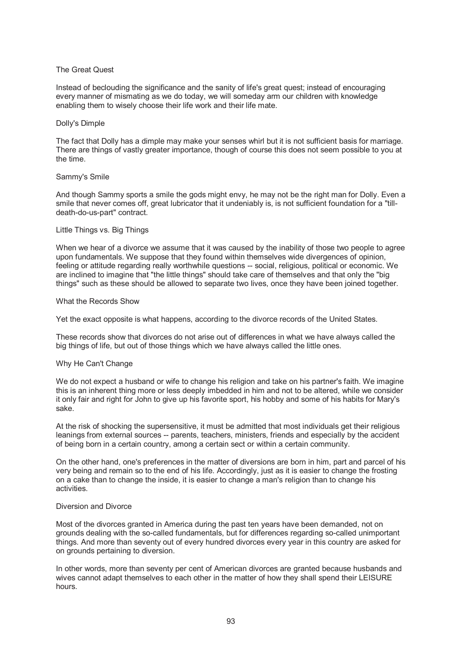# The Great Quest

Instead of beclouding the significance and the sanity of life's great quest; instead of encouraging every manner of mismating as we do today, we will someday arm our children with knowledge enabling them to wisely choose their life work and their life mate.

## Dolly's Dimple

The fact that Dolly has a dimple may make your senses whirl but it is not sufficient basis for marriage. There are things of vastly greater importance, though of course this does not seem possible to you at the time.

## Sammy's Smile

And though Sammy sports a smile the gods might envy, he may not be the right man for Dolly. Even a smile that never comes off, great lubricator that it undeniably is, is not sufficient foundation for a "tilldeath-do-us-part" contract.

# Little Things vs. Big Things

When we hear of a divorce we assume that it was caused by the inability of those two people to agree upon fundamentals. We suppose that they found within themselves wide divergences of opinion, feeling or attitude regarding really worthwhile questions -- social, religious, political or economic. We are inclined to imagine that "the little things" should take care of themselves and that only the "big things" such as these should be allowed to separate two lives, once they have been joined together.

# What the Records Show

Yet the exact opposite is what happens, according to the divorce records of the United States.

These records show that divorces do not arise out of differences in what we have always called the big things of life, but out of those things which we have always called the little ones.

# Why He Can't Change

We do not expect a husband or wife to change his religion and take on his partner's faith. We imagine this is an inherent thing more or less deeply imbedded in him and not to be altered, while we consider it only fair and right for John to give up his favorite sport, his hobby and some of his habits for Mary's sake.

At the risk of shocking the supersensitive, it must be admitted that most individuals get their religious leanings from external sources -- parents, teachers, ministers, friends and especially by the accident of being born in a certain country, among a certain sect or within a certain community.

On the other hand, one's preferences in the matter of diversions are born in him, part and parcel of his very being and remain so to the end of his life. Accordingly, just as it is easier to change the frosting on a cake than to change the inside, it is easier to change a man's religion than to change his activities.

## Diversion and Divorce

Most of the divorces granted in America during the past ten years have been demanded, not on grounds dealing with the so-called fundamentals, but for differences regarding so-called unimportant things. And more than seventy out of every hundred divorces every year in this country are asked for on grounds pertaining to diversion.

In other words, more than seventy per cent of American divorces are granted because husbands and wives cannot adapt themselves to each other in the matter of how they shall spend their LEISURE hours.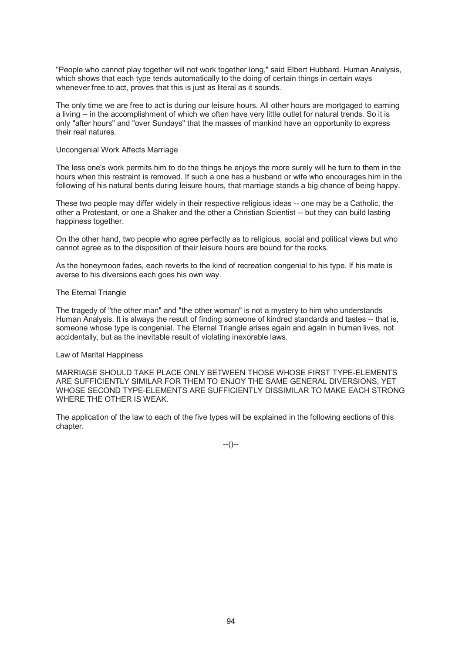"People who cannot play together will not work together long," said Elbert Hubbard. Human Analysis, which shows that each type tends automatically to the doing of certain things in certain ways whenever free to act, proves that this is just as literal as it sounds.

The only time we are free to act is during our leisure hours. All other hours are mortgaged to earning a living -- in the accomplishment of which we often have very little outlet for natural trends. So it is only "after hours" and "over Sundays" that the masses of mankind have an opportunity to express their real natures.

## Uncongenial Work Affects Marriage

The less one's work permits him to do the things he enjoys the more surely will he turn to them in the hours when this restraint is removed. If such a one has a husband or wife who encourages him in the following of his natural bents during leisure hours, that marriage stands a big chance of being happy.

These two people may differ widely in their respective religious ideas -- one may be a Catholic, the other a Protestant, or one a Shaker and the other a Christian Scientist -- but they can build lasting happiness together.

On the other hand, two people who agree perfectly as to religious, social and political views but who cannot agree as to the disposition of their leisure hours are bound for the rocks.

As the honeymoon fades, each reverts to the kind of recreation congenial to his type. If his mate is averse to his diversions each goes his own way.

# The Eternal Triangle

The tragedy of "the other man" and "the other woman" is not a mystery to him who understands Human Analysis. It is always the result of finding someone of kindred standards and tastes -- that is, someone whose type is congenial. The Eternal Triangle arises again and again in human lives, not accidentally, but as the inevitable result of violating inexorable laws.

#### Law of Marital Happiness

MARRIAGE SHOULD TAKE PLACE ONLY BETWEEN THOSE WHOSE FIRST TYPE-ELEMENTS ARE SUFFICIENTLY SIMILAR FOR THEM TO ENJOY THE SAME GENERAL DIVERSIONS, YET WHOSE SECOND TYPE-ELEMENTS ARE SUFFICIENTLY DISSIMILAR TO MAKE EACH STRONG WHERE THE OTHER IS WEAK.

The application of the law to each of the five types will be explained in the following sections of this chapter.

--()--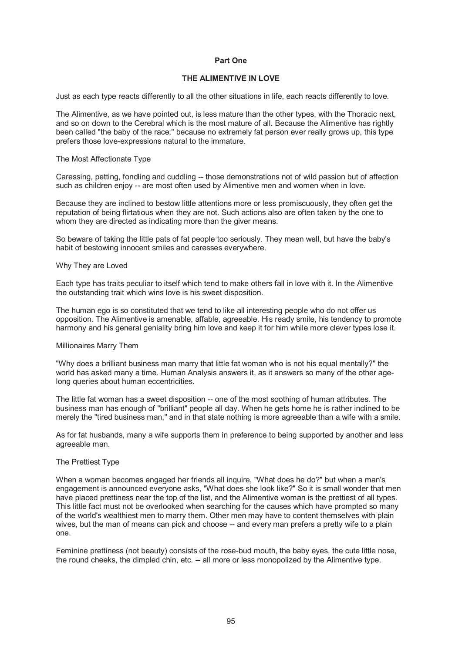# **Part One**

# **THE ALIMENTIVE IN LOVE**

Just as each type reacts differently to all the other situations in life, each reacts differently to love.

The Alimentive, as we have pointed out, is less mature than the other types, with the Thoracic next, and so on down to the Cerebral which is the most mature of all. Because the Alimentive has rightly been called "the baby of the race;" because no extremely fat person ever really grows up, this type prefers those love-expressions natural to the immature.

## The Most Affectionate Type

Caressing, petting, fondling and cuddling -- those demonstrations not of wild passion but of affection such as children enjoy -- are most often used by Alimentive men and women when in love.

Because they are inclined to bestow little attentions more or less promiscuously, they often get the reputation of being flirtatious when they are not. Such actions also are often taken by the one to whom they are directed as indicating more than the giver means.

So beware of taking the little pats of fat people too seriously. They mean well, but have the baby's habit of bestowing innocent smiles and caresses everywhere.

### Why They are Loved

Each type has traits peculiar to itself which tend to make others fall in love with it. In the Alimentive the outstanding trait which wins love is his sweet disposition.

The human ego is so constituted that we tend to like all interesting people who do not offer us opposition. The Alimentive is amenable, affable, agreeable. His ready smile, his tendency to promote harmony and his general geniality bring him love and keep it for him while more clever types lose it.

#### Millionaires Marry Them

"Why does a brilliant business man marry that little fat woman who is not his equal mentally?" the world has asked many a time. Human Analysis answers it, as it answers so many of the other agelong queries about human eccentricities.

The little fat woman has a sweet disposition -- one of the most soothing of human attributes. The business man has enough of "brilliant" people all day. When he gets home he is rather inclined to be merely the "tired business man," and in that state nothing is more agreeable than a wife with a smile.

As for fat husbands, many a wife supports them in preference to being supported by another and less agreeable man.

## The Prettiest Type

When a woman becomes engaged her friends all inquire, "What does he do?" but when a man's engagement is announced everyone asks, "What does she look like?" So it is small wonder that men have placed prettiness near the top of the list, and the Alimentive woman is the prettiest of all types. This little fact must not be overlooked when searching for the causes which have prompted so many of the world's wealthiest men to marry them. Other men may have to content themselves with plain wives, but the man of means can pick and choose -- and every man prefers a pretty wife to a plain one.

Feminine prettiness (not beauty) consists of the rose-bud mouth, the baby eyes, the cute little nose, the round cheeks, the dimpled chin, etc. -- all more or less monopolized by the Alimentive type.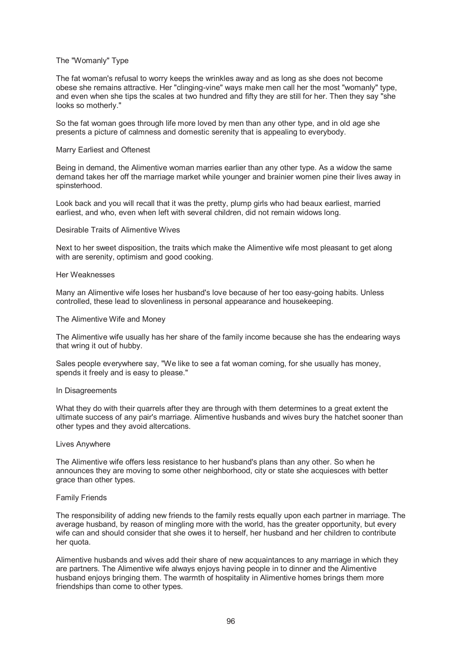## The "Womanly" Type

The fat woman's refusal to worry keeps the wrinkles away and as long as she does not become obese she remains attractive. Her "clinging-vine" ways make men call her the most "womanly" type, and even when she tips the scales at two hundred and fifty they are still for her. Then they say "she looks so motherly."

So the fat woman goes through life more loved by men than any other type, and in old age she presents a picture of calmness and domestic serenity that is appealing to everybody.

## Marry Earliest and Oftenest

Being in demand, the Alimentive woman marries earlier than any other type. As a widow the same demand takes her off the marriage market while younger and brainier women pine their lives away in spinsterhood.

Look back and you will recall that it was the pretty, plump girls who had beaux earliest, married earliest, and who, even when left with several children, did not remain widows long.

# Desirable Traits of Alimentive Wives

Next to her sweet disposition, the traits which make the Alimentive wife most pleasant to get along with are serenity, optimism and good cooking.

## Her Weaknesses

Many an Alimentive wife loses her husband's love because of her too easy-going habits. Unless controlled, these lead to slovenliness in personal appearance and housekeeping.

## The Alimentive Wife and Money

The Alimentive wife usually has her share of the family income because she has the endearing ways that wring it out of hubby.

Sales people everywhere say, "We like to see a fat woman coming, for she usually has money, spends it freely and is easy to please."

## In Disagreements

What they do with their quarrels after they are through with them determines to a great extent the ultimate success of any pair's marriage. Alimentive husbands and wives bury the hatchet sooner than other types and they avoid altercations.

## Lives Anywhere

The Alimentive wife offers less resistance to her husband's plans than any other. So when he announces they are moving to some other neighborhood, city or state she acquiesces with better grace than other types.

# Family Friends

The responsibility of adding new friends to the family rests equally upon each partner in marriage. The average husband, by reason of mingling more with the world, has the greater opportunity, but every wife can and should consider that she owes it to herself, her husband and her children to contribute her quota.

Alimentive husbands and wives add their share of new acquaintances to any marriage in which they are partners. The Alimentive wife always enjoys having people in to dinner and the Alimentive husband enjoys bringing them. The warmth of hospitality in Alimentive homes brings them more friendships than come to other types.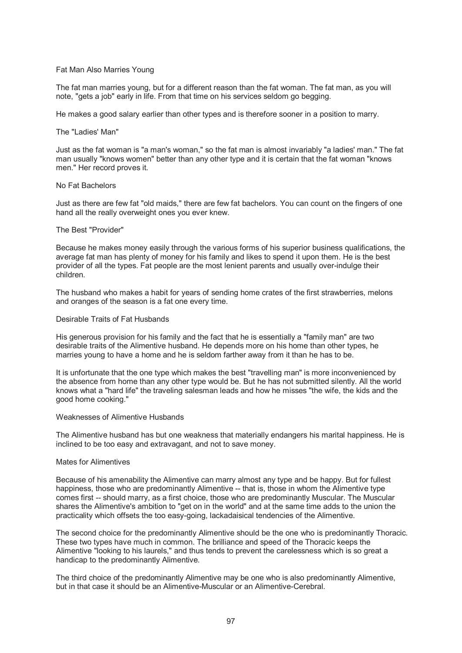## Fat Man Also Marries Young

The fat man marries young, but for a different reason than the fat woman. The fat man, as you will note, "gets a job" early in life. From that time on his services seldom go begging.

He makes a good salary earlier than other types and is therefore sooner in a position to marry.

## The "Ladies' Man"

Just as the fat woman is "a man's woman," so the fat man is almost invariably "a ladies' man." The fat man usually "knows women" better than any other type and it is certain that the fat woman "knows men." Her record proves it.

## No Fat Bachelors

Just as there are few fat "old maids," there are few fat bachelors. You can count on the fingers of one hand all the really overweight ones you ever knew.

### The Best "Provider"

Because he makes money easily through the various forms of his superior business qualifications, the average fat man has plenty of money for his family and likes to spend it upon them. He is the best provider of all the types. Fat people are the most lenient parents and usually over-indulge their children.

The husband who makes a habit for years of sending home crates of the first strawberries, melons and oranges of the season is a fat one every time.

# Desirable Traits of Fat Husbands

His generous provision for his family and the fact that he is essentially a "family man" are two desirable traits of the Alimentive husband. He depends more on his home than other types, he marries young to have a home and he is seldom farther away from it than he has to be.

It is unfortunate that the one type which makes the best "travelling man" is more inconvenienced by the absence from home than any other type would be. But he has not submitted silently. All the world knows what a "hard life" the traveling salesman leads and how he misses "the wife, the kids and the good home cooking."

#### Weaknesses of Alimentive Husbands

The Alimentive husband has but one weakness that materially endangers his marital happiness. He is inclined to be too easy and extravagant, and not to save money.

## Mates for Alimentives

Because of his amenability the Alimentive can marry almost any type and be happy. But for fullest happiness, those who are predominantly Alimentive -- that is, those in whom the Alimentive type comes first -- should marry, as a first choice, those who are predominantly Muscular. The Muscular shares the Alimentive's ambition to "get on in the world" and at the same time adds to the union the practicality which offsets the too easy-going, lackadaisical tendencies of the Alimentive.

The second choice for the predominantly Alimentive should be the one who is predominantly Thoracic. These two types have much in common. The brilliance and speed of the Thoracic keeps the Alimentive "looking to his laurels," and thus tends to prevent the carelessness which is so great a handicap to the predominantly Alimentive.

The third choice of the predominantly Alimentive may be one who is also predominantly Alimentive, but in that case it should be an Alimentive-Muscular or an Alimentive-Cerebral.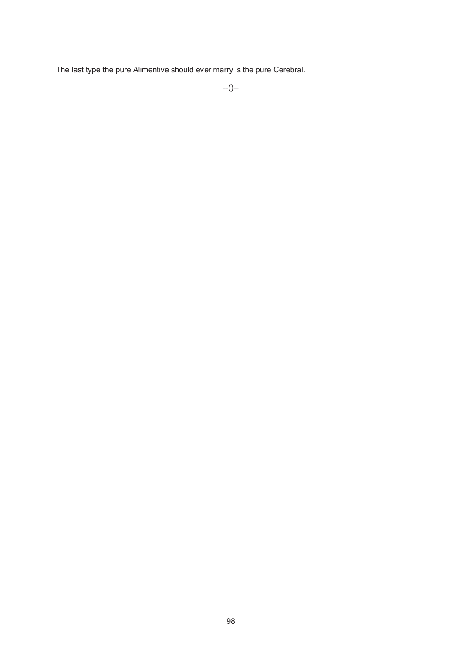The last type the pure Alimentive should ever marry is the pure Cerebral.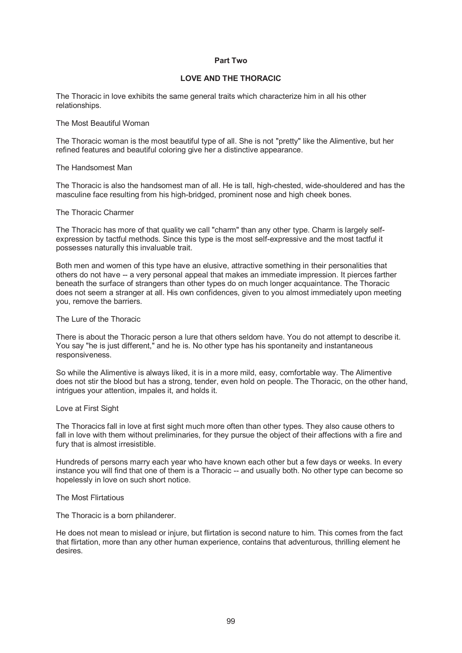# **Part Two**

# **LOVE AND THE THORACIC**

The Thoracic in love exhibits the same general traits which characterize him in all his other relationships.

# The Most Beautiful Woman

The Thoracic woman is the most beautiful type of all. She is not "pretty" like the Alimentive, but her refined features and beautiful coloring give her a distinctive appearance.

### The Handsomest Man

The Thoracic is also the handsomest man of all. He is tall, high-chested, wide-shouldered and has the masculine face resulting from his high-bridged, prominent nose and high cheek bones.

# The Thoracic Charmer

The Thoracic has more of that quality we call "charm" than any other type. Charm is largely selfexpression by tactful methods. Since this type is the most self-expressive and the most tactful it possesses naturally this invaluable trait.

Both men and women of this type have an elusive, attractive something in their personalities that others do not have -- a very personal appeal that makes an immediate impression. It pierces farther beneath the surface of strangers than other types do on much longer acquaintance. The Thoracic does not seem a stranger at all. His own confidences, given to you almost immediately upon meeting you, remove the barriers.

# The Lure of the Thoracic

There is about the Thoracic person a lure that others seldom have. You do not attempt to describe it. You say "he is just different," and he is. No other type has his spontaneity and instantaneous responsiveness.

So while the Alimentive is always liked, it is in a more mild, easy, comfortable way. The Alimentive does not stir the blood but has a strong, tender, even hold on people. The Thoracic, on the other hand, intrigues your attention, impales it, and holds it.

## Love at First Sight

The Thoracics fall in love at first sight much more often than other types. They also cause others to fall in love with them without preliminaries, for they pursue the object of their affections with a fire and fury that is almost irresistible.

Hundreds of persons marry each year who have known each other but a few days or weeks. In every instance you will find that one of them is a Thoracic -- and usually both. No other type can become so hopelessly in love on such short notice.

# The Most Flirtatious

The Thoracic is a born philanderer.

He does not mean to mislead or injure, but flirtation is second nature to him. This comes from the fact that flirtation, more than any other human experience, contains that adventurous, thrilling element he desires.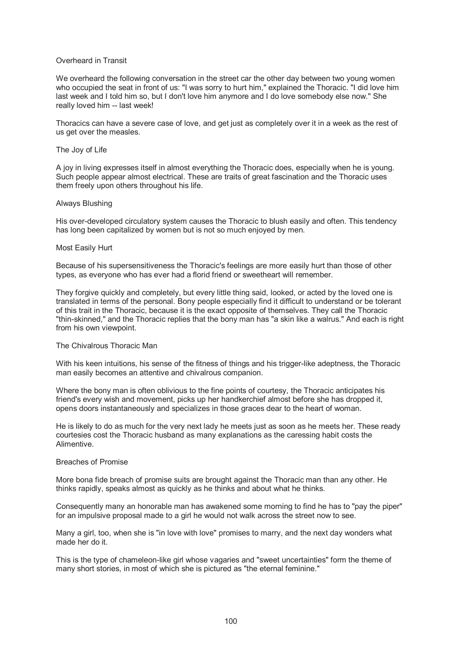# Overheard in Transit

We overheard the following conversation in the street car the other day between two young women who occupied the seat in front of us: "I was sorry to hurt him," explained the Thoracic. "I did love him last week and I told him so, but I don't love him anymore and I do love somebody else now." She really loved him -- last week!

Thoracics can have a severe case of love, and get just as completely over it in a week as the rest of us get over the measles.

## The Joy of Life

A joy in living expresses itself in almost everything the Thoracic does, especially when he is young. Such people appear almost electrical. These are traits of great fascination and the Thoracic uses them freely upon others throughout his life.

## Always Blushing

His over-developed circulatory system causes the Thoracic to blush easily and often. This tendency has long been capitalized by women but is not so much enjoyed by men.

## Most Easily Hurt

Because of his supersensitiveness the Thoracic's feelings are more easily hurt than those of other types, as everyone who has ever had a florid friend or sweetheart will remember.

They forgive quickly and completely, but every little thing said, looked, or acted by the loved one is translated in terms of the personal. Bony people especially find it difficult to understand or be tolerant of this trait in the Thoracic, because it is the exact opposite of themselves. They call the Thoracic "thin-skinned," and the Thoracic replies that the bony man has "a skin like a walrus." And each is right from his own viewpoint.

## The Chivalrous Thoracic Man

With his keen intuitions, his sense of the fitness of things and his trigger-like adeptness, the Thoracic man easily becomes an attentive and chivalrous companion.

Where the bony man is often oblivious to the fine points of courtesy, the Thoracic anticipates his friend's every wish and movement, picks up her handkerchief almost before she has dropped it, opens doors instantaneously and specializes in those graces dear to the heart of woman.

He is likely to do as much for the very next lady he meets just as soon as he meets her. These ready courtesies cost the Thoracic husband as many explanations as the caressing habit costs the Alimentive.

# Breaches of Promise

More bona fide breach of promise suits are brought against the Thoracic man than any other. He thinks rapidly, speaks almost as quickly as he thinks and about what he thinks.

Consequently many an honorable man has awakened some morning to find he has to "pay the piper" for an impulsive proposal made to a girl he would not walk across the street now to see.

Many a girl, too, when she is "in love with love" promises to marry, and the next day wonders what made her do it.

This is the type of chameleon-like girl whose vagaries and "sweet uncertainties" form the theme of many short stories, in most of which she is pictured as "the eternal feminine."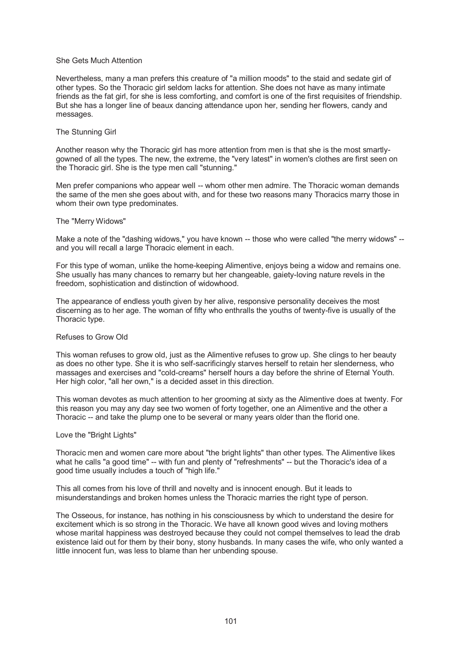## She Gets Much Attention

Nevertheless, many a man prefers this creature of "a million moods" to the staid and sedate girl of other types. So the Thoracic girl seldom lacks for attention. She does not have as many intimate friends as the fat girl, for she is less comforting, and comfort is one of the first requisites of friendship. But she has a longer line of beaux dancing attendance upon her, sending her flowers, candy and messages.

### The Stunning Girl

Another reason why the Thoracic girl has more attention from men is that she is the most smartlygowned of all the types. The new, the extreme, the "very latest" in women's clothes are first seen on the Thoracic girl. She is the type men call "stunning."

Men prefer companions who appear well -- whom other men admire. The Thoracic woman demands the same of the men she goes about with, and for these two reasons many Thoracics marry those in whom their own type predominates.

#### The "Merry Widows"

Make a note of the "dashing widows," you have known -- those who were called "the merry widows" - and you will recall a large Thoracic element in each.

For this type of woman, unlike the home-keeping Alimentive, enjoys being a widow and remains one. She usually has many chances to remarry but her changeable, gaiety-loving nature revels in the freedom, sophistication and distinction of widowhood.

The appearance of endless youth given by her alive, responsive personality deceives the most discerning as to her age. The woman of fifty who enthralls the youths of twenty-five is usually of the Thoracic type.

## Refuses to Grow Old

This woman refuses to grow old, just as the Alimentive refuses to grow up. She clings to her beauty as does no other type. She it is who self-sacrificingly starves herself to retain her slenderness, who massages and exercises and "cold-creams" herself hours a day before the shrine of Eternal Youth. Her high color, "all her own," is a decided asset in this direction.

This woman devotes as much attention to her grooming at sixty as the Alimentive does at twenty. For this reason you may any day see two women of forty together, one an Alimentive and the other a Thoracic -- and take the plump one to be several or many years older than the florid one.

#### Love the "Bright Lights"

Thoracic men and women care more about "the bright lights" than other types. The Alimentive likes what he calls "a good time" -- with fun and plenty of "refreshments" -- but the Thoracic's idea of a good time usually includes a touch of "high life."

This all comes from his love of thrill and novelty and is innocent enough. But it leads to misunderstandings and broken homes unless the Thoracic marries the right type of person.

The Osseous, for instance, has nothing in his consciousness by which to understand the desire for excitement which is so strong in the Thoracic. We have all known good wives and loving mothers whose marital happiness was destroyed because they could not compel themselves to lead the drab existence laid out for them by their bony, stony husbands. In many cases the wife, who only wanted a little innocent fun, was less to blame than her unbending spouse.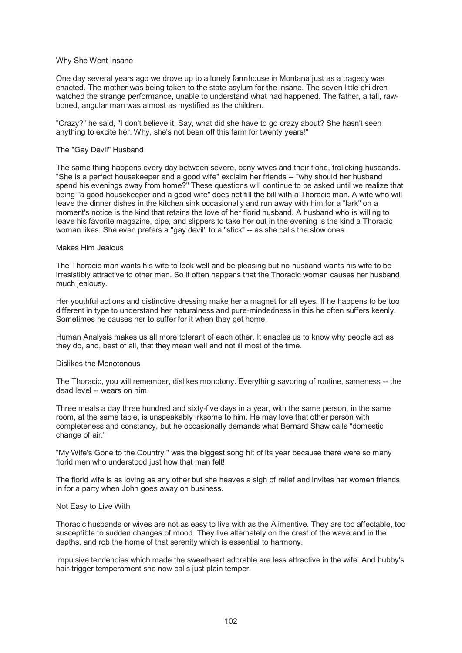## Why She Went Insane

One day several years ago we drove up to a lonely farmhouse in Montana just as a tragedy was enacted. The mother was being taken to the state asylum for the insane. The seven little children watched the strange performance, unable to understand what had happened. The father, a tall, rawboned, angular man was almost as mystified as the children.

"Crazy?" he said, "I don't believe it. Say, what did she have to go crazy about? She hasn't seen anything to excite her. Why, she's not been off this farm for twenty years!"

## The "Gay Devil" Husband

The same thing happens every day between severe, bony wives and their florid, frolicking husbands. "She is a perfect housekeeper and a good wife" exclaim her friends -- "why should her husband spend his evenings away from home?" These questions will continue to be asked until we realize that being "a good housekeeper and a good wife" does not fill the bill with a Thoracic man. A wife who will leave the dinner dishes in the kitchen sink occasionally and run away with him for a "lark" on a moment's notice is the kind that retains the love of her florid husband. A husband who is willing to leave his favorite magazine, pipe, and slippers to take her out in the evening is the kind a Thoracic woman likes. She even prefers a "gay devil" to a "stick" -- as she calls the slow ones.

### Makes Him Jealous

The Thoracic man wants his wife to look well and be pleasing but no husband wants his wife to be irresistibly attractive to other men. So it often happens that the Thoracic woman causes her husband much jealousy.

Her youthful actions and distinctive dressing make her a magnet for all eyes. If he happens to be too different in type to understand her naturalness and pure-mindedness in this he often suffers keenly. Sometimes he causes her to suffer for it when they get home.

Human Analysis makes us all more tolerant of each other. It enables us to know why people act as they do, and, best of all, that they mean well and not ill most of the time.

## Dislikes the Monotonous

The Thoracic, you will remember, dislikes monotony. Everything savoring of routine, sameness -- the dead level -- wears on him.

Three meals a day three hundred and sixty-five days in a year, with the same person, in the same room, at the same table, is unspeakably irksome to him. He may love that other person with completeness and constancy, but he occasionally demands what Bernard Shaw calls "domestic change of air."

"My Wife's Gone to the Country," was the biggest song hit of its year because there were so many florid men who understood just how that man felt!

The florid wife is as loving as any other but she heaves a sigh of relief and invites her women friends in for a party when John goes away on business.

#### Not Easy to Live With

Thoracic husbands or wives are not as easy to live with as the Alimentive. They are too affectable, too susceptible to sudden changes of mood. They live alternately on the crest of the wave and in the depths, and rob the home of that serenity which is essential to harmony.

Impulsive tendencies which made the sweetheart adorable are less attractive in the wife. And hubby's hair-trigger temperament she now calls just plain temper.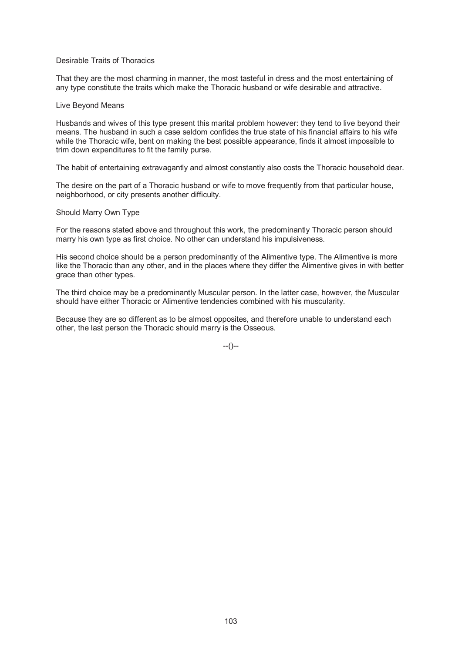# Desirable Traits of Thoracics

That they are the most charming in manner, the most tasteful in dress and the most entertaining of any type constitute the traits which make the Thoracic husband or wife desirable and attractive.

## Live Beyond Means

Husbands and wives of this type present this marital problem however: they tend to live beyond their means. The husband in such a case seldom confides the true state of his financial affairs to his wife while the Thoracic wife, bent on making the best possible appearance, finds it almost impossible to trim down expenditures to fit the family purse.

The habit of entertaining extravagantly and almost constantly also costs the Thoracic household dear.

The desire on the part of a Thoracic husband or wife to move frequently from that particular house, neighborhood, or city presents another difficulty.

### Should Marry Own Type

For the reasons stated above and throughout this work, the predominantly Thoracic person should marry his own type as first choice. No other can understand his impulsiveness.

His second choice should be a person predominantly of the Alimentive type. The Alimentive is more like the Thoracic than any other, and in the places where they differ the Alimentive gives in with better grace than other types.

The third choice may be a predominantly Muscular person. In the latter case, however, the Muscular should have either Thoracic or Alimentive tendencies combined with his muscularity.

Because they are so different as to be almost opposites, and therefore unable to understand each other, the last person the Thoracic should marry is the Osseous.

--()--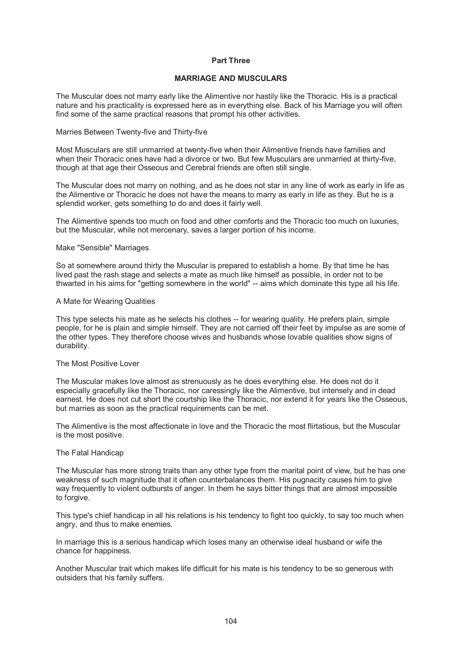# **Part Three**

# **MARRIAGE AND MUSCULARS**

The Muscular does not marry early like the Alimentive nor hastily like the Thoracic. His is a practical nature and his practicality is expressed here as in everything else. Back of his Marriage you will often find some of the same practical reasons that prompt his other activities.

## Marries Between Twenty-five and Thirty-five

Most Musculars are still unmarried at twenty-five when their Alimentive friends have families and when their Thoracic ones have had a divorce or two. But few Musculars are unmarried at thirty-five, though at that age their Osseous and Cerebral friends are often still single.

The Muscular does not marry on nothing, and as he does not star in any line of work as early in life as the Alimentive or Thoracic he does not have the means to marry as early in life as they. But he is a splendid worker, gets something to do and does it fairly well.

The Alimentive spends too much on food and other comforts and the Thoracic too much on luxuries, but the Muscular, while not mercenary, saves a larger portion of his income.

### Make "Sensible" Marriages

So at somewhere around thirty the Muscular is prepared to establish a home. By that time he has lived past the rash stage and selects a mate as much like himself as possible, in order not to be thwarted in his aims for "getting somewhere in the world" -- aims which dominate this type all his life.

## A Mate for Wearing Qualities

This type selects his mate as he selects his clothes -- for wearing quality. He prefers plain, simple people, for he is plain and simple himself. They are not carried off their feet by impulse as are some of the other types. They therefore choose wives and husbands whose lovable qualities show signs of durability.

## The Most Positive Lover

The Muscular makes love almost as strenuously as he does everything else. He does not do it especially gracefully like the Thoracic, nor caressingly like the Alimentive, but intensely and in dead earnest. He does not cut short the courtship like the Thoracic, nor extend it for years like the Osseous, but marries as soon as the practical requirements can be met.

The Alimentive is the most affectionate in love and the Thoracic the most flirtatious, but the Muscular is the most positive.

#### The Fatal Handicap

The Muscular has more strong traits than any other type from the marital point of view, but he has one weakness of such magnitude that it often counterbalances them. His pugnacity causes him to give way frequently to violent outbursts of anger. In them he says bitter things that are almost impossible to forgive.

This type's chief handicap in all his relations is his tendency to fight too quickly, to say too much when angry, and thus to make enemies.

In marriage this is a serious handicap which loses many an otherwise ideal husband or wife the chance for happiness.

Another Muscular trait which makes life difficult for his mate is his tendency to be so generous with outsiders that his family suffers.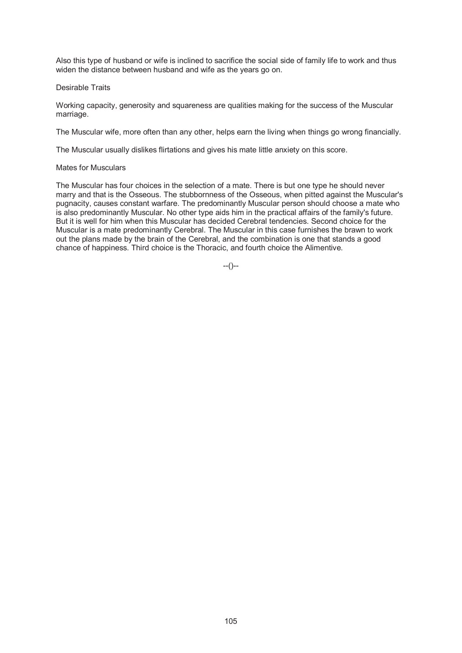Also this type of husband or wife is inclined to sacrifice the social side of family life to work and thus widen the distance between husband and wife as the years go on.

# Desirable Traits

Working capacity, generosity and squareness are qualities making for the success of the Muscular marriage.

The Muscular wife, more often than any other, helps earn the living when things go wrong financially.

The Muscular usually dislikes flirtations and gives his mate little anxiety on this score.

# Mates for Musculars

The Muscular has four choices in the selection of a mate. There is but one type he should never marry and that is the Osseous. The stubbornness of the Osseous, when pitted against the Muscular's pugnacity, causes constant warfare. The predominantly Muscular person should choose a mate who is also predominantly Muscular. No other type aids him in the practical affairs of the family's future. But it is well for him when this Muscular has decided Cerebral tendencies. Second choice for the Muscular is a mate predominantly Cerebral. The Muscular in this case furnishes the brawn to work out the plans made by the brain of the Cerebral, and the combination is one that stands a good chance of happiness. Third choice is the Thoracic, and fourth choice the Alimentive.

 $-(-)$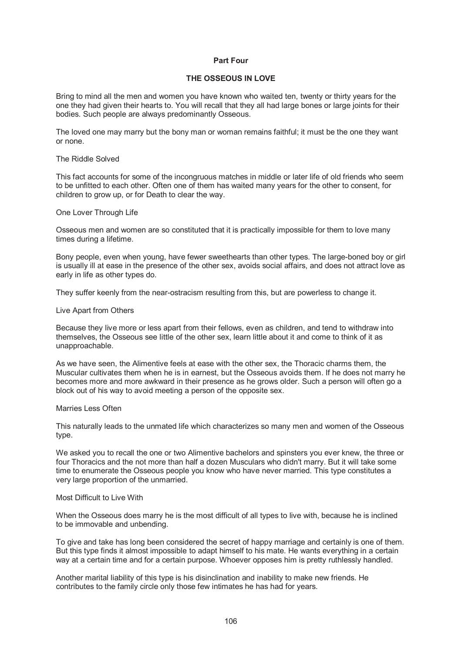# **Part Four**

# **THE OSSEOUS IN LOVE**

Bring to mind all the men and women you have known who waited ten, twenty or thirty years for the one they had given their hearts to. You will recall that they all had large bones or large joints for their bodies. Such people are always predominantly Osseous.

The loved one may marry but the bony man or woman remains faithful; it must be the one they want or none.

## The Riddle Solved

This fact accounts for some of the incongruous matches in middle or later life of old friends who seem to be unfitted to each other. Often one of them has waited many years for the other to consent, for children to grow up, or for Death to clear the way.

### One Lover Through Life

Osseous men and women are so constituted that it is practically impossible for them to love many times during a lifetime.

Bony people, even when young, have fewer sweethearts than other types. The large-boned boy or girl is usually ill at ease in the presence of the other sex, avoids social affairs, and does not attract love as early in life as other types do.

They suffer keenly from the near-ostracism resulting from this, but are powerless to change it.

### Live Apart from Others

Because they live more or less apart from their fellows, even as children, and tend to withdraw into themselves, the Osseous see little of the other sex, learn little about it and come to think of it as unapproachable.

As we have seen, the Alimentive feels at ease with the other sex, the Thoracic charms them, the Muscular cultivates them when he is in earnest, but the Osseous avoids them. If he does not marry he becomes more and more awkward in their presence as he grows older. Such a person will often go a block out of his way to avoid meeting a person of the opposite sex.

## Marries Less Often

This naturally leads to the unmated life which characterizes so many men and women of the Osseous type.

We asked you to recall the one or two Alimentive bachelors and spinsters you ever knew, the three or four Thoracics and the not more than half a dozen Musculars who didn't marry. But it will take some time to enumerate the Osseous people you know who have never married. This type constitutes a very large proportion of the unmarried.

## Most Difficult to Live With

When the Osseous does marry he is the most difficult of all types to live with, because he is inclined to be immovable and unbending.

To give and take has long been considered the secret of happy marriage and certainly is one of them. But this type finds it almost impossible to adapt himself to his mate. He wants everything in a certain way at a certain time and for a certain purpose. Whoever opposes him is pretty ruthlessly handled.

Another marital liability of this type is his disinclination and inability to make new friends. He contributes to the family circle only those few intimates he has had for years.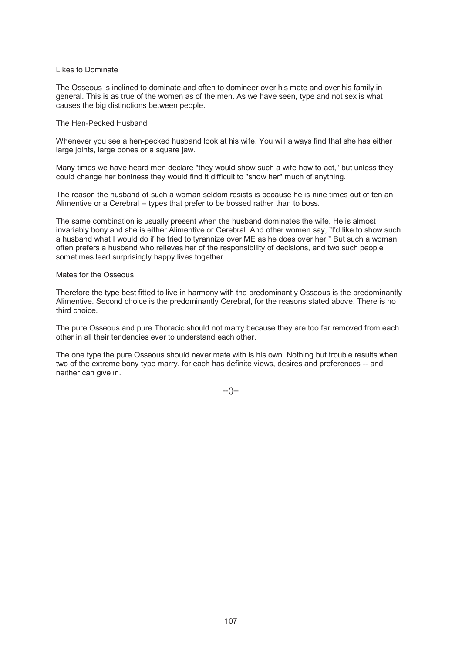## Likes to Dominate

The Osseous is inclined to dominate and often to domineer over his mate and over his family in general. This is as true of the women as of the men. As we have seen, type and not sex is what causes the big distinctions between people.

## The Hen-Pecked Husband

Whenever you see a hen-pecked husband look at his wife. You will always find that she has either large joints, large bones or a square jaw.

Many times we have heard men declare "they would show such a wife how to act," but unless they could change her boniness they would find it difficult to "show her" much of anything.

The reason the husband of such a woman seldom resists is because he is nine times out of ten an Alimentive or a Cerebral -- types that prefer to be bossed rather than to boss.

The same combination is usually present when the husband dominates the wife. He is almost invariably bony and she is either Alimentive or Cerebral. And other women say, "I'd like to show such a husband what I would do if he tried to tyrannize over ME as he does over her!" But such a woman often prefers a husband who relieves her of the responsibility of decisions, and two such people sometimes lead surprisingly happy lives together.

### Mates for the Osseous

Therefore the type best fitted to live in harmony with the predominantly Osseous is the predominantly Alimentive. Second choice is the predominantly Cerebral, for the reasons stated above. There is no third choice.

The pure Osseous and pure Thoracic should not marry because they are too far removed from each other in all their tendencies ever to understand each other.

The one type the pure Osseous should never mate with is his own. Nothing but trouble results when two of the extreme bony type marry, for each has definite views, desires and preferences -- and neither can give in.

 $-(-)$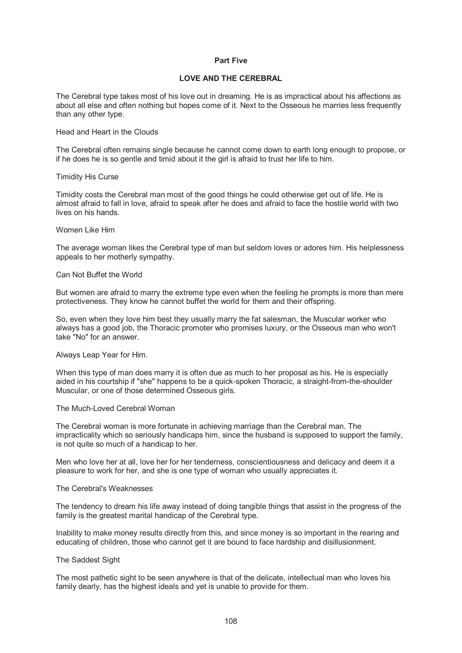# **Part Five**

# **LOVE AND THE CEREBRAL**

The Cerebral type takes most of his love out in dreaming. He is as impractical about his affections as about all else and often nothing but hopes come of it. Next to the Osseous he marries less frequently than any other type.

Head and Heart in the Clouds

The Cerebral often remains single because he cannot come down to earth long enough to propose, or if he does he is so gentle and timid about it the girl is afraid to trust her life to him.

### Timidity His Curse

Timidity costs the Cerebral man most of the good things he could otherwise get out of life. He is almost afraid to fall in love, afraid to speak after he does and afraid to face the hostile world with two lives on his hands.

### Women Like Him

The average woman likes the Cerebral type of man but seldom loves or adores him. His helplessness appeals to her motherly sympathy.

### Can Not Buffet the World

But women are afraid to marry the extreme type even when the feeling he prompts is more than mere protectiveness. They know he cannot buffet the world for them and their offspring.

So, even when they love him best they usually marry the fat salesman, the Muscular worker who always has a good job, the Thoracic promoter who promises luxury, or the Osseous man who won't take "No" for an answer.

Always Leap Year for Him.

When this type of man does marry it is often due as much to her proposal as his. He is especially aided in his courtship if "she" happens to be a quick-spoken Thoracic, a straight-from-the-shoulder Muscular, or one of those determined Osseous girls.

## The Much-Loved Cerebral Woman

The Cerebral woman is more fortunate in achieving marriage than the Cerebral man. The impracticality which so seriously handicaps him, since the husband is supposed to support the family, is not quite so much of a handicap to her.

Men who love her at all, love her for her tenderness, conscientiousness and delicacy and deem it a pleasure to work for her, and she is one type of woman who usually appreciates it.

# The Cerebral's Weaknesses

The tendency to dream his life away instead of doing tangible things that assist in the progress of the family is the greatest marital handicap of the Cerebral type.

Inability to make money results directly from this, and since money is so important in the rearing and educating of children, those who cannot get it are bound to face hardship and disillusionment.

## The Saddest Sight

The most pathetic sight to be seen anywhere is that of the delicate, intellectual man who loves his family dearly, has the highest ideals and yet is unable to provide for them.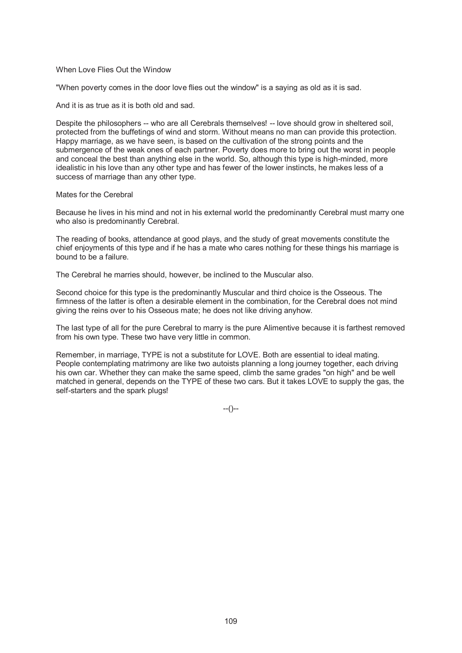## When Love Flies Out the Window

"When poverty comes in the door love flies out the window" is a saying as old as it is sad.

And it is as true as it is both old and sad.

Despite the philosophers -- who are all Cerebrals themselves! -- love should grow in sheltered soil, protected from the buffetings of wind and storm. Without means no man can provide this protection. Happy marriage, as we have seen, is based on the cultivation of the strong points and the submergence of the weak ones of each partner. Poverty does more to bring out the worst in people and conceal the best than anything else in the world. So, although this type is high-minded, more idealistic in his love than any other type and has fewer of the lower instincts, he makes less of a success of marriage than any other type.

Mates for the Cerebral

Because he lives in his mind and not in his external world the predominantly Cerebral must marry one who also is predominantly Cerebral.

The reading of books, attendance at good plays, and the study of great movements constitute the chief enjoyments of this type and if he has a mate who cares nothing for these things his marriage is bound to be a failure.

The Cerebral he marries should, however, be inclined to the Muscular also.

Second choice for this type is the predominantly Muscular and third choice is the Osseous. The firmness of the latter is often a desirable element in the combination, for the Cerebral does not mind giving the reins over to his Osseous mate; he does not like driving anyhow.

The last type of all for the pure Cerebral to marry is the pure Alimentive because it is farthest removed from his own type. These two have very little in common.

Remember, in marriage, TYPE is not a substitute for LOVE. Both are essential to ideal mating. People contemplating matrimony are like two autoists planning a long journey together, each driving his own car. Whether they can make the same speed, climb the same grades "on high" and be well matched in general, depends on the TYPE of these two cars. But it takes LOVE to supply the gas, the self-starters and the spark plugs!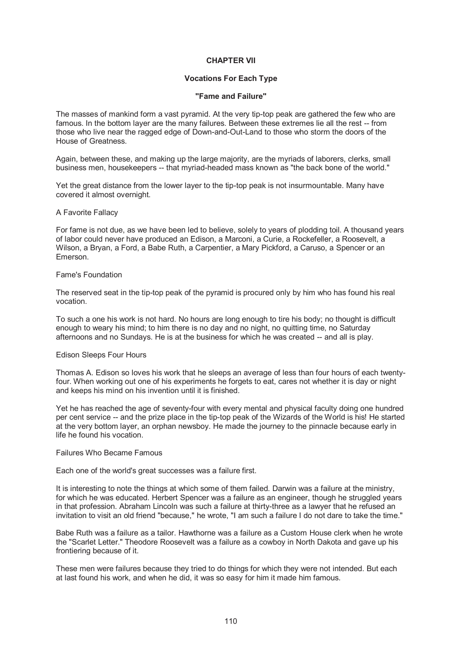# **CHAPTER VII**

## **Vocations For Each Type**

#### **"Fame and Failure"**

The masses of mankind form a vast pyramid. At the very tip-top peak are gathered the few who are famous. In the bottom layer are the many failures. Between these extremes lie all the rest -- from those who live near the ragged edge of Down-and-Out-Land to those who storm the doors of the House of Greatness.

Again, between these, and making up the large majority, are the myriads of laborers, clerks, small business men, housekeepers -- that myriad-headed mass known as "the back bone of the world."

Yet the great distance from the lower layer to the tip-top peak is not insurmountable. Many have covered it almost overnight.

#### A Favorite Fallacy

For fame is not due, as we have been led to believe, solely to years of plodding toil. A thousand years of labor could never have produced an Edison, a Marconi, a Curie, a Rockefeller, a Roosevelt, a Wilson, a Bryan, a Ford, a Babe Ruth, a Carpentier, a Mary Pickford, a Caruso, a Spencer or an Emerson.

#### Fame's Foundation

The reserved seat in the tip-top peak of the pyramid is procured only by him who has found his real vocation.

To such a one his work is not hard. No hours are long enough to tire his body; no thought is difficult enough to weary his mind; to him there is no day and no night, no quitting time, no Saturday afternoons and no Sundays. He is at the business for which he was created -- and all is play.

## Edison Sleeps Four Hours

Thomas A. Edison so loves his work that he sleeps an average of less than four hours of each twentyfour. When working out one of his experiments he forgets to eat, cares not whether it is day or night and keeps his mind on his invention until it is finished.

Yet he has reached the age of seventy-four with every mental and physical faculty doing one hundred per cent service -- and the prize place in the tip-top peak of the Wizards of the World is his! He started at the very bottom layer, an orphan newsboy. He made the journey to the pinnacle because early in life he found his vocation.

## Failures Who Became Famous

Each one of the world's great successes was a failure first.

It is interesting to note the things at which some of them failed. Darwin was a failure at the ministry, for which he was educated. Herbert Spencer was a failure as an engineer, though he struggled years in that profession. Abraham Lincoln was such a failure at thirty-three as a lawyer that he refused an invitation to visit an old friend "because," he wrote, "I am such a failure I do not dare to take the time."

Babe Ruth was a failure as a tailor. Hawthorne was a failure as a Custom House clerk when he wrote the "Scarlet Letter." Theodore Roosevelt was a failure as a cowboy in North Dakota and gave up his frontiering because of it.

These men were failures because they tried to do things for which they were not intended. But each at last found his work, and when he did, it was so easy for him it made him famous.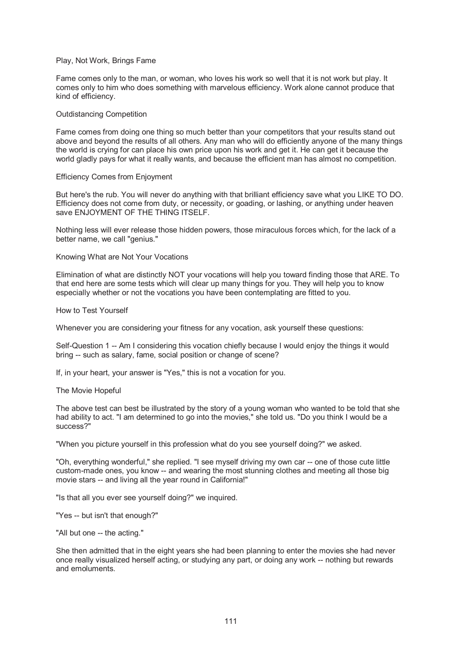## Play, Not Work, Brings Fame

Fame comes only to the man, or woman, who loves his work so well that it is not work but play. It comes only to him who does something with marvelous efficiency. Work alone cannot produce that kind of efficiency.

#### Outdistancing Competition

Fame comes from doing one thing so much better than your competitors that your results stand out above and beyond the results of all others. Any man who will do efficiently anyone of the many things the world is crying for can place his own price upon his work and get it. He can get it because the world gladly pays for what it really wants, and because the efficient man has almost no competition.

#### Efficiency Comes from Enjoyment

But here's the rub. You will never do anything with that brilliant efficiency save what you LIKE TO DO. Efficiency does not come from duty, or necessity, or goading, or lashing, or anything under heaven save ENJOYMENT OF THE THING ITSELF.

Nothing less will ever release those hidden powers, those miraculous forces which, for the lack of a better name, we call "genius."

Knowing What are Not Your Vocations

Elimination of what are distinctly NOT your vocations will help you toward finding those that ARE. To that end here are some tests which will clear up many things for you. They will help you to know especially whether or not the vocations you have been contemplating are fitted to you.

How to Test Yourself

Whenever you are considering your fitness for any vocation, ask yourself these questions:

Self-Question 1 -- Am I considering this vocation chiefly because I would enjoy the things it would bring -- such as salary, fame, social position or change of scene?

If, in your heart, your answer is "Yes," this is not a vocation for you.

The Movie Hopeful

The above test can best be illustrated by the story of a young woman who wanted to be told that she had ability to act. "I am determined to go into the movies," she told us. "Do you think I would be a success?"

"When you picture yourself in this profession what do you see yourself doing?" we asked.

"Oh, everything wonderful," she replied. "I see myself driving my own car -- one of those cute little custom-made ones, you know -- and wearing the most stunning clothes and meeting all those big movie stars -- and living all the year round in California!"

"Is that all you ever see yourself doing?" we inquired.

"Yes -- but isn't that enough?"

"All but one -- the acting."

She then admitted that in the eight years she had been planning to enter the movies she had never once really visualized herself acting, or studying any part, or doing any work -- nothing but rewards and emoluments.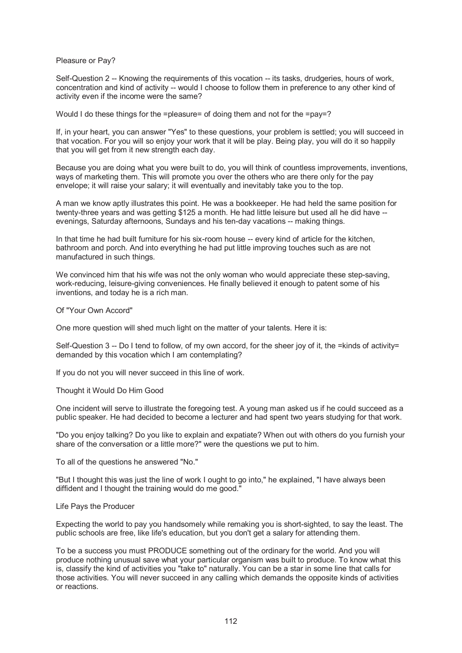Pleasure or Pay?

Self-Question 2 -- Knowing the requirements of this vocation -- its tasks, drudgeries, hours of work, concentration and kind of activity -- would I choose to follow them in preference to any other kind of activity even if the income were the same?

Would I do these things for the =pleasure= of doing them and not for the =pay=?

If, in your heart, you can answer "Yes" to these questions, your problem is settled; you will succeed in that vocation. For you will so enjoy your work that it will be play. Being play, you will do it so happily that you will get from it new strength each day.

Because you are doing what you were built to do, you will think of countless improvements, inventions, ways of marketing them. This will promote you over the others who are there only for the pay envelope; it will raise your salary; it will eventually and inevitably take you to the top.

A man we know aptly illustrates this point. He was a bookkeeper. He had held the same position for twenty-three years and was getting \$125 a month. He had little leisure but used all he did have -evenings, Saturday afternoons, Sundays and his ten-day vacations -- making things.

In that time he had built furniture for his six-room house -- every kind of article for the kitchen, bathroom and porch. And into everything he had put little improving touches such as are not manufactured in such things.

We convinced him that his wife was not the only woman who would appreciate these step-saving, work-reducing, leisure-giving conveniences. He finally believed it enough to patent some of his inventions, and today he is a rich man.

Of "Your Own Accord"

One more question will shed much light on the matter of your talents. Here it is:

Self-Question  $3 -$  Do I tend to follow, of my own accord, for the sheer joy of it, the =kinds of activity= demanded by this vocation which I am contemplating?

If you do not you will never succeed in this line of work.

Thought it Would Do Him Good

One incident will serve to illustrate the foregoing test. A young man asked us if he could succeed as a public speaker. He had decided to become a lecturer and had spent two years studying for that work.

"Do you enjoy talking? Do you like to explain and expatiate? When out with others do you furnish your share of the conversation or a little more?" were the questions we put to him.

To all of the questions he answered "No."

"But I thought this was just the line of work I ought to go into," he explained, "I have always been diffident and I thought the training would do me good."

## Life Pays the Producer

Expecting the world to pay you handsomely while remaking you is short-sighted, to say the least. The public schools are free, like life's education, but you don't get a salary for attending them.

To be a success you must PRODUCE something out of the ordinary for the world. And you will produce nothing unusual save what your particular organism was built to produce. To know what this is, classify the kind of activities you "take to" naturally. You can be a star in some line that calls for those activities. You will never succeed in any calling which demands the opposite kinds of activities or reactions.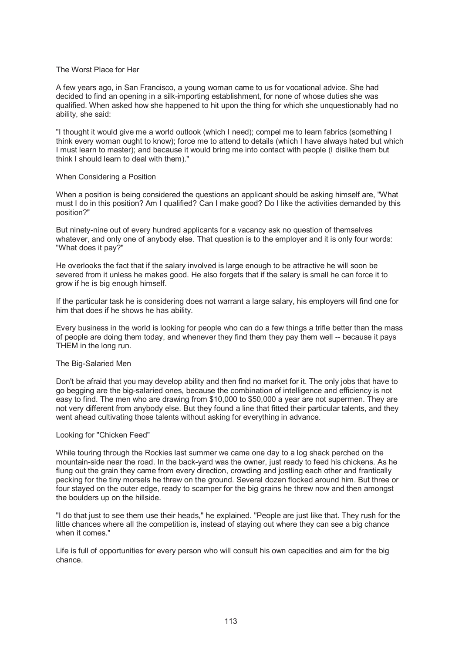## The Worst Place for Her

A few years ago, in San Francisco, a young woman came to us for vocational advice. She had decided to find an opening in a silk-importing establishment, for none of whose duties she was qualified. When asked how she happened to hit upon the thing for which she unquestionably had no ability, she said:

"I thought it would give me a world outlook (which I need); compel me to learn fabrics (something I think every woman ought to know); force me to attend to details (which I have always hated but which I must learn to master); and because it would bring me into contact with people (I dislike them but think I should learn to deal with them)."

## When Considering a Position

When a position is being considered the questions an applicant should be asking himself are, "What must I do in this position? Am I qualified? Can I make good? Do I like the activities demanded by this position?"

But ninety-nine out of every hundred applicants for a vacancy ask no question of themselves whatever, and only one of anybody else. That question is to the employer and it is only four words: "What does it pay?"

He overlooks the fact that if the salary involved is large enough to be attractive he will soon be severed from it unless he makes good. He also forgets that if the salary is small he can force it to grow if he is big enough himself.

If the particular task he is considering does not warrant a large salary, his employers will find one for him that does if he shows he has ability.

Every business in the world is looking for people who can do a few things a trifle better than the mass of people are doing them today, and whenever they find them they pay them well -- because it pays THEM in the long run.

## The Big-Salaried Men

Don't be afraid that you may develop ability and then find no market for it. The only jobs that have to go begging are the big-salaried ones, because the combination of intelligence and efficiency is not easy to find. The men who are drawing from \$10,000 to \$50,000 a year are not supermen. They are not very different from anybody else. But they found a line that fitted their particular talents, and they went ahead cultivating those talents without asking for everything in advance.

## Looking for "Chicken Feed"

While touring through the Rockies last summer we came one day to a log shack perched on the mountain-side near the road. In the back-yard was the owner, just ready to feed his chickens. As he flung out the grain they came from every direction, crowding and jostling each other and frantically pecking for the tiny morsels he threw on the ground. Several dozen flocked around him. But three or four stayed on the outer edge, ready to scamper for the big grains he threw now and then amongst the boulders up on the hillside.

"I do that just to see them use their heads," he explained. "People are just like that. They rush for the little chances where all the competition is, instead of staying out where they can see a big chance when it comes."

Life is full of opportunities for every person who will consult his own capacities and aim for the big chance.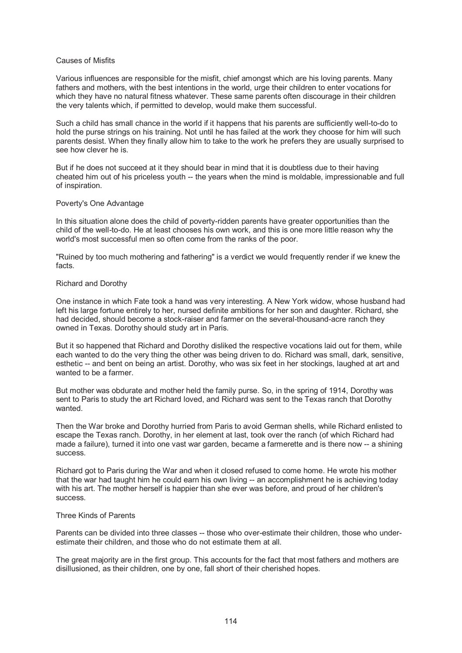## Causes of Misfits

Various influences are responsible for the misfit, chief amongst which are his loving parents. Many fathers and mothers, with the best intentions in the world, urge their children to enter vocations for which they have no natural fitness whatever. These same parents often discourage in their children the very talents which, if permitted to develop, would make them successful.

Such a child has small chance in the world if it happens that his parents are sufficiently well-to-do to hold the purse strings on his training. Not until he has failed at the work they choose for him will such parents desist. When they finally allow him to take to the work he prefers they are usually surprised to see how clever he is.

But if he does not succeed at it they should bear in mind that it is doubtless due to their having cheated him out of his priceless youth -- the years when the mind is moldable, impressionable and full of inspiration.

# Poverty's One Advantage

In this situation alone does the child of poverty-ridden parents have greater opportunities than the child of the well-to-do. He at least chooses his own work, and this is one more little reason why the world's most successful men so often come from the ranks of the poor.

"Ruined by too much mothering and fathering" is a verdict we would frequently render if we knew the facts.

# Richard and Dorothy

One instance in which Fate took a hand was very interesting. A New York widow, whose husband had left his large fortune entirely to her, nursed definite ambitions for her son and daughter. Richard, she had decided, should become a stock-raiser and farmer on the several-thousand-acre ranch they owned in Texas. Dorothy should study art in Paris.

But it so happened that Richard and Dorothy disliked the respective vocations laid out for them, while each wanted to do the very thing the other was being driven to do. Richard was small, dark, sensitive, esthetic -- and bent on being an artist. Dorothy, who was six feet in her stockings, laughed at art and wanted to be a farmer.

But mother was obdurate and mother held the family purse. So, in the spring of 1914, Dorothy was sent to Paris to study the art Richard loved, and Richard was sent to the Texas ranch that Dorothy wanted.

Then the War broke and Dorothy hurried from Paris to avoid German shells, while Richard enlisted to escape the Texas ranch. Dorothy, in her element at last, took over the ranch (of which Richard had made a failure), turned it into one vast war garden, became a farmerette and is there now -- a shining success.

Richard got to Paris during the War and when it closed refused to come home. He wrote his mother that the war had taught him he could earn his own living -- an accomplishment he is achieving today with his art. The mother herself is happier than she ever was before, and proud of her children's success.

## Three Kinds of Parents

Parents can be divided into three classes -- those who over-estimate their children, those who underestimate their children, and those who do not estimate them at all.

The great majority are in the first group. This accounts for the fact that most fathers and mothers are disillusioned, as their children, one by one, fall short of their cherished hopes.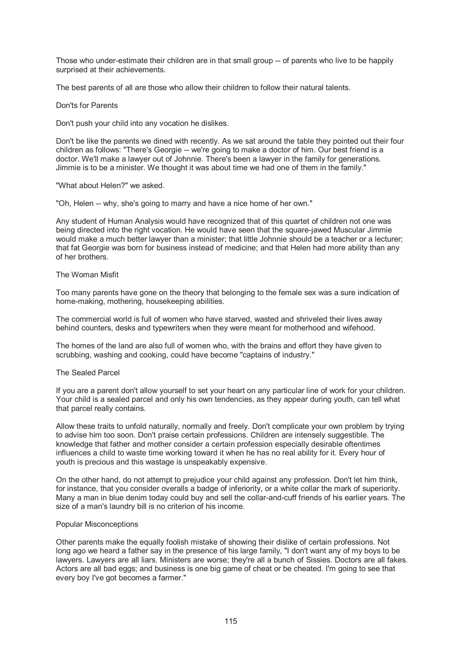Those who under-estimate their children are in that small group -- of parents who live to be happily surprised at their achievements.

The best parents of all are those who allow their children to follow their natural talents.

## Don'ts for Parents

Don't push your child into any vocation he dislikes.

Don't be like the parents we dined with recently. As we sat around the table they pointed out their four children as follows: "There's Georgie -- we're going to make a doctor of him. Our best friend is a doctor. We'll make a lawyer out of Johnnie. There's been a lawyer in the family for generations. Jimmie is to be a minister. We thought it was about time we had one of them in the family."

"What about Helen?" we asked.

"Oh, Helen -- why, she's going to marry and have a nice home of her own."

Any student of Human Analysis would have recognized that of this quartet of children not one was being directed into the right vocation. He would have seen that the square-jawed Muscular Jimmie would make a much better lawyer than a minister; that little Johnnie should be a teacher or a lecturer; that fat Georgie was born for business instead of medicine; and that Helen had more ability than any of her brothers.

## The Woman Misfit

Too many parents have gone on the theory that belonging to the female sex was a sure indication of home-making, mothering, housekeeping abilities.

The commercial world is full of women who have starved, wasted and shriveled their lives away behind counters, desks and typewriters when they were meant for motherhood and wifehood.

The homes of the land are also full of women who, with the brains and effort they have given to scrubbing, washing and cooking, could have become "captains of industry."

# The Sealed Parcel

If you are a parent don't allow yourself to set your heart on any particular line of work for your children. Your child is a sealed parcel and only his own tendencies, as they appear during youth, can tell what that parcel really contains.

Allow these traits to unfold naturally, normally and freely. Don't complicate your own problem by trying to advise him too soon. Don't praise certain professions. Children are intensely suggestible. The knowledge that father and mother consider a certain profession especially desirable oftentimes influences a child to waste time working toward it when he has no real ability for it. Every hour of youth is precious and this wastage is unspeakably expensive.

On the other hand, do not attempt to prejudice your child against any profession. Don't let him think, for instance, that you consider overalls a badge of inferiority, or a white collar the mark of superiority. Many a man in blue denim today could buy and sell the collar-and-cuff friends of his earlier years. The size of a man's laundry bill is no criterion of his income.

## Popular Misconceptions

Other parents make the equally foolish mistake of showing their dislike of certain professions. Not long ago we heard a father say in the presence of his large family, "I don't want any of my boys to be lawyers. Lawyers are all liars. Ministers are worse; they're all a bunch of Sissies. Doctors are all fakes. Actors are all bad eggs; and business is one big game of cheat or be cheated. I'm going to see that every boy I've got becomes a farmer."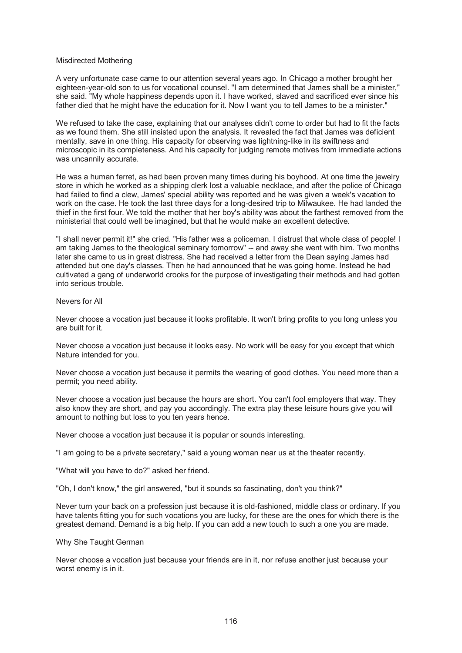#### Misdirected Mothering

A very unfortunate case came to our attention several years ago. In Chicago a mother brought her eighteen-year-old son to us for vocational counsel. "I am determined that James shall be a minister," she said. "My whole happiness depends upon it. I have worked, slaved and sacrificed ever since his father died that he might have the education for it. Now I want you to tell James to be a minister."

We refused to take the case, explaining that our analyses didn't come to order but had to fit the facts as we found them. She still insisted upon the analysis. It revealed the fact that James was deficient mentally, save in one thing. His capacity for observing was lightning-like in its swiftness and microscopic in its completeness. And his capacity for judging remote motives from immediate actions was uncannily accurate.

He was a human ferret, as had been proven many times during his boyhood. At one time the jewelry store in which he worked as a shipping clerk lost a valuable necklace, and after the police of Chicago had failed to find a clew, James' special ability was reported and he was given a week's vacation to work on the case. He took the last three days for a long-desired trip to Milwaukee. He had landed the thief in the first four. We told the mother that her boy's ability was about the farthest removed from the ministerial that could well be imagined, but that he would make an excellent detective.

"I shall never permit it!" she cried. "His father was a policeman. I distrust that whole class of people! I am taking James to the theological seminary tomorrow" -- and away she went with him. Two months later she came to us in great distress. She had received a letter from the Dean saying James had attended but one day's classes. Then he had announced that he was going home. Instead he had cultivated a gang of underworld crooks for the purpose of investigating their methods and had gotten into serious trouble.

# Nevers for All

Never choose a vocation just because it looks profitable. It won't bring profits to you long unless you are built for it.

Never choose a vocation just because it looks easy. No work will be easy for you except that which Nature intended for you.

Never choose a vocation just because it permits the wearing of good clothes. You need more than a permit; you need ability.

Never choose a vocation just because the hours are short. You can't fool employers that way. They also know they are short, and pay you accordingly. The extra play these leisure hours give you will amount to nothing but loss to you ten years hence.

Never choose a vocation just because it is popular or sounds interesting.

"I am going to be a private secretary," said a young woman near us at the theater recently.

"What will you have to do?" asked her friend.

"Oh, I don't know," the girl answered, "but it sounds so fascinating, don't you think?"

Never turn your back on a profession just because it is old-fashioned, middle class or ordinary. If you have talents fitting you for such vocations you are lucky, for these are the ones for which there is the greatest demand. Demand is a big help. If you can add a new touch to such a one you are made.

#### Why She Taught German

Never choose a vocation just because your friends are in it, nor refuse another just because your worst enemy is in it.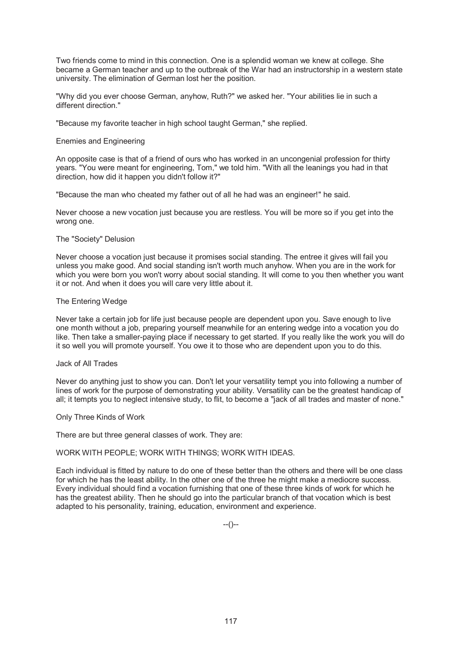Two friends come to mind in this connection. One is a splendid woman we knew at college. She became a German teacher and up to the outbreak of the War had an instructorship in a western state university. The elimination of German lost her the position.

"Why did you ever choose German, anyhow, Ruth?" we asked her. "Your abilities lie in such a different direction."

"Because my favorite teacher in high school taught German," she replied.

# Enemies and Engineering

An opposite case is that of a friend of ours who has worked in an uncongenial profession for thirty years. "You were meant for engineering, Tom," we told him. "With all the leanings you had in that direction, how did it happen you didn't follow it?"

"Because the man who cheated my father out of all he had was an engineer!" he said.

Never choose a new vocation just because you are restless. You will be more so if you get into the wrong one.

# The "Society" Delusion

Never choose a vocation just because it promises social standing. The entree it gives will fail you unless you make good. And social standing isn't worth much anyhow. When you are in the work for which you were born you won't worry about social standing. It will come to you then whether you want it or not. And when it does you will care very little about it.

# The Entering Wedge

Never take a certain job for life just because people are dependent upon you. Save enough to live one month without a job, preparing yourself meanwhile for an entering wedge into a vocation you do like. Then take a smaller-paying place if necessary to get started. If you really like the work you will do it so well you will promote yourself. You owe it to those who are dependent upon you to do this.

## Jack of All Trades

Never do anything just to show you can. Don't let your versatility tempt you into following a number of lines of work for the purpose of demonstrating your ability. Versatility can be the greatest handicap of all; it tempts you to neglect intensive study, to flit, to become a "jack of all trades and master of none."

## Only Three Kinds of Work

There are but three general classes of work. They are:

# WORK WITH PEOPLE; WORK WITH THINGS; WORK WITH IDEAS.

Each individual is fitted by nature to do one of these better than the others and there will be one class for which he has the least ability. In the other one of the three he might make a mediocre success. Every individual should find a vocation furnishing that one of these three kinds of work for which he has the greatest ability. Then he should go into the particular branch of that vocation which is best adapted to his personality, training, education, environment and experience.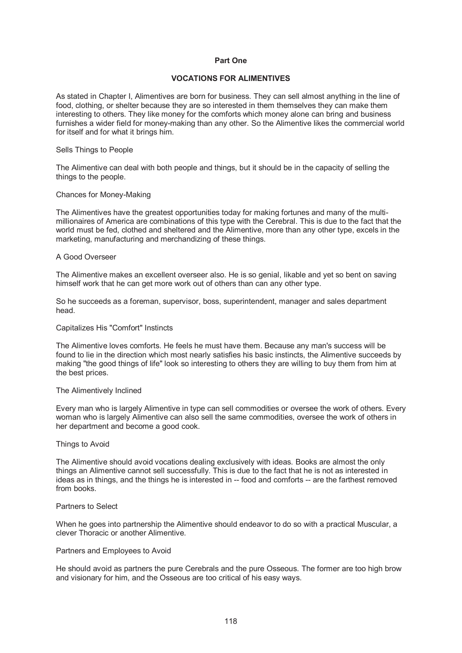# **Part One**

# **VOCATIONS FOR ALIMENTIVES**

As stated in Chapter I, Alimentives are born for business. They can sell almost anything in the line of food, clothing, or shelter because they are so interested in them themselves they can make them interesting to others. They like money for the comforts which money alone can bring and business furnishes a wider field for money-making than any other. So the Alimentive likes the commercial world for itself and for what it brings him.

#### Sells Things to People

The Alimentive can deal with both people and things, but it should be in the capacity of selling the things to the people.

#### Chances for Money-Making

The Alimentives have the greatest opportunities today for making fortunes and many of the multimillionaires of America are combinations of this type with the Cerebral. This is due to the fact that the world must be fed, clothed and sheltered and the Alimentive, more than any other type, excels in the marketing, manufacturing and merchandizing of these things.

#### A Good Overseer

The Alimentive makes an excellent overseer also. He is so genial, likable and yet so bent on saving himself work that he can get more work out of others than can any other type.

So he succeeds as a foreman, supervisor, boss, superintendent, manager and sales department head.

## Capitalizes His "Comfort" Instincts

The Alimentive loves comforts. He feels he must have them. Because any man's success will be found to lie in the direction which most nearly satisfies his basic instincts, the Alimentive succeeds by making "the good things of life" look so interesting to others they are willing to buy them from him at the best prices.

#### The Alimentively Inclined

Every man who is largely Alimentive in type can sell commodities or oversee the work of others. Every woman who is largely Alimentive can also sell the same commodities, oversee the work of others in her department and become a good cook.

#### Things to Avoid

The Alimentive should avoid vocations dealing exclusively with ideas. Books are almost the only things an Alimentive cannot sell successfully. This is due to the fact that he is not as interested in ideas as in things, and the things he is interested in -- food and comforts -- are the farthest removed from books.

#### Partners to Select

When he goes into partnership the Alimentive should endeavor to do so with a practical Muscular, a clever Thoracic or another Alimentive.

#### Partners and Employees to Avoid

He should avoid as partners the pure Cerebrals and the pure Osseous. The former are too high brow and visionary for him, and the Osseous are too critical of his easy ways.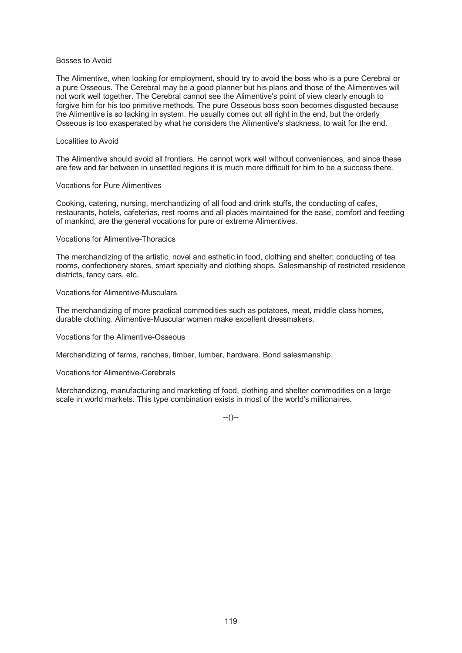## Bosses to Avoid

The Alimentive, when looking for employment, should try to avoid the boss who is a pure Cerebral or a pure Osseous. The Cerebral may be a good planner but his plans and those of the Alimentives will not work well together. The Cerebral cannot see the Alimentive's point of view clearly enough to forgive him for his too primitive methods. The pure Osseous boss soon becomes disgusted because the Alimentive is so lacking in system. He usually comes out all right in the end, but the orderly Osseous is too exasperated by what he considers the Alimentive's slackness, to wait for the end.

## Localities to Avoid

The Alimentive should avoid all frontiers. He cannot work well without conveniences, and since these are few and far between in unsettled regions it is much more difficult for him to be a success there.

# Vocations for Pure Alimentives

Cooking, catering, nursing, merchandizing of all food and drink stuffs, the conducting of cafes, restaurants, hotels, cafeterias, rest rooms and all places maintained for the ease, comfort and feeding of mankind, are the general vocations for pure or extreme Alimentives.

# Vocations for Alimentive-Thoracics

The merchandizing of the artistic, novel and esthetic in food, clothing and shelter; conducting of tea rooms, confectionery stores, smart specialty and clothing shops. Salesmanship of restricted residence districts, fancy cars, etc.

# Vocations for Alimentive-Musculars

The merchandizing of more practical commodities such as potatoes, meat, middle class homes, durable clothing. Alimentive-Muscular women make excellent dressmakers.

## Vocations for the Alimentive-Osseous

Merchandizing of farms, ranches, timber, lumber, hardware. Bond salesmanship.

# Vocations for Alimentive-Cerebrals

Merchandizing, manufacturing and marketing of food, clothing and shelter commodities on a large scale in world markets. This type combination exists in most of the world's millionaires.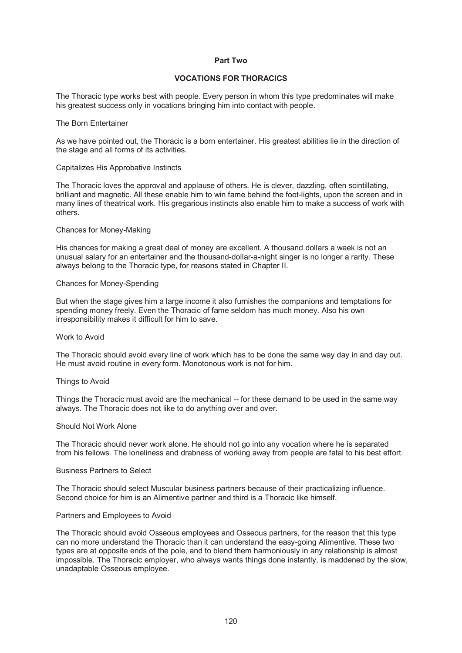# **Part Two**

# **VOCATIONS FOR THORACICS**

The Thoracic type works best with people. Every person in whom this type predominates will make his greatest success only in vocations bringing him into contact with people.

## The Born Entertainer

As we have pointed out, the Thoracic is a born entertainer. His greatest abilities lie in the direction of the stage and all forms of its activities.

#### Capitalizes His Approbative Instincts

The Thoracic loves the approval and applause of others. He is clever, dazzling, often scintillating, brilliant and magnetic. All these enable him to win fame behind the foot-lights, upon the screen and in many lines of theatrical work. His gregarious instincts also enable him to make a success of work with others.

#### Chances for Money-Making

His chances for making a great deal of money are excellent. A thousand dollars a week is not an unusual salary for an entertainer and the thousand-dollar-a-night singer is no longer a rarity. These always belong to the Thoracic type, for reasons stated in Chapter II.

#### Chances for Money-Spending

But when the stage gives him a large income it also furnishes the companions and temptations for spending money freely. Even the Thoracic of fame seldom has much money. Also his own irresponsibility makes it difficult for him to save.

#### Work to Avoid

The Thoracic should avoid every line of work which has to be done the same way day in and day out. He must avoid routine in every form. Monotonous work is not for him.

#### Things to Avoid

Things the Thoracic must avoid are the mechanical -- for these demand to be used in the same way always. The Thoracic does not like to do anything over and over.

#### Should Not Work Alone

The Thoracic should never work alone. He should not go into any vocation where he is separated from his fellows. The loneliness and drabness of working away from people are fatal to his best effort.

## Business Partners to Select

The Thoracic should select Muscular business partners because of their practicalizing influence. Second choice for him is an Alimentive partner and third is a Thoracic like himself.

#### Partners and Employees to Avoid

The Thoracic should avoid Osseous employees and Osseous partners, for the reason that this type can no more understand the Thoracic than it can understand the easy-going Alimentive. These two types are at opposite ends of the pole, and to blend them harmoniously in any relationship is almost impossible. The Thoracic employer, who always wants things done instantly, is maddened by the slow, unadaptable Osseous employee.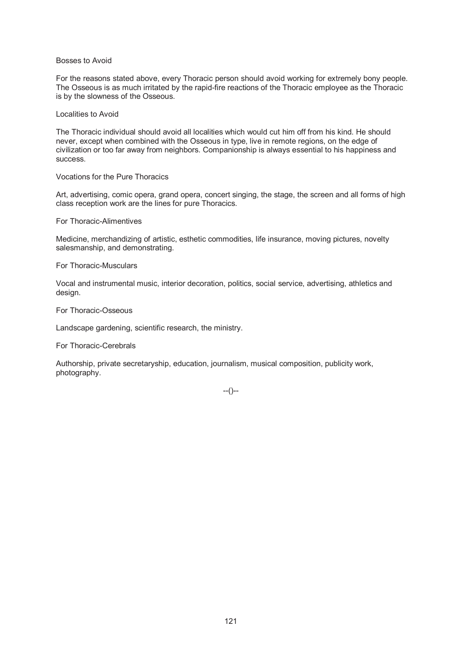## Bosses to Avoid

For the reasons stated above, every Thoracic person should avoid working for extremely bony people. The Osseous is as much irritated by the rapid-fire reactions of the Thoracic employee as the Thoracic is by the slowness of the Osseous.

# Localities to Avoid

The Thoracic individual should avoid all localities which would cut him off from his kind. He should never, except when combined with the Osseous in type, live in remote regions, on the edge of civilization or too far away from neighbors. Companionship is always essential to his happiness and success.

# Vocations for the Pure Thoracics

Art, advertising, comic opera, grand opera, concert singing, the stage, the screen and all forms of high class reception work are the lines for pure Thoracics.

# For Thoracic-Alimentives

Medicine, merchandizing of artistic, esthetic commodities, life insurance, moving pictures, novelty salesmanship, and demonstrating.

# For Thoracic-Musculars

Vocal and instrumental music, interior decoration, politics, social service, advertising, athletics and design.

# For Thoracic-Osseous

Landscape gardening, scientific research, the ministry.

## For Thoracic-Cerebrals

Authorship, private secretaryship, education, journalism, musical composition, publicity work, photography.

--()--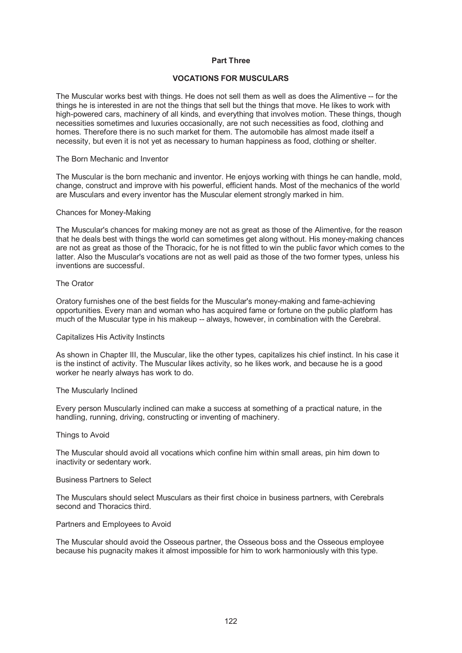# **Part Three**

# **VOCATIONS FOR MUSCULARS**

The Muscular works best with things. He does not sell them as well as does the Alimentive -- for the things he is interested in are not the things that sell but the things that move. He likes to work with high-powered cars, machinery of all kinds, and everything that involves motion. These things, though necessities sometimes and luxuries occasionally, are not such necessities as food, clothing and homes. Therefore there is no such market for them. The automobile has almost made itself a necessity, but even it is not yet as necessary to human happiness as food, clothing or shelter.

#### The Born Mechanic and Inventor

The Muscular is the born mechanic and inventor. He enjoys working with things he can handle, mold, change, construct and improve with his powerful, efficient hands. Most of the mechanics of the world are Musculars and every inventor has the Muscular element strongly marked in him.

#### Chances for Money-Making

The Muscular's chances for making money are not as great as those of the Alimentive, for the reason that he deals best with things the world can sometimes get along without. His money-making chances are not as great as those of the Thoracic, for he is not fitted to win the public favor which comes to the latter. Also the Muscular's vocations are not as well paid as those of the two former types, unless his inventions are successful.

#### The Orator

Oratory furnishes one of the best fields for the Muscular's money-making and fame-achieving opportunities. Every man and woman who has acquired fame or fortune on the public platform has much of the Muscular type in his makeup -- always, however, in combination with the Cerebral.

## Capitalizes His Activity Instincts

As shown in Chapter III, the Muscular, like the other types, capitalizes his chief instinct. In his case it is the instinct of activity. The Muscular likes activity, so he likes work, and because he is a good worker he nearly always has work to do.

## The Muscularly Inclined

Every person Muscularly inclined can make a success at something of a practical nature, in the handling, running, driving, constructing or inventing of machinery.

#### Things to Avoid

The Muscular should avoid all vocations which confine him within small areas, pin him down to inactivity or sedentary work.

# Business Partners to Select

The Musculars should select Musculars as their first choice in business partners, with Cerebrals second and Thoracics third.

## Partners and Employees to Avoid

The Muscular should avoid the Osseous partner, the Osseous boss and the Osseous employee because his pugnacity makes it almost impossible for him to work harmoniously with this type.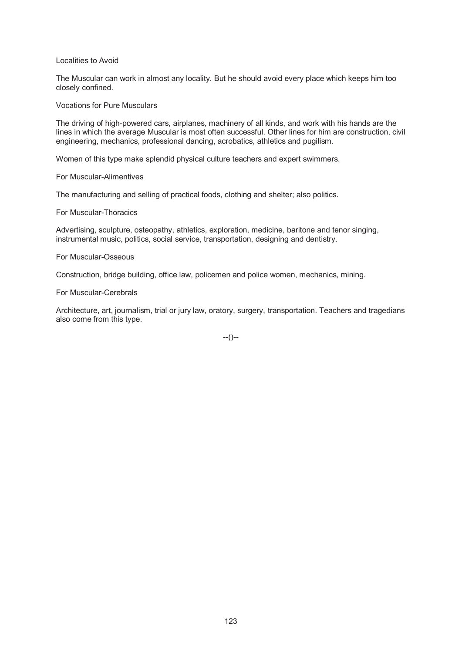Localities to Avoid

The Muscular can work in almost any locality. But he should avoid every place which keeps him too closely confined.

Vocations for Pure Musculars

The driving of high-powered cars, airplanes, machinery of all kinds, and work with his hands are the lines in which the average Muscular is most often successful. Other lines for him are construction, civil engineering, mechanics, professional dancing, acrobatics, athletics and pugilism.

Women of this type make splendid physical culture teachers and expert swimmers.

For Muscular-Alimentives

The manufacturing and selling of practical foods, clothing and shelter; also politics.

For Muscular-Thoracics

Advertising, sculpture, osteopathy, athletics, exploration, medicine, baritone and tenor singing, instrumental music, politics, social service, transportation, designing and dentistry.

For Muscular-Osseous

Construction, bridge building, office law, policemen and police women, mechanics, mining.

For Muscular-Cerebrals

Architecture, art, journalism, trial or jury law, oratory, surgery, transportation. Teachers and tragedians also come from this type.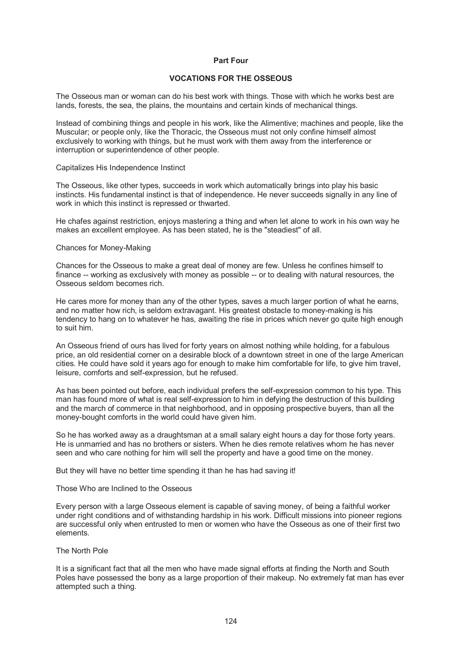# **Part Four**

# **VOCATIONS FOR THE OSSEOUS**

The Osseous man or woman can do his best work with things. Those with which he works best are lands, forests, the sea, the plains, the mountains and certain kinds of mechanical things.

Instead of combining things and people in his work, like the Alimentive; machines and people, like the Muscular; or people only, like the Thoracic, the Osseous must not only confine himself almost exclusively to working with things, but he must work with them away from the interference or interruption or superintendence of other people.

#### Capitalizes His Independence Instinct

The Osseous, like other types, succeeds in work which automatically brings into play his basic instincts. His fundamental instinct is that of independence. He never succeeds signally in any line of work in which this instinct is repressed or thwarted.

He chafes against restriction, enjoys mastering a thing and when let alone to work in his own way he makes an excellent employee. As has been stated, he is the "steadiest" of all.

#### Chances for Money-Making

Chances for the Osseous to make a great deal of money are few. Unless he confines himself to finance -- working as exclusively with money as possible -- or to dealing with natural resources, the Osseous seldom becomes rich.

He cares more for money than any of the other types, saves a much larger portion of what he earns, and no matter how rich, is seldom extravagant. His greatest obstacle to money-making is his tendency to hang on to whatever he has, awaiting the rise in prices which never go quite high enough to suit him.

An Osseous friend of ours has lived for forty years on almost nothing while holding, for a fabulous price, an old residential corner on a desirable block of a downtown street in one of the large American cities. He could have sold it years ago for enough to make him comfortable for life, to give him travel, leisure, comforts and self-expression, but he refused.

As has been pointed out before, each individual prefers the self-expression common to his type. This man has found more of what is real self-expression to him in defying the destruction of this building and the march of commerce in that neighborhood, and in opposing prospective buyers, than all the money-bought comforts in the world could have given him.

So he has worked away as a draughtsman at a small salary eight hours a day for those forty years. He is unmarried and has no brothers or sisters. When he dies remote relatives whom he has never seen and who care nothing for him will sell the property and have a good time on the money.

But they will have no better time spending it than he has had saving it!

# Those Who are Inclined to the Osseous

Every person with a large Osseous element is capable of saving money, of being a faithful worker under right conditions and of withstanding hardship in his work. Difficult missions into pioneer regions are successful only when entrusted to men or women who have the Osseous as one of their first two elements.

## The North Pole

It is a significant fact that all the men who have made signal efforts at finding the North and South Poles have possessed the bony as a large proportion of their makeup. No extremely fat man has ever attempted such a thing.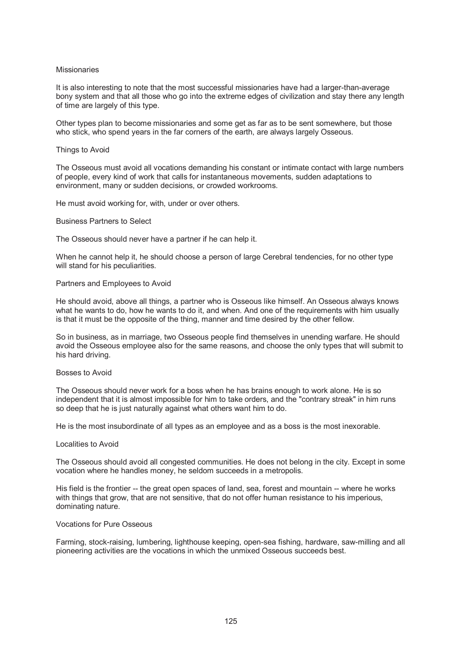#### **Missionaries**

It is also interesting to note that the most successful missionaries have had a larger-than-average bony system and that all those who go into the extreme edges of civilization and stay there any length of time are largely of this type.

Other types plan to become missionaries and some get as far as to be sent somewhere, but those who stick, who spend years in the far corners of the earth, are always largely Osseous.

#### Things to Avoid

The Osseous must avoid all vocations demanding his constant or intimate contact with large numbers of people, every kind of work that calls for instantaneous movements, sudden adaptations to environment, many or sudden decisions, or crowded workrooms.

He must avoid working for, with, under or over others.

#### Business Partners to Select

The Osseous should never have a partner if he can help it.

When he cannot help it, he should choose a person of large Cerebral tendencies, for no other type will stand for his peculiarities.

#### Partners and Employees to Avoid

He should avoid, above all things, a partner who is Osseous like himself. An Osseous always knows what he wants to do, how he wants to do it, and when. And one of the requirements with him usually is that it must be the opposite of the thing, manner and time desired by the other fellow.

So in business, as in marriage, two Osseous people find themselves in unending warfare. He should avoid the Osseous employee also for the same reasons, and choose the only types that will submit to his hard driving.

#### Bosses to Avoid

The Osseous should never work for a boss when he has brains enough to work alone. He is so independent that it is almost impossible for him to take orders, and the "contrary streak" in him runs so deep that he is just naturally against what others want him to do.

He is the most insubordinate of all types as an employee and as a boss is the most inexorable.

#### Localities to Avoid

The Osseous should avoid all congested communities. He does not belong in the city. Except in some vocation where he handles money, he seldom succeeds in a metropolis.

His field is the frontier -- the great open spaces of land, sea, forest and mountain -- where he works with things that grow, that are not sensitive, that do not offer human resistance to his imperious, dominating nature.

#### Vocations for Pure Osseous

Farming, stock-raising, lumbering, lighthouse keeping, open-sea fishing, hardware, saw-milling and all pioneering activities are the vocations in which the unmixed Osseous succeeds best.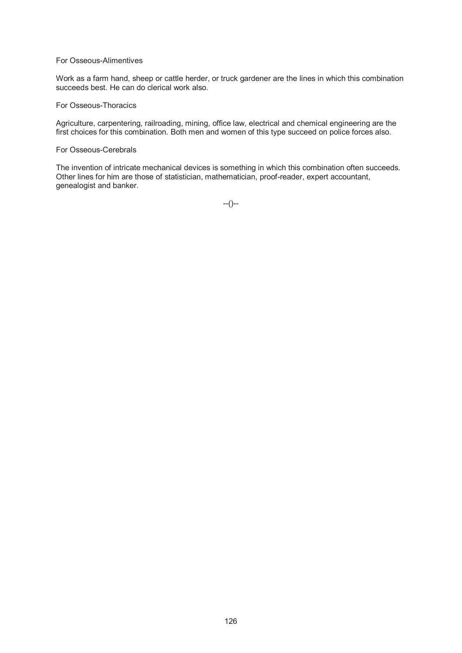## For Osseous-Alimentives

Work as a farm hand, sheep or cattle herder, or truck gardener are the lines in which this combination succeeds best. He can do clerical work also.

#### For Osseous-Thoracics

Agriculture, carpentering, railroading, mining, office law, electrical and chemical engineering are the first choices for this combination. Both men and women of this type succeed on police forces also.

## For Osseous-Cerebrals

The invention of intricate mechanical devices is something in which this combination often succeeds. Other lines for him are those of statistician, mathematician, proof-reader, expert accountant, genealogist and banker.

--()--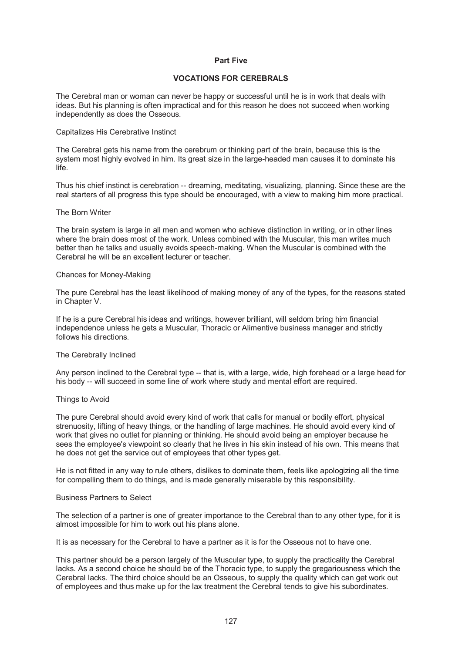## **Part Five**

# **VOCATIONS FOR CEREBRALS**

The Cerebral man or woman can never be happy or successful until he is in work that deals with ideas. But his planning is often impractical and for this reason he does not succeed when working independently as does the Osseous.

#### Capitalizes His Cerebrative Instinct

The Cerebral gets his name from the cerebrum or thinking part of the brain, because this is the system most highly evolved in him. Its great size in the large-headed man causes it to dominate his life.

Thus his chief instinct is cerebration -- dreaming, meditating, visualizing, planning. Since these are the real starters of all progress this type should be encouraged, with a view to making him more practical.

#### The Born Writer

The brain system is large in all men and women who achieve distinction in writing, or in other lines where the brain does most of the work. Unless combined with the Muscular, this man writes much better than he talks and usually avoids speech-making. When the Muscular is combined with the Cerebral he will be an excellent lecturer or teacher.

#### Chances for Money-Making

The pure Cerebral has the least likelihood of making money of any of the types, for the reasons stated in Chapter V.

If he is a pure Cerebral his ideas and writings, however brilliant, will seldom bring him financial independence unless he gets a Muscular, Thoracic or Alimentive business manager and strictly follows his directions.

## The Cerebrally Inclined

Any person inclined to the Cerebral type -- that is, with a large, wide, high forehead or a large head for his body -- will succeed in some line of work where study and mental effort are required.

## Things to Avoid

The pure Cerebral should avoid every kind of work that calls for manual or bodily effort, physical strenuosity, lifting of heavy things, or the handling of large machines. He should avoid every kind of work that gives no outlet for planning or thinking. He should avoid being an employer because he sees the employee's viewpoint so clearly that he lives in his skin instead of his own. This means that he does not get the service out of employees that other types get.

He is not fitted in any way to rule others, dislikes to dominate them, feels like apologizing all the time for compelling them to do things, and is made generally miserable by this responsibility.

#### Business Partners to Select

The selection of a partner is one of greater importance to the Cerebral than to any other type, for it is almost impossible for him to work out his plans alone.

It is as necessary for the Cerebral to have a partner as it is for the Osseous not to have one.

This partner should be a person largely of the Muscular type, to supply the practicality the Cerebral lacks. As a second choice he should be of the Thoracic type, to supply the gregariousness which the Cerebral lacks. The third choice should be an Osseous, to supply the quality which can get work out of employees and thus make up for the lax treatment the Cerebral tends to give his subordinates.